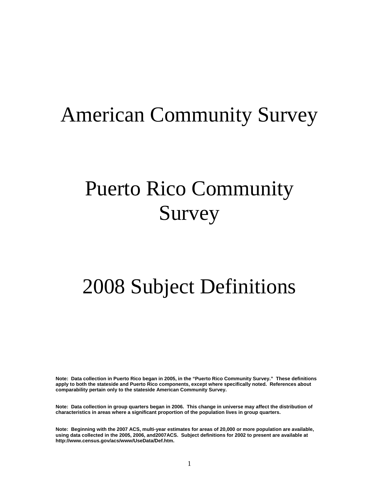## American Community Survey

# Puerto Rico Community Survey

# 2008 Subject Definitions

**Note: Data collection in Puerto Rico began in 2005, in the "Puerto Rico Community Survey." These definitions apply to both the stateside and Puerto Rico components, except where specifically noted. References about comparability pertain only to the stateside American Community Survey.**

**Note: Data collection in group quarters began in 2006. This change in universe may affect the distribution of characteristics in areas where a significant proportion of the population lives in group quarters.** 

**Note: Beginning with the 2007 ACS, multi-year estimates for areas of 20,000 or more population are available, using data collected in the 2005, 2006, and2007ACS. Subject definitions for 2002 to present are available at http://www.census.gov/acs/www/UseData/Def.htm.**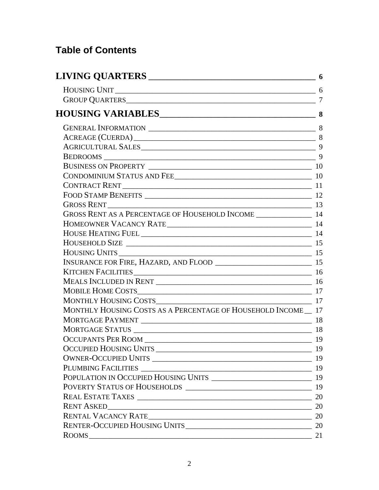## **Table of Contents**

| HOMEOWNER VACANCY RATE                                       |                |
|--------------------------------------------------------------|----------------|
|                                                              |                |
|                                                              |                |
|                                                              |                |
|                                                              |                |
|                                                              |                |
|                                                              |                |
|                                                              |                |
|                                                              |                |
| MONTHLY HOUSING COSTS AS A PERCENTAGE OF HOUSEHOLD INCOME_17 |                |
|                                                              |                |
|                                                              |                |
|                                                              |                |
|                                                              |                |
|                                                              |                |
|                                                              |                |
|                                                              |                |
|                                                              |                |
|                                                              |                |
|                                                              |                |
| RENTAL VACANCY RATE                                          |                |
|                                                              |                |
|                                                              | $\frac{1}{21}$ |
|                                                              |                |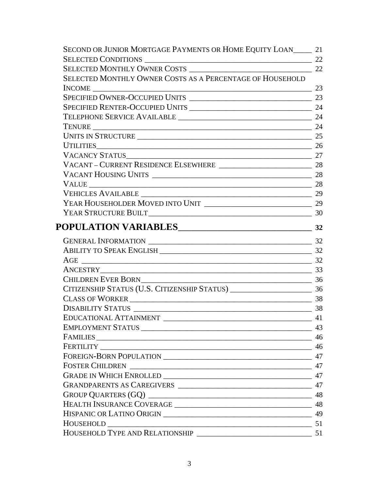| SECOND OR JUNIOR MORTGAGE PAYMENTS OR HOME EQUITY LOAN________ 21 |    |
|-------------------------------------------------------------------|----|
|                                                                   |    |
| SELECTED MONTHLY OWNER COSTS 22                                   |    |
| SELECTED MONTHLY OWNER COSTS AS A PERCENTAGE OF HOUSEHOLD         |    |
| $INCOME$ 23                                                       |    |
|                                                                   |    |
|                                                                   |    |
|                                                                   |    |
|                                                                   |    |
|                                                                   |    |
| UTILITIES 26                                                      |    |
|                                                                   |    |
|                                                                   |    |
|                                                                   |    |
|                                                                   |    |
|                                                                   |    |
|                                                                   |    |
|                                                                   |    |
|                                                                   |    |
|                                                                   |    |
|                                                                   |    |
|                                                                   |    |
| ANCESTRY 33                                                       |    |
|                                                                   |    |
|                                                                   |    |
|                                                                   |    |
|                                                                   |    |
| <b>EDUCATIONAL ATTAINMENT</b><br>$\overline{\phantom{a}}$ 41      |    |
|                                                                   | 43 |
|                                                                   |    |
|                                                                   |    |
|                                                                   |    |
|                                                                   |    |
|                                                                   |    |
|                                                                   |    |
|                                                                   |    |
|                                                                   |    |
| HISPANIC OR LATINO ORIGIN 49                                      |    |
| $HOUSEHOLD$ $51$                                                  |    |
|                                                                   |    |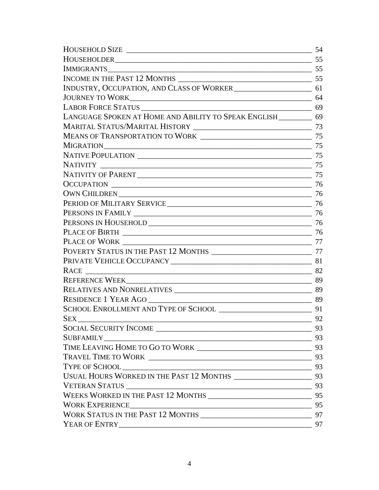| HOUSEHOLD SIZE                                          | 54 |
|---------------------------------------------------------|----|
| HOUSEHOLDER 55                                          |    |
| IMMIGRANTS 55                                           |    |
|                                                         |    |
| INDUSTRY, OCCUPATION, AND CLASS OF WORKER               |    |
|                                                         |    |
|                                                         |    |
| LANGUAGE SPOKEN AT HOME AND ABILITY TO SPEAK ENGLISH 69 |    |
|                                                         |    |
|                                                         |    |
|                                                         |    |
|                                                         |    |
| $NATIVITY$ 25                                           |    |
|                                                         |    |
|                                                         |    |
|                                                         | 76 |
|                                                         |    |
|                                                         |    |
|                                                         |    |
|                                                         |    |
|                                                         |    |
|                                                         |    |
|                                                         |    |
|                                                         |    |
|                                                         |    |
|                                                         |    |
|                                                         |    |
|                                                         |    |
| SEX<br>$\sim$ 92                                        |    |
|                                                         | 93 |
|                                                         |    |
|                                                         |    |
|                                                         |    |
|                                                         |    |
|                                                         |    |
|                                                         |    |
|                                                         |    |
|                                                         |    |
|                                                         |    |
|                                                         |    |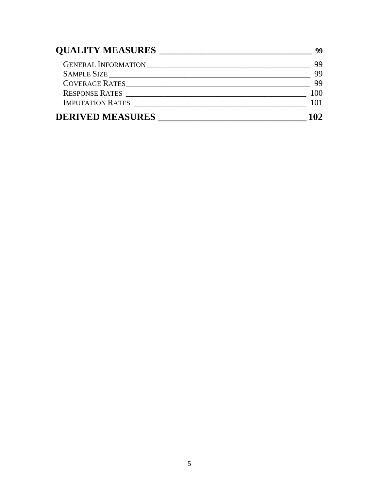| <b>QUALITY MEASURES</b>    | 99  |
|----------------------------|-----|
| <b>GENERAL INFORMATION</b> | 99  |
| <b>SAMPLE SIZE</b>         | 99  |
| COVERAGE RATES             | 99  |
| RESPONSE RATES             | 100 |
| <b>IMPUTATION RATES</b>    | 101 |
| <b>DERIVED MEASURES</b>    |     |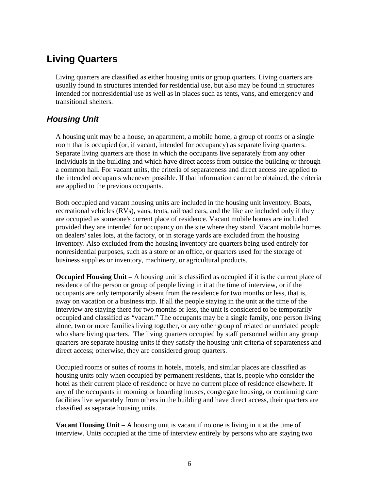### <span id="page-5-0"></span>**Living Quarters**

Living quarters are classified as either housing units or group quarters. Living quarters are usually found in structures intended for residential use, but also may be found in structures intended for nonresidential use as well as in places such as tents, vans, and emergency and transitional shelters.

#### *Housing Unit*

A housing unit may be a house, an apartment, a mobile home, a group of rooms or a single room that is occupied (or, if vacant, intended for occupancy) as separate living quarters. Separate living quarters are those in which the occupants live separately from any other individuals in the building and which have direct access from outside the building or through a common hall. For vacant units, the criteria of separateness and direct access are applied to the intended occupants whenever possible. If that information cannot be obtained, the criteria are applied to the previous occupants.

Both occupied and vacant housing units are included in the housing unit inventory. Boats, recreational vehicles (RVs), vans, tents, railroad cars, and the like are included only if they are occupied as someone's current place of residence. Vacant mobile homes are included provided they are intended for occupancy on the site where they stand. Vacant mobile homes on dealers' sales lots, at the factory, or in storage yards are excluded from the housing inventory. Also excluded from the housing inventory are quarters being used entirely for nonresidential purposes, such as a store or an office, or quarters used for the storage of business supplies or inventory, machinery, or agricultural products.

**Occupied Housing Unit** – A housing unit is classified as occupied if it is the current place of residence of the person or group of people living in it at the time of interview, or if the occupants are only temporarily absent from the residence for two months or less, that is, away on vacation or a business trip. If all the people staying in the unit at the time of the interview are staying there for two months or less, the unit is considered to be temporarily occupied and classified as "vacant." The occupants may be a single family, one person living alone, two or more families living together, or any other group of related or unrelated people who share living quarters. The living quarters occupied by staff personnel within any group quarters are separate housing units if they satisfy the housing unit criteria of separateness and direct access; otherwise, they are considered group quarters.

Occupied rooms or suites of rooms in hotels, motels, and similar places are classified as housing units only when occupied by permanent residents, that is, people who consider the hotel as their current place of residence or have no current place of residence elsewhere. If any of the occupants in rooming or boarding houses, congregate housing, or continuing care facilities live separately from others in the building and have direct access, their quarters are classified as separate housing units.

**Vacant Housing Unit –** A housing unit is vacant if no one is living in it at the time of interview. Units occupied at the time of interview entirely by persons who are staying two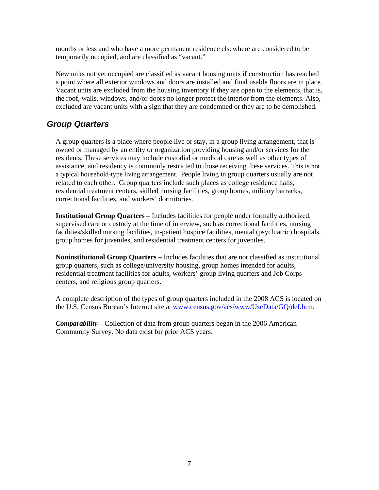<span id="page-6-0"></span>months or less and who have a more permanent residence elsewhere are considered to be temporarily occupied, and are classified as "vacant."

New units not yet occupied are classified as vacant housing units if construction has reached a point where all exterior windows and doors are installed and final usable floors are in place. Vacant units are excluded from the housing inventory if they are open to the elements, that is, the roof, walls, windows, and/or doors no longer protect the interior from the elements. Also, excluded are vacant units with a sign that they are condemned or they are to be demolished.

#### *Group Quarters*

A group quarters is a place where people live or stay, in a group living arrangement, that is owned or managed by an entity or organization providing housing and/or services for the residents. These services may include custodial or medical care as well as other types of assistance, and residency is commonly restricted to those receiving these services. This is not a typical household-type living arrangement. People living in group quarters usually are not related to each other. Group quarters include such places as college residence halls, residential treatment centers, skilled nursing facilities, group homes, military barracks, correctional facilities, and workers' dormitories.

**Institutional Group Quarters –** Includes facilities for people under formally authorized, supervised care or custody at the time of interview, such as correctional facilities, nursing facilities/skilled nursing facilities, in-patient hospice facilities, mental (psychiatric) hospitals, group homes for juveniles, and residential treatment centers for juveniles.

**Noninstitutional Group Quarters –** Includes facilities that are not classified as institutional group quarters, such as college/university housing, group homes intended for adults, residential treatment facilities for adults, workers' group living quarters and Job Corps centers, and religious group quarters.

A complete description of the types of group quarters included in the 2008 ACS is located on the U.S. Census Bureau's Internet site at www.census.gov/acs/www/UseData/GQ/def.htm.

*Comparability –* Collection of data from group quarters began in the 2006 American Community Survey. No data exist for prior ACS years.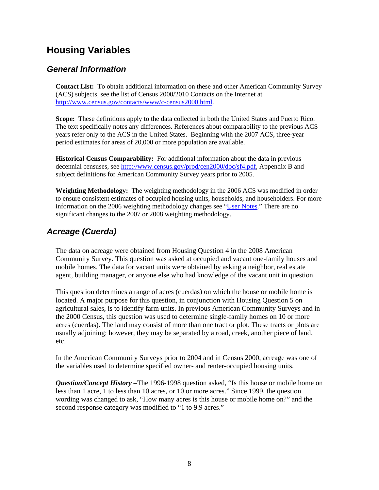## <span id="page-7-0"></span>**Housing Variables**

#### *General Information*

**Contact List:** To obtain additional information on these and other American Community Survey (ACS) subjects, see the list of Census 2000/2010 Contacts on the Internet at http://www.census.gov/contacts/www/c-census2000.html.

**Scope:** These definitions apply to the data collected in both the United States and Puerto Rico. The text specifically notes any differences. References about comparability to the previous ACS years refer only to the ACS in the United States. Beginning with the 2007 ACS, three-year period estimates for areas of 20,000 or more population are available.

**Historical Census Comparability:** For additional information about the data in previous decennial censuses, see http://www.census.gov/prod/cen2000/doc/sf4.pdf, Appendix B and subject definitions for American Community Survey years prior to 2005.

**Weighting Methodology:** The weighting methodology in the 2006 ACS was modified in order to ensure consistent estimates of occupied housing units, households, and householders. For more information on the 2006 weighting methodology changes see "User Notes." There are no significant changes to the 2007 or 2008 weighting methodology.

#### *Acreage (Cuerda)*

The data on acreage were obtained from Housing Question 4 in the 2008 American Community Survey. This question was asked at occupied and vacant one-family houses and mobile homes. The data for vacant units were obtained by asking a neighbor, real estate agent, building manager, or anyone else who had knowledge of the vacant unit in question.

This question determines a range of acres (cuerdas) on which the house or mobile home is located. A major purpose for this question, in conjunction with Housing Question 5 on agricultural sales, is to identify farm units. In previous American Community Surveys and in the 2000 Census, this question was used to determine single-family homes on 10 or more acres (cuerdas). The land may consist of more than one tract or plot. These tracts or plots are usually adjoining; however, they may be separated by a road, creek, another piece of land, etc.

In the American Community Surveys prior to 2004 and in Census 2000, acreage was one of the variables used to determine specified owner- and renter-occupied housing units.

*Question/Concept History –*The 1996-1998 question asked, "Is this house or mobile home on less than 1 acre, 1 to less than 10 acres, or 10 or more acres." Since 1999, the question wording was changed to ask, "How many acres is this house or mobile home on?" and the second response category was modified to "1 to 9.9 acres."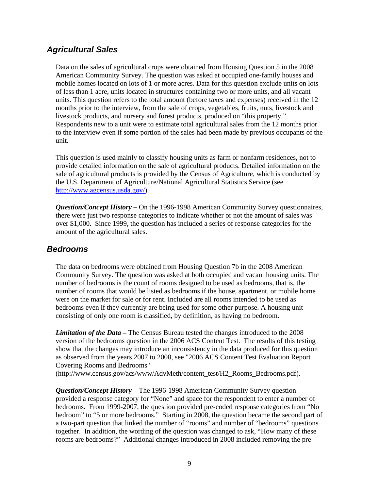#### <span id="page-8-0"></span>*Agricultural Sales*

Data on the sales of agricultural crops were obtained from Housing Question 5 in the 2008 American Community Survey. The question was asked at occupied one-family houses and mobile homes located on lots of 1 or more acres. Data for this question exclude units on lots of less than 1 acre, units located in structures containing two or more units, and all vacant units. This question refers to the total amount (before taxes and expenses) received in the 12 months prior to the interview, from the sale of crops, vegetables, fruits, nuts, livestock and livestock products, and nursery and forest products, produced on "this property." Respondents new to a unit were to estimate total agricultural sales from the 12 months prior to the interview even if some portion of the sales had been made by previous occupants of the unit.

This question is used mainly to classify housing units as farm or nonfarm residences, not to provide detailed information on the sale of agricultural products. Detailed information on the sale of agricultural products is provided by the Census of Agriculture, which is conducted by the U.S. Department of Agriculture/National Agricultural Statistics Service (see http://www.agcensus.usda.gov/).

*Question/Concept History – On the 1996-1998 American Community Survey questionnaires,* there were just two response categories to indicate whether or not the amount of sales was over \$1,000. Since 1999, the question has included a series of response categories for the amount of the agricultural sales.

#### *Bedrooms*

The data on bedrooms were obtained from Housing Question 7b in the 2008 American Community Survey. The question was asked at both occupied and vacant housing units. The number of bedrooms is the count of rooms designed to be used as bedrooms, that is, the number of rooms that would be listed as bedrooms if the house, apartment, or mobile home were on the market for sale or for rent. Included are all rooms intended to be used as bedrooms even if they currently are being used for some other purpose. A housing unit consisting of only one room is classified, by definition, as having no bedroom.

**Limitation of the Data** – The Census Bureau tested the changes introduced to the 2008 version of the bedrooms question in the 2006 ACS Content Test. The results of this testing show that the changes may introduce an inconsistency in the data produced for this question as observed from the years 2007 to 2008, see "2006 ACS Content Test Evaluation Report Covering Rooms and Bedrooms"

(http://www.census.gov/acs/www/AdvMeth/content\_test/H2\_Rooms\_Bedrooms.pdf).

*Question/Concept History* **–** The 1996-1998 American Community Survey question provided a response category for "None" and space for the respondent to enter a number of bedrooms. From 1999-2007, the question provided pre-coded response categories from "No bedroom" to "5 or more bedrooms." Starting in 2008, the question became the second part of a two-part question that linked the number of "rooms" and number of "bedrooms" questions together. In addition, the wording of the question was changed to ask, "How many of these rooms are bedrooms?" Additional changes introduced in 2008 included removing the pre-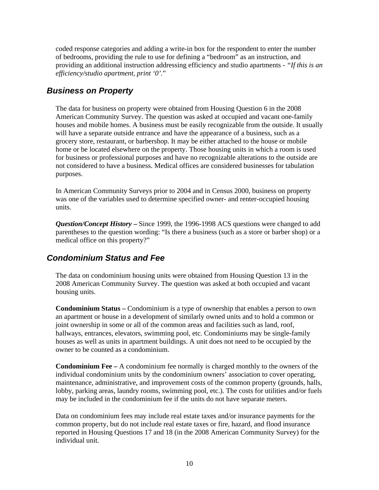<span id="page-9-0"></span>coded response categories and adding a write-in box for the respondent to enter the number of bedrooms, providing the rule to use for defining a "bedroom" as an instruction, and providing an additional instruction addressing efficiency and studio apartments - *"If this is an efficiency/studio apartment, print '0'.*"

#### *Business on Property*

The data for business on property were obtained from Housing Question 6 in the 2008 American Community Survey. The question was asked at occupied and vacant one-family houses and mobile homes. A business must be easily recognizable from the outside. It usually will have a separate outside entrance and have the appearance of a business, such as a grocery store, restaurant, or barbershop. It may be either attached to the house or mobile home or be located elsewhere on the property. Those housing units in which a room is used for business or professional purposes and have no recognizable alterations to the outside are not considered to have a business. Medical offices are considered businesses for tabulation purposes.

In American Community Surveys prior to 2004 and in Census 2000, business on property was one of the variables used to determine specified owner- and renter-occupied housing units.

*Question/Concept History* **–** Since 1999, the 1996-1998 ACS questions were changed to add parentheses to the question wording: "Is there a business (such as a store or barber shop) or a medical office on this property?"

#### *Condominium Status and Fee*

The data on condominium housing units were obtained from Housing Question 13 in the 2008 American Community Survey. The question was asked at both occupied and vacant housing units.

**Condominium Status –** Condominium is a type of ownership that enables a person to own an apartment or house in a development of similarly owned units and to hold a common or joint ownership in some or all of the common areas and facilities such as land, roof, hallways, entrances, elevators, swimming pool, etc. Condominiums may be single-family houses as well as units in apartment buildings. A unit does not need to be occupied by the owner to be counted as a condominium.

**Condominium Fee –** A condominium fee normally is charged monthly to the owners of the individual condominium units by the condominium owners' association to cover operating, maintenance, administrative, and improvement costs of the common property (grounds, halls, lobby, parking areas, laundry rooms, swimming pool, etc.). The costs for utilities and/or fuels may be included in the condominium fee if the units do not have separate meters.

Data on condominium fees may include real estate taxes and/or insurance payments for the common property, but do not include real estate taxes or fire, hazard, and flood insurance reported in Housing Questions 17 and 18 (in the 2008 American Community Survey) for the individual unit.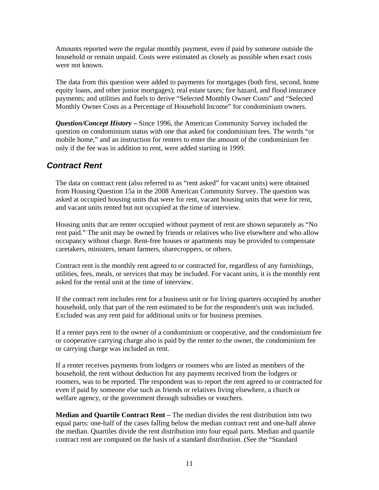<span id="page-10-0"></span>Amounts reported were the regular monthly payment, even if paid by someone outside the household or remain unpaid. Costs were estimated as closely as possible when exact costs were not known.

The data from this question were added to payments for mortgages (both first, second, home equity loans, and other junior mortgages); real estate taxes; fire hazard, and flood insurance payments; and utilities and fuels to derive "Selected Monthly Owner Costs" and "Selected Monthly Owner Costs as a Percentage of Household Income" for condominium owners.

*Question/Concept History* **–** Since 1996, the American Community Survey included the question on condominium status with one that asked for condominium fees. The words "or mobile home," and an instruction for renters to enter the amount of the condominium fee only if the fee was in addition to rent, were added starting in 1999.

#### *Contract Rent*

The data on contract rent (also referred to as "rent asked" for vacant units) were obtained from Housing Question 15a in the 2008 American Community Survey. The question was asked at occupied housing units that were for rent, vacant housing units that were for rent, and vacant units rented but not occupied at the time of interview.

Housing units that are renter occupied without payment of rent are shown separately as "No rent paid." The unit may be owned by friends or relatives who live elsewhere and who allow occupancy without charge. Rent-free houses or apartments may be provided to compensate caretakers, ministers, tenant farmers, sharecroppers, or others.

Contract rent is the monthly rent agreed to or contracted for, regardless of any furnishings, utilities, fees, meals, or services that may be included. For vacant units, it is the monthly rent asked for the rental unit at the time of interview.

If the contract rent includes rent for a business unit or for living quarters occupied by another household, only that part of the rent estimated to be for the respondent's unit was included. Excluded was any rent paid for additional units or for business premises.

If a renter pays rent to the owner of a condominium or cooperative, and the condominium fee or cooperative carrying charge also is paid by the renter to the owner, the condominium fee or carrying charge was included as rent.

If a renter receives payments from lodgers or roomers who are listed as members of the household, the rent without deduction for any payments received from the lodgers or roomers, was to be reported. The respondent was to report the rent agreed to or contracted for even if paid by someone else such as friends or relatives living elsewhere, a church or welfare agency, or the government through subsidies or vouchers.

**Median and Quartile Contract Rent –** The median divides the rent distribution into two equal parts: one-half of the cases falling below the median contract rent and one-half above the median. Quartiles divide the rent distribution into four equal parts. Median and quartile contract rent are computed on the basis of a standard distribution. (See the "Standard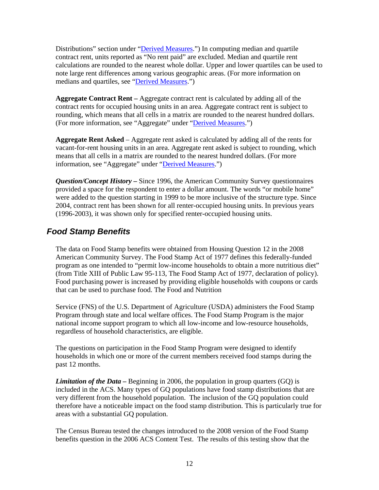<span id="page-11-0"></span>Distributions" section under "Derived Measures.") In computing median and quartile contract rent, units reported as "No rent paid" are excluded. Median and quartile rent calculations are rounded to the nearest whole dollar. Upper and lower quartiles can be used to note large rent differences among various geographic areas. (For more information on medians and quartiles, see "Derived Measures.")

**Aggregate Contract Rent –** Aggregate contract rent is calculated by adding all of the contract rents for occupied housing units in an area. Aggregate contract rent is subject to rounding, which means that all cells in a matrix are rounded to the nearest hundred dollars. (For more information, see "Aggregate" under "Derived Measures.")

**Aggregate Rent Asked** – Aggregate rent asked is calculated by adding all of the rents for vacant-for-rent housing units in an area. Aggregate rent asked is subject to rounding, which means that all cells in a matrix are rounded to the nearest hundred dollars. (For more information, see "Aggregate" under "Derived Measures.")

*Question/Concept History* **–** Since 1996, the American Community Survey questionnaires provided a space for the respondent to enter a dollar amount. The words "or mobile home" were added to the question starting in 1999 to be more inclusive of the structure type. Since 2004, contract rent has been shown for all renter-occupied housing units. In previous years (1996-2003), it was shown only for specified renter-occupied housing units.

#### *Food Stamp Benefits*

The data on Food Stamp benefits were obtained from Housing Question 12 in the 2008 American Community Survey. The Food Stamp Act of 1977 defines this federally-funded program as one intended to "permit low-income households to obtain a more nutritious diet" (from Title XIII of Public Law 95-113, The Food Stamp Act of 1977, declaration of policy). Food purchasing power is increased by providing eligible households with coupons or cards that can be used to purchase food. The Food and Nutrition

Service (FNS) of the U.S. Department of Agriculture (USDA) administers the Food Stamp Program through state and local welfare offices. The Food Stamp Program is the major national income support program to which all low-income and low-resource households, regardless of household characteristics, are eligible.

The questions on participation in the Food Stamp Program were designed to identify households in which one or more of the current members received food stamps during the past 12 months.

*Limitation of the Data* – Beginning in 2006, the population in group quarters (GQ) is included in the ACS. Many types of GQ populations have food stamp distributions that are very different from the household population. The inclusion of the GQ population could therefore have a noticeable impact on the food stamp distribution. This is particularly true for areas with a substantial GQ population.

The Census Bureau tested the changes introduced to the 2008 version of the Food Stamp benefits question in the 2006 ACS Content Test. The results of this testing show that the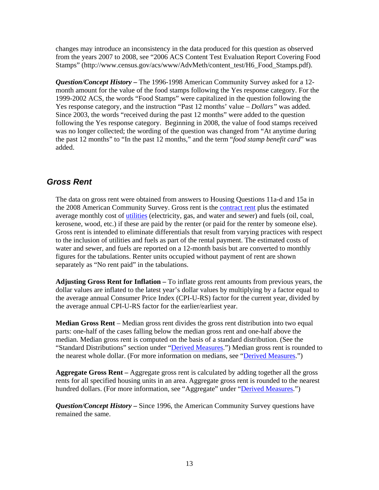<span id="page-12-0"></span>changes may introduce an inconsistency in the data produced for this question as observed from the years 2007 to 2008, see "2006 ACS Content Test Evaluation Report Covering Food Stamps" (http://www.census.gov/acs/www/AdvMeth/content\_test/H6\_Food\_Stamps.pdf).

*Question/Concept History –* The 1996-1998 American Community Survey asked for a 12 month amount for the value of the food stamps following the Yes response category. For the 1999-2002 ACS, the words "Food Stamps" were capitalized in the question following the Yes response category, and the instruction "Past 12 months' value – *Dollars"* was added. Since 2003, the words "received during the past 12 months" were added to the question following the Yes response category. Beginning in 2008, the value of food stamps received was no longer collected; the wording of the question was changed from "At anytime during the past 12 months" to "In the past 12 months," and the term "*food stamp benefit card*" was added.

#### *Gross Rent*

The data on gross rent were obtained from answers to Housing Questions 11a-d and 15a in the 2008 American Community Survey. Gross rent is the contract rent plus the estimated average monthly cost of utilities (electricity, gas, and water and sewer) and fuels (oil, coal, kerosene, wood, etc.) if these are paid by the renter (or paid for the renter by someone else). Gross rent is intended to eliminate differentials that result from varying practices with respect to the inclusion of utilities and fuels as part of the rental payment. The estimated costs of water and sewer, and fuels are reported on a 12-month basis but are converted to monthly figures for the tabulations. Renter units occupied without payment of rent are shown separately as "No rent paid" in the tabulations.

**Adjusting Gross Rent for Inflation –** To inflate gross rent amounts from previous years, the dollar values are inflated to the latest year's dollar values by multiplying by a factor equal to the average annual Consumer Price Index (CPI-U-RS) factor for the current year, divided by the average annual CPI-U-RS factor for the earlier/earliest year.

**Median Gross Rent** – Median gross rent divides the gross rent distribution into two equal parts: one-half of the cases falling below the median gross rent and one-half above the median. Median gross rent is computed on the basis of a standard distribution. (See the "Standard Distributions" section under "Derived Measures.") Median gross rent is rounded to the nearest whole dollar. (For more information on medians, see "Derived Measures.")

**Aggregate Gross Rent –** Aggregate gross rent is calculated by adding together all the gross rents for all specified housing units in an area. Aggregate gross rent is rounded to the nearest hundred dollars. (For more information, see "Aggregate" under "Derived Measures.")

*Question/Concept History* **–** Since 1996, the American Community Survey questions have remained the same.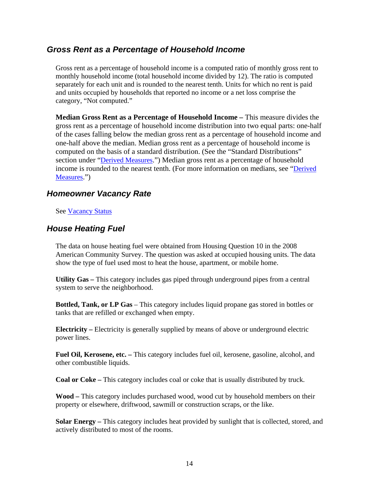#### <span id="page-13-0"></span>*Gross Rent as a Percentage of Household Income*

Gross rent as a percentage of household income is a computed ratio of monthly gross rent to monthly household income (total household income divided by 12). The ratio is computed separately for each unit and is rounded to the nearest tenth. Units for which no rent is paid and units occupied by households that reported no income or a net loss comprise the category, "Not computed."

**Median Gross Rent as a Percentage of Household Income –** This measure divides the gross rent as a percentage of household income distribution into two equal parts: one-half of the cases falling below the median gross rent as a percentage of household income and one-half above the median. Median gross rent as a percentage of household income is computed on the basis of a standard distribution. (See the "Standard Distributions" section under "Derived Measures.") Median gross rent as a percentage of household income is rounded to the nearest tenth. (For more information on medians, see "Derived Measures.")

#### *Homeowner Vacancy Rate*

See Vacancy Status

#### *House Heating Fuel*

The data on house heating fuel were obtained from Housing Question 10 in the 2008 American Community Survey. The question was asked at occupied housing units. The data show the type of fuel used most to heat the house, apartment, or mobile home.

**Utility Gas –** This category includes gas piped through underground pipes from a central system to serve the neighborhood.

**Bottled, Tank, or LP Gas** – This category includes liquid propane gas stored in bottles or tanks that are refilled or exchanged when empty.

**Electricity –** Electricity is generally supplied by means of above or underground electric power lines.

**Fuel Oil, Kerosene, etc. –** This category includes fuel oil, kerosene, gasoline, alcohol, and other combustible liquids.

**Coal or Coke –** This category includes coal or coke that is usually distributed by truck.

**Wood –** This category includes purchased wood, wood cut by household members on their property or elsewhere, driftwood, sawmill or construction scraps, or the like.

**Solar Energy** – This category includes heat provided by sunlight that is collected, stored, and actively distributed to most of the rooms.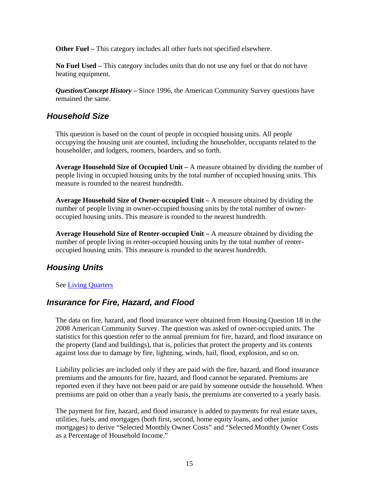<span id="page-14-0"></span>**Other Fuel –** This category includes all other fuels not specified elsewhere.

**No Fuel Used –** This category includes units that do not use any fuel or that do not have heating equipment.

*Question/Concept History* **–** Since 1996, the American Community Survey questions have remained the same.

#### *Household Size*

This question is based on the count of people in occupied housing units. All people occupying the housing unit are counted, including the householder, occupants related to the householder, and lodgers, roomers, boarders, and so forth.

**Average Household Size of Occupied Unit –** A measure obtained by dividing the number of people living in occupied housing units by the total number of occupied housing units. This measure is rounded to the nearest hundredth.

**Average Household Size of Owner-occupied Unit –** A measure obtained by dividing the number of people living in owner-occupied housing units by the total number of owneroccupied housing units. This measure is rounded to the nearest hundredth.

**Average Household Size of Renter-occupied Unit –** A measure obtained by dividing the number of people living in renter-occupied housing units by the total number of renteroccupied housing units. This measure is rounded to the nearest hundredth.

#### *Housing Units*

See Living Quarters

#### *Insurance for Fire, Hazard, and Flood*

The data on fire, hazard, and flood insurance were obtained from Housing Question 18 in the 2008 American Community Survey. The question was asked of owner-occupied units. The statistics for this question refer to the annual premium for fire, hazard, and flood insurance on the property (land and buildings), that is, policies that protect the property and its contents against loss due to damage by fire, lightning, winds, hail, flood, explosion, and so on.

Liability policies are included only if they are paid with the fire, hazard, and flood insurance premiums and the amounts for fire, hazard, and flood cannot be separated. Premiums are reported even if they have not been paid or are paid by someone outside the household. When premiums are paid on other than a yearly basis, the premiums are converted to a yearly basis.

The payment for fire, hazard, and flood insurance is added to payments for real estate taxes, utilities, fuels, and mortgages (both first, second, home equity loans, and other junior mortgages) to derive "Selected Monthly Owner Costs" and "Selected Monthly Owner Costs as a Percentage of Household Income."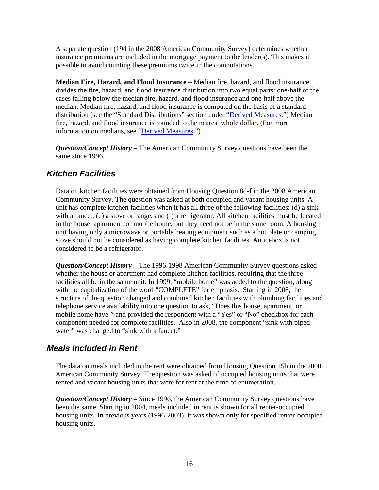<span id="page-15-0"></span>A separate question (19d in the 2008 American Community Survey) determines whether insurance premiums are included in the mortgage payment to the lender(s). This makes it possible to avoid counting these premiums twice in the computations.

**Median Fire, Hazard, and Flood Insurance –** Median fire, hazard, and flood insurance divides the fire, hazard, and flood insurance distribution into two equal parts: one-half of the cases falling below the median fire, hazard, and flood insurance and one-half above the median. Median fire, hazard, and flood insurance is computed on the basis of a standard distribution (see the "Standard Distributions" section under "Derived Measures.") Median fire, hazard, and flood insurance is rounded to the nearest whole dollar. (For more information on medians, see "Derived Measures.")

*Question/Concept History* **–** The American Community Survey questions have been the same since 1996.

#### *Kitchen Facilities*

Data on kitchen facilities were obtained from Housing Question 8d-f in the 2008 American Community Survey. The question was asked at both occupied and vacant housing units. A unit has complete kitchen facilities when it has all three of the following facilities: (d) a sink with a faucet, (e) a stove or range, and (f) a refrigerator. All kitchen facilities must be located in the house, apartment, or mobile home, but they need not be in the same room. A housing unit having only a microwave or portable heating equipment such as a hot plate or camping stove should not be considered as having complete kitchen facilities. An icebox is not considered to be a refrigerator.

*Question/Concept History* **–** The 1996-1998 American Community Survey questions asked whether the house or apartment had complete kitchen facilities, requiring that the three facilities all be in the same unit. In 1999, "mobile home" was added to the question, along with the capitalization of the word "COMPLETE" for emphasis. Starting in 2008, the structure of the question changed and combined kitchen facilities with plumbing facilities and telephone service availability into one question to ask, "Does this house, apartment, or mobile home have-" and provided the respondent with a "Yes" or "No" checkbox for each component needed for complete facilities. Also in 2008, the component "sink with piped water" was changed to "sink with a faucet."

#### *Meals Included in Rent*

The data on meals included in the rent were obtained from Housing Question 15b in the 2008 American Community Survey. The question was asked of occupied housing units that were rented and vacant housing units that were for rent at the time of enumeration.

*Question/Concept History* **–** Since 1996, the American Community Survey questions have been the same. Starting in 2004, meals included in rent is shown for all renter-occupied housing units. In previous years (1996-2003), it was shown only for specified renter-occupied housing units.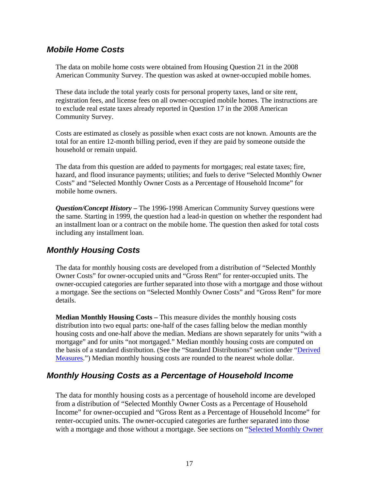#### <span id="page-16-0"></span>*Mobile Home Costs*

The data on mobile home costs were obtained from Housing Question 21 in the 2008 American Community Survey. The question was asked at owner-occupied mobile homes.

These data include the total yearly costs for personal property taxes, land or site rent, registration fees, and license fees on all owner-occupied mobile homes. The instructions are to exclude real estate taxes already reported in Question 17 in the 2008 American Community Survey.

Costs are estimated as closely as possible when exact costs are not known. Amounts are the total for an entire 12-month billing period, even if they are paid by someone outside the household or remain unpaid.

The data from this question are added to payments for mortgages; real estate taxes; fire, hazard, and flood insurance payments; utilities; and fuels to derive "Selected Monthly Owner Costs" and "Selected Monthly Owner Costs as a Percentage of Household Income" for mobile home owners.

*Question/Concept History* **–** The 1996-1998 American Community Survey questions were the same. Starting in 1999, the question had a lead-in question on whether the respondent had an installment loan or a contract on the mobile home. The question then asked for total costs including any installment loan.

#### *Monthly Housing Costs*

The data for monthly housing costs are developed from a distribution of "Selected Monthly Owner Costs" for owner-occupied units and "Gross Rent" for renter-occupied units. The owner-occupied categories are further separated into those with a mortgage and those without a mortgage. See the sections on "Selected Monthly Owner Costs" and "Gross Rent" for more details.

**Median Monthly Housing Costs –** This measure divides the monthly housing costs distribution into two equal parts: one-half of the cases falling below the median monthly housing costs and one-half above the median. Medians are shown separately for units "with a mortgage" and for units "not mortgaged." Median monthly housing costs are computed on the basis of a standard distribution. (See the "Standard Distributions" section under "Derived Measures.") Median monthly housing costs are rounded to the nearest whole dollar.

#### *Monthly Housing Costs as a Percentage of Household Income*

The data for monthly housing costs as a percentage of household income are developed from a distribution of "Selected Monthly Owner Costs as a Percentage of Household Income" for owner-occupied and "Gross Rent as a Percentage of Household Income" for renter-occupied units. The owner-occupied categories are further separated into those with a mortgage and those without a mortgage. See sections on "Selected Monthly Owner"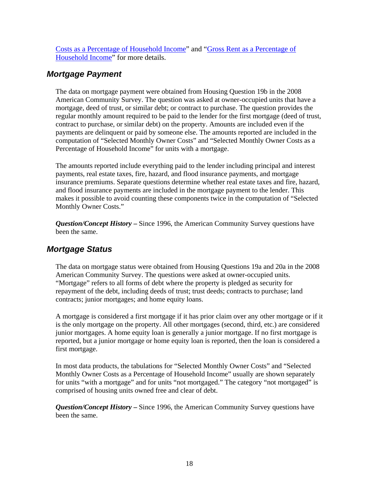Costs as a Percentage of Household Income" and "Gross Rent as a Percentage of Household Income" for more details.

#### *Mortgage Payment*

The data on mortgage payment were obtained from Housing Question 19b in the 2008 American Community Survey. The question was asked at owner-occupied units that have a mortgage, deed of trust, or similar debt; or contract to purchase. The question provides the regular monthly amount required to be paid to the lender for the first mortgage (deed of trust, contract to purchase, or similar debt) on the property. Amounts are included even if the payments are delinquent or paid by someone else. The amounts reported are included in the computation of "Selected Monthly Owner Costs" and "Selected Monthly Owner Costs as a Percentage of Household Income" for units with a mortgage.

The amounts reported include everything paid to the lender including principal and interest payments, real estate taxes, fire, hazard, and flood insurance payments, and mortgage insurance premiums. Separate questions determine whether real estate taxes and fire, hazard, and flood insurance payments are included in the mortgage payment to the lender. This makes it possible to avoid counting these components twice in the computation of "Selected Monthly Owner Costs."

*Question/Concept History* – Since 1996, the American Community Survey questions have been the same.

#### *Mortgage Status*

The data on mortgage status were obtained from Housing Questions 19a and 20a in the 2008 American Community Survey. The questions were asked at owner-occupied units. "Mortgage" refers to all forms of debt where the property is pledged as security for repayment of the debt, including deeds of trust; trust deeds; contracts to purchase; land contracts; junior mortgages; and home equity loans.

A mortgage is considered a first mortgage if it has prior claim over any other mortgage or if it is the only mortgage on the property. All other mortgages (second, third, etc.) are considered junior mortgages. A home equity loan is generally a junior mortgage. If no first mortgage is reported, but a junior mortgage or home equity loan is reported, then the loan is considered a first mortgage.

In most data products, the tabulations for "Selected Monthly Owner Costs" and "Selected Monthly Owner Costs as a Percentage of Household Income" usually are shown separately for units "with a mortgage" and for units "not mortgaged." The category "not mortgaged" is comprised of housing units owned free and clear of debt.

*Question/Concept History* **–** Since 1996, the American Community Survey questions have been the same.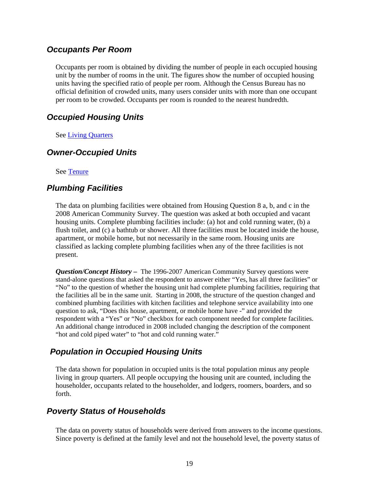#### *Occupants Per Room*

Occupants per room is obtained by dividing the number of people in each occupied housing unit by the number of rooms in the unit. The figures show the number of occupied housing units having the specified ratio of people per room. Although the Census Bureau has no official definition of crowded units, many users consider units with more than one occupant per room to be crowded. Occupants per room is rounded to the nearest hundredth.

#### *Occupied Housing Units*

See Living Quarters

#### *Owner-Occupied Units*

See Tenure

#### *Plumbing Facilities*

The data on plumbing facilities were obtained from Housing Question 8 a, b, and c in the 2008 American Community Survey. The question was asked at both occupied and vacant housing units. Complete plumbing facilities include: (a) hot and cold running water, (b) a flush toilet, and (c) a bathtub or shower. All three facilities must be located inside the house, apartment, or mobile home, but not necessarily in the same room. Housing units are classified as lacking complete plumbing facilities when any of the three facilities is not present.

*Question/Concept History –* The 1996-2007 American Community Survey questions were stand-alone questions that asked the respondent to answer either "Yes, has all three facilities" or "No" to the question of whether the housing unit had complete plumbing facilities, requiring that the facilities all be in the same unit. Starting in 2008, the structure of the question changed and combined plumbing facilities with kitchen facilities and telephone service availability into one question to ask, "Does this house, apartment, or mobile home have -" and provided the respondent with a "Yes" or "No" checkbox for each component needed for complete facilities. An additional change introduced in 2008 included changing the description of the component "hot and cold piped water" to "hot and cold running water."

#### *Population in Occupied Housing Units*

The data shown for population in occupied units is the total population minus any people living in group quarters. All people occupying the housing unit are counted, including the householder, occupants related to the householder, and lodgers, roomers, boarders, and so forth.

#### *Poverty Status of Households*

The data on poverty status of households were derived from answers to the income questions. Since poverty is defined at the family level and not the household level, the poverty status of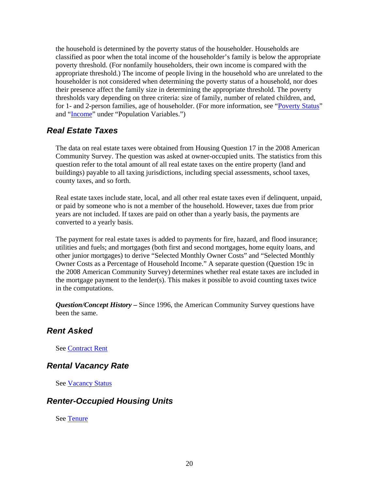the household is determined by the poverty status of the householder. Households are classified as poor when the total income of the householder's family is below the appropriate poverty threshold. (For nonfamily householders, their own income is compared with the appropriate threshold.) The income of people living in the household who are unrelated to the householder is not considered when determining the poverty status of a household, nor does their presence affect the family size in determining the appropriate threshold. The poverty thresholds vary depending on three criteria: size of family, number of related children, and, for 1- and 2-person families, age of householder. (For more information, see "Poverty Status" and "Income" under "Population Variables.")

#### *Real Estate Taxes*

The data on real estate taxes were obtained from Housing Question 17 in the 2008 American Community Survey. The question was asked at owner-occupied units. The statistics from this question refer to the total amount of all real estate taxes on the entire property (land and buildings) payable to all taxing jurisdictions, including special assessments, school taxes, county taxes, and so forth.

Real estate taxes include state, local, and all other real estate taxes even if delinquent, unpaid, or paid by someone who is not a member of the household. However, taxes due from prior years are not included. If taxes are paid on other than a yearly basis, the payments are converted to a yearly basis.

The payment for real estate taxes is added to payments for fire, hazard, and flood insurance; utilities and fuels; and mortgages (both first and second mortgages, home equity loans, and other junior mortgages) to derive "Selected Monthly Owner Costs" and "Selected Monthly Owner Costs as a Percentage of Household Income." A separate question (Question 19c in the 2008 American Community Survey) determines whether real estate taxes are included in the mortgage payment to the lender(s). This makes it possible to avoid counting taxes twice in the computations.

*Question/Concept History –* Since 1996, the American Community Survey questions have been the same.

#### *Rent Asked*

See Contract Rent

#### *Rental Vacancy Rate*

See Vacancy Status

#### *Renter-Occupied Housing Units*

See Tenure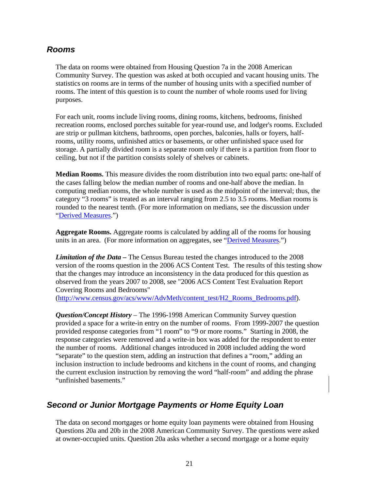#### *Rooms*

The data on rooms were obtained from Housing Question 7a in the 2008 American Community Survey. The question was asked at both occupied and vacant housing units. The statistics on rooms are in terms of the number of housing units with a specified number of rooms. The intent of this question is to count the number of whole rooms used for living purposes.

For each unit, rooms include living rooms, dining rooms, kitchens, bedrooms, finished recreation rooms, enclosed porches suitable for year-round use, and lodger's rooms. Excluded are strip or pullman kitchens, bathrooms, open porches, balconies, halls or foyers, halfrooms, utility rooms, unfinished attics or basements, or other unfinished space used for storage. A partially divided room is a separate room only if there is a partition from floor to ceiling, but not if the partition consists solely of shelves or cabinets.

**Median Rooms.** This measure divides the room distribution into two equal parts: one-half of the cases falling below the median number of rooms and one-half above the median. In computing median rooms, the whole number is used as the midpoint of the interval; thus, the category "3 rooms" is treated as an interval ranging from 2.5 to 3.5 rooms. Median rooms is rounded to the nearest tenth. (For more information on medians, see the discussion under "Derived Measures.")

**Aggregate Rooms.** Aggregate rooms is calculated by adding all of the rooms for housing units in an area. (For more information on aggregates, see "Derived Measures.")

**Limitation of the Data** – The Census Bureau tested the changes introduced to the 2008 version of the rooms question in the 2006 ACS Content Test. The results of this testing show that the changes may introduce an inconsistency in the data produced for this question as observed from the years 2007 to 2008, see "2006 ACS Content Test Evaluation Report Covering Rooms and Bedrooms"

(http://www.census.gov/acs/www/AdvMeth/content\_test/H2\_Rooms\_Bedrooms.pdf).

*Question/Concept History* – The 1996-1998 American Community Survey question provided a space for a write-in entry on the number of rooms. From 1999-2007 the question provided response categories from "1 room" to "9 or more rooms." Starting in 2008, the response categories were removed and a write-in box was added for the respondent to enter the number of rooms. Additional changes introduced in 2008 included adding the word "separate" to the question stem, adding an instruction that defines a "room," adding an inclusion instruction to include bedrooms and kitchens in the count of rooms, and changing the current exclusion instruction by removing the word "half-room" and adding the phrase "unfinished basements."

#### *Second or Junior Mortgage Payments or Home Equity Loan*

The data on second mortgages or home equity loan payments were obtained from Housing Questions 20a and 20b in the 2008 American Community Survey. The questions were asked at owner-occupied units. Question 20a asks whether a second mortgage or a home equity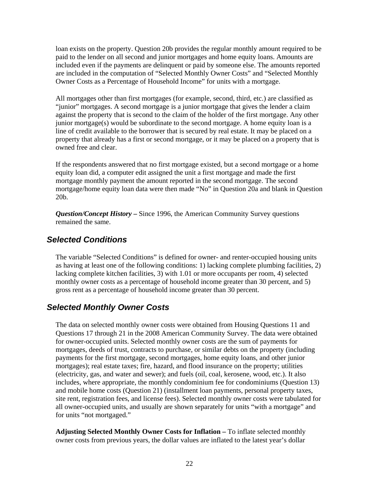loan exists on the property. Question 20b provides the regular monthly amount required to be paid to the lender on all second and junior mortgages and home equity loans. Amounts are included even if the payments are delinquent or paid by someone else. The amounts reported are included in the computation of "Selected Monthly Owner Costs" and "Selected Monthly Owner Costs as a Percentage of Household Income" for units with a mortgage.

All mortgages other than first mortgages (for example, second, third, etc.) are classified as "junior" mortgages. A second mortgage is a junior mortgage that gives the lender a claim against the property that is second to the claim of the holder of the first mortgage. Any other junior mortgage $(s)$  would be subordinate to the second mortgage. A home equity loan is a line of credit available to the borrower that is secured by real estate. It may be placed on a property that already has a first or second mortgage, or it may be placed on a property that is owned free and clear.

If the respondents answered that no first mortgage existed, but a second mortgage or a home equity loan did, a computer edit assigned the unit a first mortgage and made the first mortgage monthly payment the amount reported in the second mortgage. The second mortgage/home equity loan data were then made "No" in Question 20a and blank in Question 20b.

*Question/Concept History –* Since 1996, the American Community Survey questions remained the same.

#### *Selected Conditions*

The variable "Selected Conditions" is defined for owner- and renter-occupied housing units as having at least one of the following conditions: 1) lacking complete plumbing facilities, 2) lacking complete kitchen facilities, 3) with 1.01 or more occupants per room, 4) selected monthly owner costs as a percentage of household income greater than 30 percent, and 5) gross rent as a percentage of household income greater than 30 percent.

#### *Selected Monthly Owner Costs*

The data on selected monthly owner costs were obtained from Housing Questions 11 and Questions 17 through 21 in the 2008 American Community Survey. The data were obtained for owner-occupied units. Selected monthly owner costs are the sum of payments for mortgages, deeds of trust, contracts to purchase, or similar debts on the property (including payments for the first mortgage, second mortgages, home equity loans, and other junior mortgages); real estate taxes; fire, hazard, and flood insurance on the property; utilities (electricity, gas, and water and sewer); and fuels (oil, coal, kerosene, wood, etc.). It also includes, where appropriate, the monthly condominium fee for condominiums (Question 13) and mobile home costs (Question 21) (installment loan payments, personal property taxes, site rent, registration fees, and license fees). Selected monthly owner costs were tabulated for all owner-occupied units, and usually are shown separately for units "with a mortgage" and for units "not mortgaged."

**Adjusting Selected Monthly Owner Costs for Inflation –** To inflate selected monthly owner costs from previous years, the dollar values are inflated to the latest year's dollar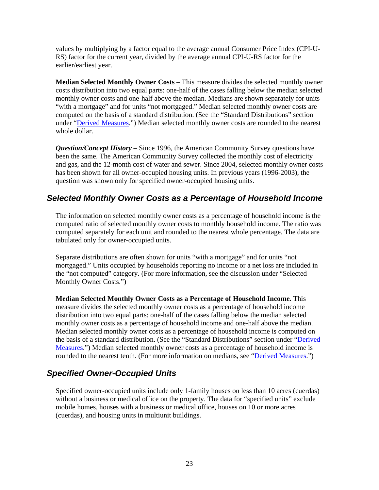values by multiplying by a factor equal to the average annual Consumer Price Index (CPI-U-RS) factor for the current year, divided by the average annual CPI-U-RS factor for the earlier/earliest year.

**Median Selected Monthly Owner Costs –** This measure divides the selected monthly owner costs distribution into two equal parts: one-half of the cases falling below the median selected monthly owner costs and one-half above the median. Medians are shown separately for units "with a mortgage" and for units "not mortgaged." Median selected monthly owner costs are computed on the basis of a standard distribution. (See the "Standard Distributions" section under "Derived Measures.") Median selected monthly owner costs are rounded to the nearest whole dollar.

*Question/Concept History –* Since 1996, the American Community Survey questions have been the same. The American Community Survey collected the monthly cost of electricity and gas, and the 12-month cost of water and sewer. Since 2004, selected monthly owner costs has been shown for all owner-occupied housing units. In previous years (1996-2003), the question was shown only for specified owner-occupied housing units.

#### *Selected Monthly Owner Costs as a Percentage of Household Income*

The information on selected monthly owner costs as a percentage of household income is the computed ratio of selected monthly owner costs to monthly household income. The ratio was computed separately for each unit and rounded to the nearest whole percentage. The data are tabulated only for owner-occupied units.

Separate distributions are often shown for units "with a mortgage" and for units "not mortgaged." Units occupied by households reporting no income or a net loss are included in the "not computed" category. (For more information, see the discussion under "Selected Monthly Owner Costs.")

**Median Selected Monthly Owner Costs as a Percentage of Household Income.** This measure divides the selected monthly owner costs as a percentage of household income distribution into two equal parts: one-half of the cases falling below the median selected monthly owner costs as a percentage of household income and one-half above the median. Median selected monthly owner costs as a percentage of household income is computed on the basis of a standard distribution. (See the "Standard Distributions" section under "Derived Measures.") Median selected monthly owner costs as a percentage of household income is rounded to the nearest tenth. (For more information on medians, see "Derived Measures.")

#### *Specified Owner-Occupied Units*

Specified owner-occupied units include only 1-family houses on less than 10 acres (cuerdas) without a business or medical office on the property. The data for "specified units" exclude mobile homes, houses with a business or medical office, houses on 10 or more acres (cuerdas), and housing units in multiunit buildings.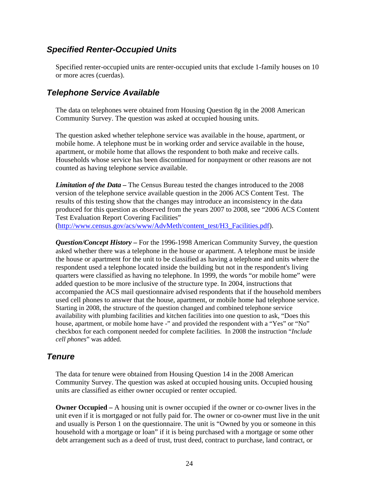#### *Specified Renter-Occupied Units*

Specified renter-occupied units are renter-occupied units that exclude 1-family houses on 10 or more acres (cuerdas).

#### *Telephone Service Available*

The data on telephones were obtained from Housing Question 8g in the 2008 American Community Survey. The question was asked at occupied housing units.

The question asked whether telephone service was available in the house, apartment, or mobile home. A telephone must be in working order and service available in the house, apartment, or mobile home that allows the respondent to both make and receive calls. Households whose service has been discontinued for nonpayment or other reasons are not counted as having telephone service available.

**Limitation of the Data** – The Census Bureau tested the changes introduced to the 2008 version of the telephone service available question in the 2006 ACS Content Test. The results of this testing show that the changes may introduce an inconsistency in the data produced for this question as observed from the years 2007 to 2008, see "2006 ACS Content Test Evaluation Report Covering Facilities"

(http://www.census.gov/acs/www/AdvMeth/content\_test/H3\_Facilities.pdf).

*Question/Concept History – For the 1996-1998 American Community Survey, the question* asked whether there was a telephone in the house or apartment. A telephone must be inside the house or apartment for the unit to be classified as having a telephone and units where the respondent used a telephone located inside the building but not in the respondent's living quarters were classified as having no telephone. In 1999, the words "or mobile home" were added question to be more inclusive of the structure type. In 2004, instructions that accompanied the ACS mail questionnaire advised respondents that if the household members used cell phones to answer that the house, apartment, or mobile home had telephone service. Starting in 2008, the structure of the question changed and combined telephone service availability with plumbing facilities and kitchen facilities into one question to ask, "Does this house, apartment, or mobile home have -" and provided the respondent with a "Yes" or "No" checkbox for each component needed for complete facilities. In 2008 the instruction "*Include cell phones*" was added.

#### *Tenure*

The data for tenure were obtained from Housing Question 14 in the 2008 American Community Survey. The question was asked at occupied housing units. Occupied housing units are classified as either owner occupied or renter occupied.

**Owner Occupied** – A housing unit is owner occupied if the owner or co-owner lives in the unit even if it is mortgaged or not fully paid for. The owner or co-owner must live in the unit and usually is Person 1 on the questionnaire. The unit is "Owned by you or someone in this household with a mortgage or loan" if it is being purchased with a mortgage or some other debt arrangement such as a deed of trust, trust deed, contract to purchase, land contract, or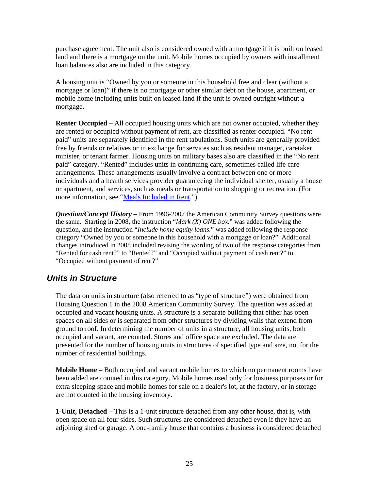purchase agreement. The unit also is considered owned with a mortgage if it is built on leased land and there is a mortgage on the unit. Mobile homes occupied by owners with installment loan balances also are included in this category.

A housing unit is "Owned by you or someone in this household free and clear (without a mortgage or loan)" if there is no mortgage or other similar debt on the house, apartment, or mobile home including units built on leased land if the unit is owned outright without a mortgage.

**Renter Occupied – All occupied housing units which are not owner occupied, whether they** are rented or occupied without payment of rent, are classified as renter occupied. "No rent paid" units are separately identified in the rent tabulations. Such units are generally provided free by friends or relatives or in exchange for services such as resident manager, caretaker, minister, or tenant farmer. Housing units on military bases also are classified in the "No rent paid" category. "Rented" includes units in continuing care, sometimes called life care arrangements. These arrangements usually involve a contract between one or more individuals and a health services provider guaranteeing the individual shelter, usually a house or apartment, and services, such as meals or transportation to shopping or recreation. (For more information, see "Meals Included in Rent.")

*Question/Concept History – From 1996-2007* the American Community Survey questions were the same. Starting in 2008, the instruction "*Mark (X) ONE box.*" was added following the question, and the instruction "*Include home equity loans.*" was added following the response category "Owned by you or someone in this household with a mortgage or loan?" Additional changes introduced in 2008 included revising the wording of two of the response categories from "Rented for cash rent?" to "Rented?" and "Occupied without payment of cash rent?" to "Occupied without payment of rent?"

#### *Units in Structure*

The data on units in structure (also referred to as "type of structure") were obtained from Housing Question 1 in the 2008 American Community Survey. The question was asked at occupied and vacant housing units. A structure is a separate building that either has open spaces on all sides or is separated from other structures by dividing walls that extend from ground to roof. In determining the number of units in a structure, all housing units, both occupied and vacant, are counted. Stores and office space are excluded. The data are presented for the number of housing units in structures of specified type and size, not for the number of residential buildings.

**Mobile Home –** Both occupied and vacant mobile homes to which no permanent rooms have been added are counted in this category. Mobile homes used only for business purposes or for extra sleeping space and mobile homes for sale on a dealer's lot, at the factory, or in storage are not counted in the housing inventory.

**1-Unit, Detached –** This is a 1-unit structure detached from any other house, that is, with open space on all four sides. Such structures are considered detached even if they have an adjoining shed or garage. A one-family house that contains a business is considered detached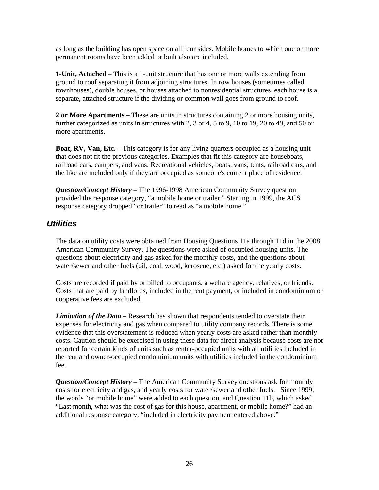as long as the building has open space on all four sides. Mobile homes to which one or more permanent rooms have been added or built also are included.

**1-Unit, Attached –** This is a 1-unit structure that has one or more walls extending from ground to roof separating it from adjoining structures. In row houses (sometimes called townhouses), double houses, or houses attached to nonresidential structures, each house is a separate, attached structure if the dividing or common wall goes from ground to roof.

**2 or More Apartments –** These are units in structures containing 2 or more housing units, further categorized as units in structures with 2, 3 or 4, 5 to 9, 10 to 19, 20 to 49, and 50 or more apartments.

**Boat, RV, Van, Etc. –** This category is for any living quarters occupied as a housing unit that does not fit the previous categories. Examples that fit this category are houseboats, railroad cars, campers, and vans. Recreational vehicles, boats, vans, tents, railroad cars, and the like are included only if they are occupied as someone's current place of residence.

*Question/Concept History –* The 1996-1998 American Community Survey question provided the response category, "a mobile home or trailer." Starting in 1999, the ACS response category dropped "or trailer" to read as "a mobile home."

#### *Utilities*

The data on utility costs were obtained from Housing Questions 11a through 11d in the 2008 American Community Survey. The questions were asked of occupied housing units. The questions about electricity and gas asked for the monthly costs, and the questions about water/sewer and other fuels (oil, coal, wood, kerosene, etc.) asked for the yearly costs.

Costs are recorded if paid by or billed to occupants, a welfare agency, relatives, or friends. Costs that are paid by landlords, included in the rent payment, or included in condominium or cooperative fees are excluded.

**Limitation of the Data** – Research has shown that respondents tended to overstate their expenses for electricity and gas when compared to utility company records. There is some evidence that this overstatement is reduced when yearly costs are asked rather than monthly costs. Caution should be exercised in using these data for direct analysis because costs are not reported for certain kinds of units such as renter-occupied units with all utilities included in the rent and owner-occupied condominium units with utilities included in the condominium fee.

*Question/Concept History –* The American Community Survey questions ask for monthly costs for electricity and gas, and yearly costs for water/sewer and other fuels. Since 1999, the words "or mobile home" were added to each question, and Question 11b, which asked "Last month, what was the cost of gas for this house, apartment, or mobile home?" had an additional response category, "included in electricity payment entered above."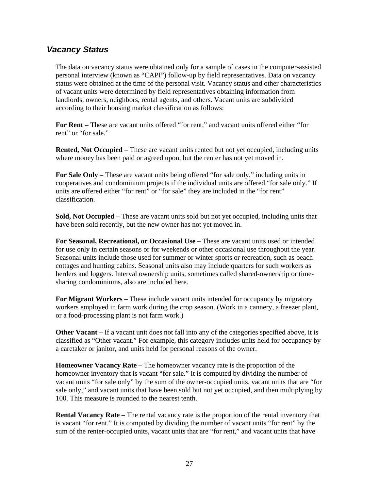#### *Vacancy Status*

The data on vacancy status were obtained only for a sample of cases in the computer-assisted personal interview (known as "CAPI") follow-up by field representatives. Data on vacancy status were obtained at the time of the personal visit. Vacancy status and other characteristics of vacant units were determined by field representatives obtaining information from landlords, owners, neighbors, rental agents, and others. Vacant units are subdivided according to their housing market classification as follows:

**For Rent –** These are vacant units offered "for rent," and vacant units offered either "for rent" or "for sale."

**Rented, Not Occupied** – These are vacant units rented but not yet occupied, including units where money has been paid or agreed upon, but the renter has not yet moved in.

**For Sale Only –** These are vacant units being offered "for sale only," including units in cooperatives and condominium projects if the individual units are offered "for sale only." If units are offered either "for rent" or "for sale" they are included in the "for rent" classification.

**Sold, Not Occupied** – These are vacant units sold but not yet occupied, including units that have been sold recently, but the new owner has not yet moved in.

**For Seasonal, Recreational, or Occasional Use –** These are vacant units used or intended for use only in certain seasons or for weekends or other occasional use throughout the year. Seasonal units include those used for summer or winter sports or recreation, such as beach cottages and hunting cabins. Seasonal units also may include quarters for such workers as herders and loggers. Interval ownership units, sometimes called shared-ownership or timesharing condominiums, also are included here.

**For Migrant Workers –** These include vacant units intended for occupancy by migratory workers employed in farm work during the crop season. (Work in a cannery, a freezer plant, or a food-processing plant is not farm work.)

**Other Vacant –** If a vacant unit does not fall into any of the categories specified above, it is classified as "Other vacant." For example, this category includes units held for occupancy by a caretaker or janitor, and units held for personal reasons of the owner.

**Homeowner Vacancy Rate –** The homeowner vacancy rate is the proportion of the homeowner inventory that is vacant "for sale." It is computed by dividing the number of vacant units "for sale only" by the sum of the owner-occupied units, vacant units that are "for sale only," and vacant units that have been sold but not yet occupied, and then multiplying by 100. This measure is rounded to the nearest tenth.

**Rental Vacancy Rate** – The rental vacancy rate is the proportion of the rental inventory that is vacant "for rent." It is computed by dividing the number of vacant units "for rent" by the sum of the renter-occupied units, vacant units that are "for rent," and vacant units that have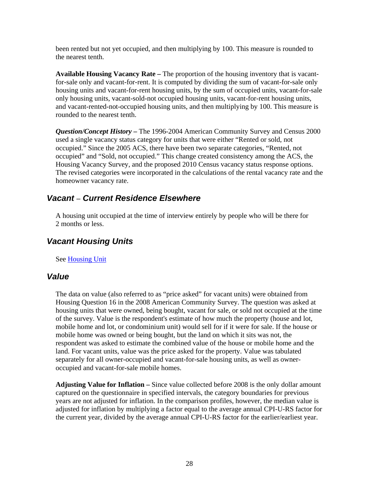been rented but not yet occupied, and then multiplying by 100. This measure is rounded to the nearest tenth.

**Available Housing Vacancy Rate –** The proportion of the housing inventory that is vacantfor-sale only and vacant-for-rent. It is computed by dividing the sum of vacant-for-sale only housing units and vacant-for-rent housing units, by the sum of occupied units, vacant-for-sale only housing units, vacant-sold-not occupied housing units, vacant-for-rent housing units, and vacant-rented-not-occupied housing units, and then multiplying by 100. This measure is rounded to the nearest tenth.

*Question/Concept History –* The 1996-2004 American Community Survey and Census 2000 used a single vacancy status category for units that were either "Rented or sold, not occupied." Since the 2005 ACS, there have been two separate categories, "Rented, not occupied" and "Sold, not occupied." This change created consistency among the ACS, the Housing Vacancy Survey, and the proposed 2010 Census vacancy status response options. The revised categories were incorporated in the calculations of the rental vacancy rate and the homeowner vacancy rate.

#### *Vacant – Current Residence Elsewhere*

A housing unit occupied at the time of interview entirely by people who will be there for 2 months or less.

#### *Vacant Housing Units*

See Housing Unit

#### *Value*

The data on value (also referred to as "price asked" for vacant units) were obtained from Housing Question 16 in the 2008 American Community Survey. The question was asked at housing units that were owned, being bought, vacant for sale, or sold not occupied at the time of the survey. Value is the respondent's estimate of how much the property (house and lot, mobile home and lot, or condominium unit) would sell for if it were for sale. If the house or mobile home was owned or being bought, but the land on which it sits was not, the respondent was asked to estimate the combined value of the house or mobile home and the land. For vacant units, value was the price asked for the property. Value was tabulated separately for all owner-occupied and vacant-for-sale housing units, as well as owneroccupied and vacant-for-sale mobile homes.

**Adjusting Value for Inflation –** Since value collected before 2008 is the only dollar amount captured on the questionnaire in specified intervals, the category boundaries for previous years are not adjusted for inflation. In the comparison profiles, however, the median value is adjusted for inflation by multiplying a factor equal to the average annual CPI-U-RS factor for the current year, divided by the average annual CPI-U-RS factor for the earlier/earliest year.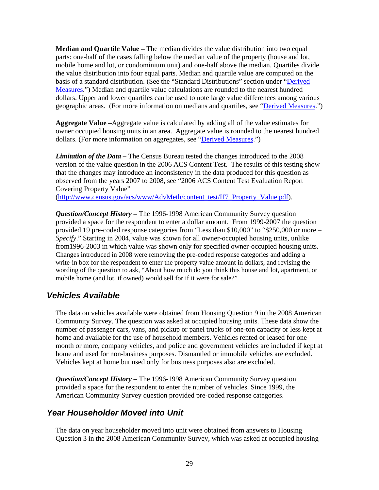**Median and Quartile Value –** The median divides the value distribution into two equal parts: one-half of the cases falling below the median value of the property (house and lot, mobile home and lot, or condominium unit) and one-half above the median. Quartiles divide the value distribution into four equal parts. Median and quartile value are computed on the basis of a standard distribution. (See the "Standard Distributions" section under "Derived Measures.") Median and quartile value calculations are rounded to the nearest hundred dollars. Upper and lower quartiles can be used to note large value differences among various geographic areas. (For more information on medians and quartiles, see "Derived Measures.")

**Aggregate Value –**Aggregate value is calculated by adding all of the value estimates for owner occupied housing units in an area. Aggregate value is rounded to the nearest hundred dollars. (For more information on aggregates, see "Derived Measures.")

*Limitation of the Data* – The Census Bureau tested the changes introduced to the 2008 version of the value question in the 2006 ACS Content Test. The results of this testing show that the changes may introduce an inconsistency in the data produced for this question as observed from the years 2007 to 2008, see "2006 ACS Content Test Evaluation Report Covering Property Value"

(http://www.census.gov/acs/www/AdvMeth/content\_test/H7\_Property\_Value.pdf).

*Question/Concept History –* The 1996-1998 American Community Survey question provided a space for the respondent to enter a dollar amount. From 1999-2007 the question provided 19 pre-coded response categories from "Less than \$10,000" to "\$250,000 or more – *Specify*." Starting in 2004, value was shown for all owner-occupied housing units, unlike from1996-2003 in which value was shown only for specified owner-occupied housing units. Changes introduced in 2008 were removing the pre-coded response categories and adding a write-in box for the respondent to enter the property value amount in dollars, and revising the wording of the question to ask, "About how much do you think this house and lot, apartment, or mobile home (and lot, if owned) would sell for if it were for sale?"

#### *Vehicles Available*

The data on vehicles available were obtained from Housing Question 9 in the 2008 American Community Survey. The question was asked at occupied housing units. These data show the number of passenger cars, vans, and pickup or panel trucks of one-ton capacity or less kept at home and available for the use of household members. Vehicles rented or leased for one month or more, company vehicles, and police and government vehicles are included if kept at home and used for non-business purposes. Dismantled or immobile vehicles are excluded. Vehicles kept at home but used only for business purposes also are excluded.

*Question/Concept History –* The 1996-1998 American Community Survey question provided a space for the respondent to enter the number of vehicles. Since 1999, the American Community Survey question provided pre-coded response categories.

#### *Year Householder Moved into Unit*

The data on year householder moved into unit were obtained from answers to Housing Question 3 in the 2008 American Community Survey, which was asked at occupied housing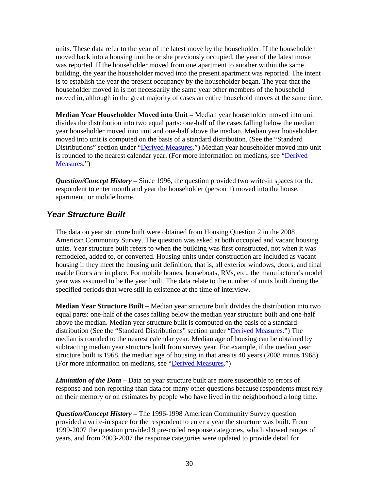units. These data refer to the year of the latest move by the householder. If the householder moved back into a housing unit he or she previously occupied, the year of the latest move was reported. If the householder moved from one apartment to another within the same building, the year the householder moved into the present apartment was reported. The intent is to establish the year the present occupancy by the householder began. The year that the householder moved in is not necessarily the same year other members of the household moved in, although in the great majority of cases an entire household moves at the same time.

**Median Year Householder Moved into Unit –** Median year householder moved into unit divides the distribution into two equal parts: one-half of the cases falling below the median year householder moved into unit and one-half above the median. Median year householder moved into unit is computed on the basis of a standard distribution. (See the "Standard Distributions" section under "Derived Measures.") Median year householder moved into unit is rounded to the nearest calendar year. (For more information on medians, see "Derived Measures.")

*Question/Concept History –* Since 1996, the question provided two write-in spaces for the respondent to enter month and year the householder (person 1) moved into the house, apartment, or mobile home.

#### *Year Structure Built*

The data on year structure built were obtained from Housing Question 2 in the 2008 American Community Survey. The question was asked at both occupied and vacant housing units. Year structure built refers to when the building was first constructed, not when it was remodeled, added to, or converted. Housing units under construction are included as vacant housing if they meet the housing unit definition, that is, all exterior windows, doors, and final usable floors are in place. For mobile homes, houseboats, RVs, etc., the manufacturer's model year was assumed to be the year built. The data relate to the number of units built during the specified periods that were still in existence at the time of interview.

**Median Year Structure Built –** Median year structure built divides the distribution into two equal parts: one-half of the cases falling below the median year structure built and one-half above the median. Median year structure built is computed on the basis of a standard distribution (See the "Standard Distributions" section under "Derived Measures.") The median is rounded to the nearest calendar year. Median age of housing can be obtained by subtracting median year structure built from survey year. For example, if the median year structure built is 1968, the median age of housing in that area is 40 years (2008 minus 1968). (For more information on medians, see "Derived Measures.")

*Limitation of the Data* **–** Data on year structure built are more susceptible to errors of response and non-reporting than data for many other questions because respondents must rely on their memory or on estimates by people who have lived in the neighborhood a long time.

*Question/Concept History –* The 1996-1998 American Community Survey question provided a write-in space for the respondent to enter a year the structure was built. From 1999-2007 the question provided 9 pre-coded response categories, which showed ranges of years, and from 2003-2007 the response categories were updated to provide detail for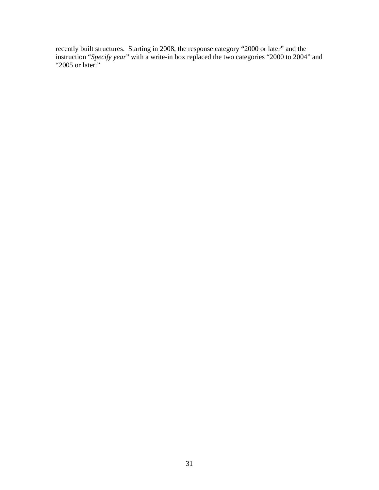recently built structures. Starting in 2008, the response category "2000 or later" and the instruction "*Specify year*" with a write-in box replaced the two categories "2000 to 2004" and "2005 or later."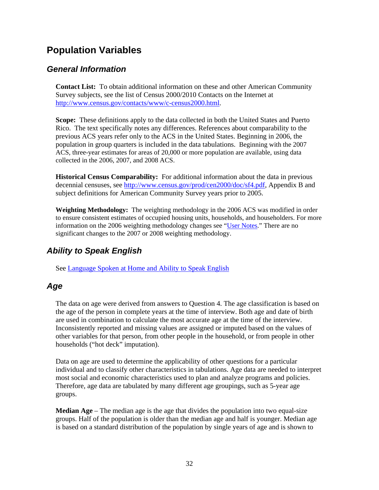## **Population Variables**

#### *General Information*

**Contact List:** To obtain additional information on these and other American Community Survey subjects, see the list of Census 2000/2010 Contacts on the Internet at http://www.census.gov/contacts/www/c-census2000.html.

**Scope:** These definitions apply to the data collected in both the United States and Puerto Rico. The text specifically notes any differences. References about comparability to the previous ACS years refer only to the ACS in the United States. Beginning in 2006, the population in group quarters is included in the data tabulations. Beginning with the 2007 ACS, three-year estimates for areas of 20,000 or more population are available, using data collected in the 2006, 2007, and 2008 ACS.

**Historical Census Comparability:** For additional information about the data in previous decennial censuses, see http://www.census.gov/prod/cen2000/doc/sf4.pdf, Appendix B and subject definitions for American Community Survey years prior to 2005.

**Weighting Methodology:** The weighting methodology in the 2006 ACS was modified in order to ensure consistent estimates of occupied housing units, households, and householders. For more information on the 2006 weighting methodology changes see "User Notes." There are no significant changes to the 2007 or 2008 weighting methodology.

### *Ability to Speak English*

See Language Spoken at Home and Ability to Speak English

#### *Age*

The data on age were derived from answers to Question 4. The age classification is based on the age of the person in complete years at the time of interview. Both age and date of birth are used in combination to calculate the most accurate age at the time of the interview. Inconsistently reported and missing values are assigned or imputed based on the values of other variables for that person, from other people in the household, or from people in other households ("hot deck" imputation).

Data on age are used to determine the applicability of other questions for a particular individual and to classify other characteristics in tabulations. Age data are needed to interpret most social and economic characteristics used to plan and analyze programs and policies. Therefore, age data are tabulated by many different age groupings, such as 5-year age groups.

**Median Age** – The median age is the age that divides the population into two equal-size groups. Half of the population is older than the median age and half is younger. Median age is based on a standard distribution of the population by single years of age and is shown to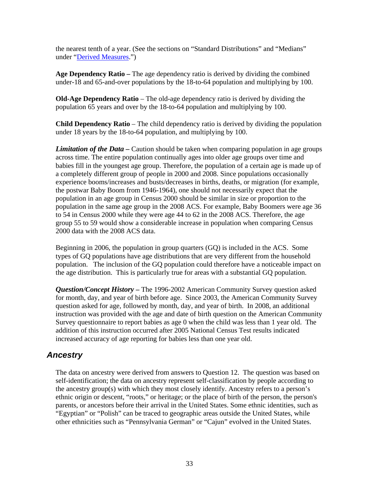the nearest tenth of a year. (See the sections on "Standard Distributions" and "Medians" under "Derived Measures.")

**Age Dependency Ratio –** The age dependency ratio is derived by dividing the combined under-18 and 65-and-over populations by the 18-to-64 population and multiplying by 100.

**Old-Age Dependency Ratio** – The old-age dependency ratio is derived by dividing the population 65 years and over by the 18-to-64 population and multiplying by 100.

**Child Dependency Ratio** – The child dependency ratio is derived by dividing the population under 18 years by the 18-to-64 population, and multiplying by 100.

*Limitation of the Data* – Caution should be taken when comparing population in age groups across time. The entire population continually ages into older age groups over time and babies fill in the youngest age group. Therefore, the population of a certain age is made up of a completely different group of people in 2000 and 2008. Since populations occasionally experience booms/increases and busts/decreases in births, deaths, or migration (for example, the postwar Baby Boom from 1946-1964), one should not necessarily expect that the population in an age group in Census 2000 should be similar in size or proportion to the population in the same age group in the 2008 ACS. For example, Baby Boomers were age 36 to 54 in Census 2000 while they were age 44 to 62 in the 2008 ACS. Therefore, the age group 55 to 59 would show a considerable increase in population when comparing Census 2000 data with the 2008 ACS data.

Beginning in 2006, the population in group quarters (GQ) is included in the ACS. Some types of GQ populations have age distributions that are very different from the household population. The inclusion of the GQ population could therefore have a noticeable impact on the age distribution. This is particularly true for areas with a substantial GQ population.

*Question/Concept History –* The 1996-2002 American Community Survey question asked for month, day, and year of birth before age. Since 2003, the American Community Survey question asked for age, followed by month, day, and year of birth. In 2008, an additional instruction was provided with the age and date of birth question on the American Community Survey questionnaire to report babies as age 0 when the child was less than 1 year old. The addition of this instruction occurred after 2005 National Census Test results indicated increased accuracy of age reporting for babies less than one year old.

#### *Ancestry*

The data on ancestry were derived from answers to Question 12. The question was based on self-identification; the data on ancestry represent self-classification by people according to the ancestry group(s) with which they most closely identify. Ancestry refers to a person's ethnic origin or descent, "roots," or heritage; or the place of birth of the person, the person's parents, or ancestors before their arrival in the United States. Some ethnic identities, such as "Egyptian" or "Polish" can be traced to geographic areas outside the United States, while other ethnicities such as "Pennsylvania German" or "Cajun" evolved in the United States.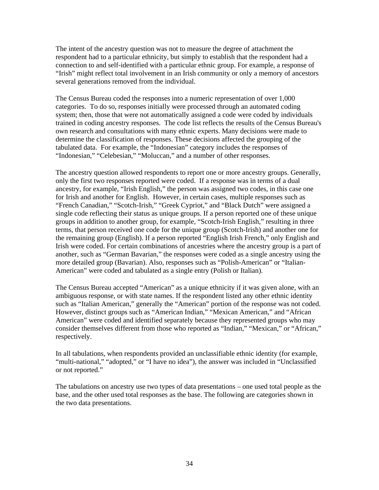The intent of the ancestry question was not to measure the degree of attachment the respondent had to a particular ethnicity, but simply to establish that the respondent had a connection to and self-identified with a particular ethnic group. For example, a response of "Irish" might reflect total involvement in an Irish community or only a memory of ancestors several generations removed from the individual.

The Census Bureau coded the responses into a numeric representation of over 1,000 categories. To do so, responses initially were processed through an automated coding system; then, those that were not automatically assigned a code were coded by individuals trained in coding ancestry responses. The code list reflects the results of the Census Bureau's own research and consultations with many ethnic experts. Many decisions were made to determine the classification of responses. These decisions affected the grouping of the tabulated data. For example, the "Indonesian" category includes the responses of "Indonesian," "Celebesian," "Moluccan," and a number of other responses.

The ancestry question allowed respondents to report one or more ancestry groups. Generally, only the first two responses reported were coded. If a response was in terms of a dual ancestry, for example, "Irish English," the person was assigned two codes, in this case one for Irish and another for English. However, in certain cases, multiple responses such as "French Canadian," "Scotch-Irish," "Greek Cypriot," and "Black Dutch" were assigned a single code reflecting their status as unique groups. If a person reported one of these unique groups in addition to another group, for example, "Scotch-Irish English," resulting in three terms, that person received one code for the unique group (Scotch-Irish) and another one for the remaining group (English). If a person reported "English Irish French," only English and Irish were coded. For certain combinations of ancestries where the ancestry group is a part of another, such as "German Bavarian," the responses were coded as a single ancestry using the more detailed group (Bavarian). Also, responses such as "Polish-American" or "Italian-American" were coded and tabulated as a single entry (Polish or Italian).

The Census Bureau accepted "American" as a unique ethnicity if it was given alone, with an ambiguous response, or with state names. If the respondent listed any other ethnic identity such as "Italian American," generally the "American" portion of the response was not coded. However, distinct groups such as "American Indian," "Mexican American," and "African American" were coded and identified separately because they represented groups who may consider themselves different from those who reported as "Indian," "Mexican," or "African," respectively.

In all tabulations, when respondents provided an unclassifiable ethnic identity (for example, "multi-national," "adopted," or "I have no idea"), the answer was included in "Unclassified or not reported."

The tabulations on ancestry use two types of data presentations – one used total people as the base, and the other used total responses as the base. The following are categories shown in the two data presentations.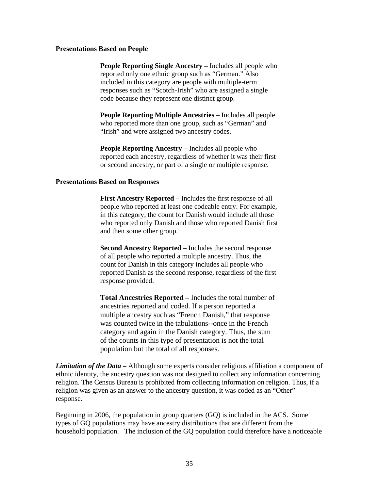#### **Presentations Based on People**

**People Reporting Single Ancestry –** Includes all people who reported only one ethnic group such as "German." Also included in this category are people with multiple-term responses such as "Scotch-Irish" who are assigned a single code because they represent one distinct group.

**People Reporting Multiple Ancestries –** Includes all people who reported more than one group, such as "German" and "Irish" and were assigned two ancestry codes.

**People Reporting Ancestry –** Includes all people who reported each ancestry, regardless of whether it was their first or second ancestry, or part of a single or multiple response.

#### **Presentations Based on Responses**

**First Ancestry Reported –** Includes the first response of all people who reported at least one codeable entry. For example, in this category, the count for Danish would include all those who reported only Danish and those who reported Danish first and then some other group.

**Second Ancestry Reported –** Includes the second response of all people who reported a multiple ancestry. Thus, the count for Danish in this category includes all people who reported Danish as the second response, regardless of the first response provided.

**Total Ancestries Reported –** Includes the total number of ancestries reported and coded. If a person reported a multiple ancestry such as "French Danish," that response was counted twice in the tabulations--once in the French category and again in the Danish category. Thus, the sum of the counts in this type of presentation is not the total population but the total of all responses.

*Limitation of the Data* **–** Although some experts consider religious affiliation a component of ethnic identity, the ancestry question was not designed to collect any information concerning religion. The Census Bureau is prohibited from collecting information on religion. Thus, if a religion was given as an answer to the ancestry question, it was coded as an "Other" response.

Beginning in 2006, the population in group quarters (GQ) is included in the ACS. Some types of GQ populations may have ancestry distributions that are different from the household population. The inclusion of the GQ population could therefore have a noticeable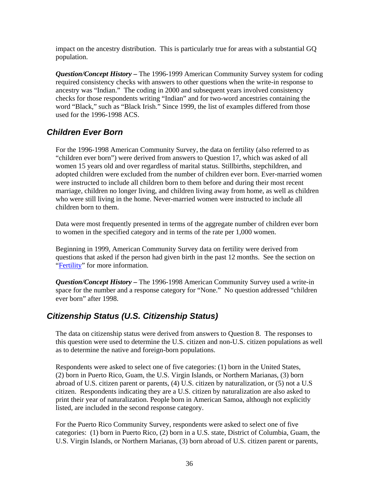impact on the ancestry distribution. This is particularly true for areas with a substantial GQ population.

*Question/Concept History –* The 1996-1999 American Community Survey system for coding required consistency checks with answers to other questions when the write-in response to ancestry was "Indian." The coding in 2000 and subsequent years involved consistency checks for those respondents writing "Indian" and for two-word ancestries containing the word "Black," such as "Black Irish." Since 1999, the list of examples differed from those used for the 1996-1998 ACS.

#### *Children Ever Born*

For the 1996-1998 American Community Survey, the data on fertility (also referred to as "children ever born") were derived from answers to Question 17, which was asked of all women 15 years old and over regardless of marital status. Stillbirths, stepchildren, and adopted children were excluded from the number of children ever born. Ever-married women were instructed to include all children born to them before and during their most recent marriage, children no longer living, and children living away from home, as well as children who were still living in the home. Never-married women were instructed to include all children born to them.

Data were most frequently presented in terms of the aggregate number of children ever born to women in the specified category and in terms of the rate per 1,000 women.

Beginning in 1999, American Community Survey data on fertility were derived from questions that asked if the person had given birth in the past 12 months. See the section on "Fertility" for more information.

*Question/Concept History –* The 1996-1998 American Community Survey used a write-in space for the number and a response category for "None." No question addressed "children ever born" after 1998.

### *Citizenship Status (U.S. Citizenship Status)*

The data on citizenship status were derived from answers to Question 8. The responses to this question were used to determine the U.S. citizen and non-U.S. citizen populations as well as to determine the native and foreign-born populations.

Respondents were asked to select one of five categories: (1) born in the United States, (2) born in Puerto Rico, Guam, the U.S. Virgin Islands, or Northern Marianas, (3) born abroad of U.S. citizen parent or parents, (4) U.S. citizen by naturalization, or (5) not a U.S citizen. Respondents indicating they are a U.S. citizen by naturalization are also asked to print their year of naturalization. People born in American Samoa, although not explicitly listed, are included in the second response category.

For the Puerto Rico Community Survey, respondents were asked to select one of five categories: (1) born in Puerto Rico, (2) born in a U.S. state, District of Columbia, Guam, the U.S. Virgin Islands, or Northern Marianas, (3) born abroad of U.S. citizen parent or parents,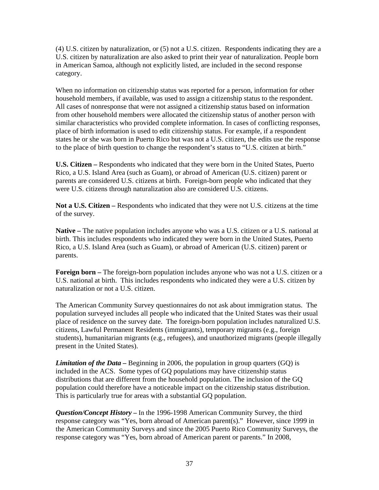(4) U.S. citizen by naturalization, or (5) not a U.S. citizen. Respondents indicating they are a U.S. citizen by naturalization are also asked to print their year of naturalization. People born in American Samoa, although not explicitly listed, are included in the second response category.

When no information on citizenship status was reported for a person, information for other household members, if available, was used to assign a citizenship status to the respondent. All cases of nonresponse that were not assigned a citizenship status based on information from other household members were allocated the citizenship status of another person with similar characteristics who provided complete information. In cases of conflicting responses, place of birth information is used to edit citizenship status. For example, if a respondent states he or she was born in Puerto Rico but was not a U.S. citizen, the edits use the response to the place of birth question to change the respondent's status to "U.S. citizen at birth."

**U.S. Citizen –** Respondents who indicated that they were born in the United States, Puerto Rico, a U.S. Island Area (such as Guam), or abroad of American (U.S. citizen) parent or parents are considered U.S. citizens at birth. Foreign-born people who indicated that they were U.S. citizens through naturalization also are considered U.S. citizens.

**Not a U.S. Citizen –** Respondents who indicated that they were not U.S. citizens at the time of the survey.

**Native –** The native population includes anyone who was a U.S. citizen or a U.S. national at birth. This includes respondents who indicated they were born in the United States, Puerto Rico, a U.S. Island Area (such as Guam), or abroad of American (U.S. citizen) parent or parents.

**Foreign born –** The foreign-born population includes anyone who was not a U.S. citizen or a U.S. national at birth. This includes respondents who indicated they were a U.S. citizen by naturalization or not a U.S. citizen.

The American Community Survey questionnaires do not ask about immigration status. The population surveyed includes all people who indicated that the United States was their usual place of residence on the survey date. The foreign-born population includes naturalized U.S. citizens, Lawful Permanent Residents (immigrants), temporary migrants (e.g., foreign students), humanitarian migrants (e.g., refugees), and unauthorized migrants (people illegally present in the United States).

*Limitation of the Data* – Beginning in 2006, the population in group quarters (GQ) is included in the ACS. Some types of GQ populations may have citizenship status distributions that are different from the household population. The inclusion of the GQ population could therefore have a noticeable impact on the citizenship status distribution. This is particularly true for areas with a substantial GQ population.

*Question/Concept History –* In the 1996-1998 American Community Survey, the third response category was "Yes, born abroad of American parent(s)." However, since 1999 in the American Community Surveys and since the 2005 Puerto Rico Community Surveys, the response category was "Yes, born abroad of American parent or parents." In 2008,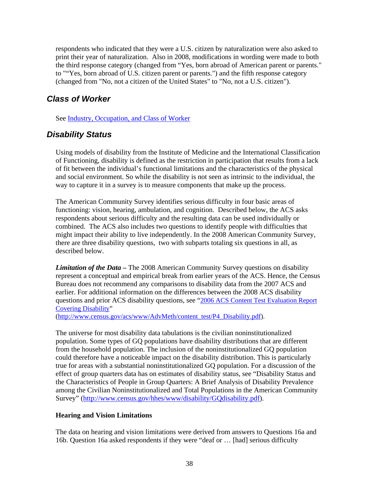respondents who indicated that they were a U.S. citizen by naturalization were also asked to print their year of naturalization. Also in 2008, modifications in wording were made to both the third response category (changed from "Yes, born abroad of American parent or parents." to ""Yes, born abroad of U.S. citizen parent or parents.") and the fifth response category (changed from "No, not a citizen of the United States" to "No, not a U.S. citizen").

# *Class of Worker*

See Industry, Occupation, and Class of Worker

# *Disability Status*

Using models of disability from the Institute of Medicine and the International Classification of Functioning, disability is defined as the restriction in participation that results from a lack of fit between the individual's functional limitations and the characteristics of the physical and social environment. So while the disability is not seen as intrinsic to the individual, the way to capture it in a survey is to measure components that make up the process.

The American Community Survey identifies serious difficulty in four basic areas of functioning: vision, hearing, ambulation, and cognition. Described below, the ACS asks respondents about serious difficulty and the resulting data can be used individually or combined. The ACS also includes two questions to identify people with difficulties that might impact their ability to live independently. In the 2008 American Community Survey, there are three disability questions, two with subparts totaling six questions in all, as described below.

*Limitation of the Data* – The 2008 American Community Survey questions on disability represent a conceptual and empirical break from earlier years of the ACS. Hence, the Census Bureau does not recommend any comparisons to disability data from the 2007 ACS and earlier. For additional information on the differences between the 2008 ACS disability questions and prior ACS disability questions, see "2006 ACS Content Test Evaluation Report Covering Disability"

(http://www.census.gov/acs/www/AdvMeth/content\_test/P4\_Disability.pdf).

The universe for most disability data tabulations is the civilian noninstitutionalized population. Some types of GQ populations have disability distributions that are different from the household population. The inclusion of the noninstitutionalized GQ population could therefore have a noticeable impact on the disability distribution. This is particularly true for areas with a substantial noninstitutionalized GQ population. For a discussion of the effect of group quarters data has on estimates of disability status, see "Disability Status and the Characteristics of People in Group Quarters: A Brief Analysis of Disability Prevalence among the Civilian Noninstitutionalized and Total Populations in the American Community Survey" (http://www.census.gov/hhes/www/disability/GQdisability.pdf).

### **Hearing and Vision Limitations**

The data on hearing and vision limitations were derived from answers to Questions 16a and 16b. Question 16a asked respondents if they were "deaf or … [had] serious difficulty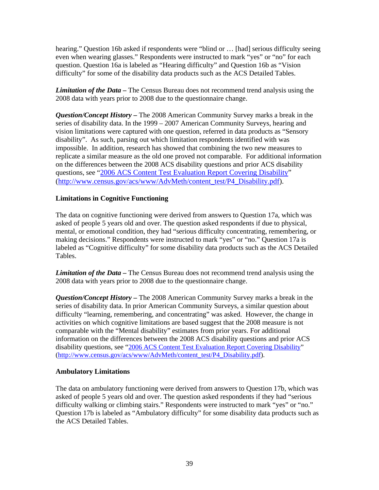hearing." Question 16b asked if respondents were "blind or ... [had] serious difficulty seeing even when wearing glasses." Respondents were instructed to mark "yes" or "no" for each question. Question 16a is labeled as "Hearing difficulty" and Question 16b as "Vision difficulty" for some of the disability data products such as the ACS Detailed Tables.

*Limitation of the Data –* The Census Bureau does not recommend trend analysis using the 2008 data with years prior to 2008 due to the questionnaire change.

*Question/Concept History –* The 2008 American Community Survey marks a break in the series of disability data. In the 1999 – 2007 American Community Surveys, hearing and vision limitations were captured with one question, referred in data products as "Sensory disability". As such, parsing out which limitation respondents identified with was impossible. In addition, research has showed that combining the two new measures to replicate a similar measure as the old one proved not comparable. For additional information on the differences between the 2008 ACS disability questions and prior ACS disability questions, see "2006 ACS Content Test Evaluation Report Covering Disability" (http://www.census.gov/acs/www/AdvMeth/content\_test/P4\_Disability.pdf).

#### **Limitations in Cognitive Functioning**

The data on cognitive functioning were derived from answers to Question 17a, which was asked of people 5 years old and over. The question asked respondents if due to physical, mental, or emotional condition, they had "serious difficulty concentrating, remembering, or making decisions." Respondents were instructed to mark "yes" or "no." Question 17a is labeled as "Cognitive difficulty" for some disability data products such as the ACS Detailed Tables.

*Limitation of the Data –* The Census Bureau does not recommend trend analysis using the 2008 data with years prior to 2008 due to the questionnaire change.

*Question/Concept History –* The 2008 American Community Survey marks a break in the series of disability data. In prior American Community Surveys, a similar question about difficulty "learning, remembering, and concentrating" was asked. However, the change in activities on which cognitive limitations are based suggest that the 2008 measure is not comparable with the "Mental disability" estimates from prior years. For additional information on the differences between the 2008 ACS disability questions and prior ACS disability questions, see "2006 ACS Content Test Evaluation Report Covering Disability" (http://www.census.gov/acs/www/AdvMeth/content\_test/P4\_Disability.pdf).

#### **Ambulatory Limitations**

The data on ambulatory functioning were derived from answers to Question 17b, which was asked of people 5 years old and over. The question asked respondents if they had "serious difficulty walking or climbing stairs." Respondents were instructed to mark "yes" or "no." Question 17b is labeled as "Ambulatory difficulty" for some disability data products such as the ACS Detailed Tables.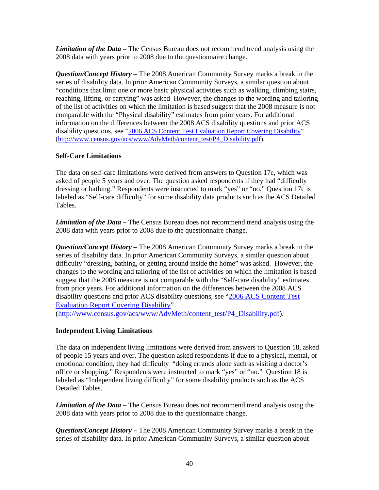*Limitation of the Data –* The Census Bureau does not recommend trend analysis using the 2008 data with years prior to 2008 due to the questionnaire change.

*Question/Concept History –* The 2008 American Community Survey marks a break in the series of disability data. In prior American Community Surveys, a similar question about "conditions that limit one or more basic physical activities such as walking, climbing stairs, reaching, lifting, or carrying" was asked However, the changes to the wording and tailoring of the list of activities on which the limitation is based suggest that the 2008 measure is not comparable with the "Physical disability" estimates from prior years. For additional information on the differences between the 2008 ACS disability questions and prior ACS disability questions, see "2006 ACS Content Test Evaluation Report Covering Disability" (http://www.census.gov/acs/www/AdvMeth/content\_test/P4\_Disability.pdf).

### **Self-Care Limitations**

The data on self-care limitations were derived from answers to Question 17c, which was asked of people 5 years and over. The question asked respondents if they had "difficulty dressing or bathing." Respondents were instructed to mark "yes" or "no." Question 17c is labeled as "Self-care difficulty" for some disability data products such as the ACS Detailed Tables.

*Limitation of the Data –* The Census Bureau does not recommend trend analysis using the 2008 data with years prior to 2008 due to the questionnaire change.

*Question/Concept History –* The 2008 American Community Survey marks a break in the series of disability data. In prior American Community Surveys, a similar question about difficulty "dressing, bathing, or getting around inside the home" was asked. However, the changes to the wording and tailoring of the list of activities on which the limitation is based suggest that the 2008 measure is not comparable with the "Self-care disability" estimates from prior years. For additional information on the differences between the 2008 ACS disability questions and prior ACS disability questions, see "2006 ACS Content Test Evaluation Report Covering Disability"

(http://www.census.gov/acs/www/AdvMeth/content\_test/P4\_Disability.pdf).

### **Independent Living Limitations**

The data on independent living limitations were derived from answers to Question 18, asked of people 15 years and over. The question asked respondents if due to a physical, mental, or emotional condition, they had difficulty "doing errands alone such as visiting a doctor's office or shopping." Respondents were instructed to mark "yes" or "no." Question 18 is labeled as "Independent living difficulty" for some disability products such as the ACS Detailed Tables.

*Limitation of the Data –* The Census Bureau does not recommend trend analysis using the 2008 data with years prior to 2008 due to the questionnaire change.

*Question/Concept History –* The 2008 American Community Survey marks a break in the series of disability data. In prior American Community Surveys, a similar question about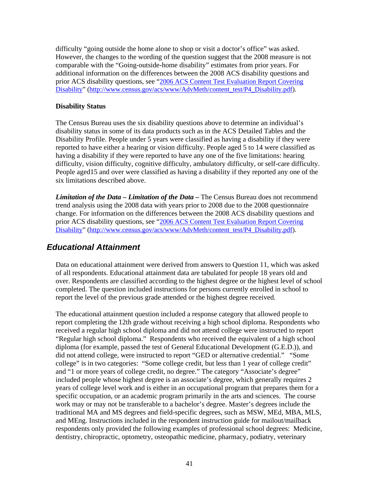difficulty "going outside the home alone to shop or visit a doctor's office" was asked. However, the changes to the wording of the question suggest that the 2008 measure is not comparable with the "Going-outside-home disability" estimates from prior years. For additional information on the differences between the 2008 ACS disability questions and prior ACS disability questions, see "2006 ACS Content Test Evaluation Report Covering Disability" (http://www.census.gov/acs/www/AdvMeth/content\_test/P4\_Disability.pdf).

#### **Disability Status**

The Census Bureau uses the six disability questions above to determine an individual's disability status in some of its data products such as in the ACS Detailed Tables and the Disability Profile. People under 5 years were classified as having a disability if they were reported to have either a hearing or vision difficulty. People aged 5 to 14 were classified as having a disability if they were reported to have any one of the five limitations: hearing difficulty, vision difficulty, cognitive difficulty, ambulatory difficulty, or self-care difficulty. People aged15 and over were classified as having a disability if they reported any one of the six limitations described above.

*Limitation of the Data – Limitation of the Data – The Census Bureau does not recommend* trend analysis using the 2008 data with years prior to 2008 due to the 2008 questionnaire change. For information on the differences between the 2008 ACS disability questions and prior ACS disability questions, see "2006 ACS Content Test Evaluation Report Covering Disability" (http://www.census.gov/acs/www/AdvMeth/content\_test/P4\_Disability.pdf).

## *Educational Attainment*

Data on educational attainment were derived from answers to Question 11, which was asked of all respondents. Educational attainment data are tabulated for people 18 years old and over. Respondents are classified according to the highest degree or the highest level of school completed. The question included instructions for persons currently enrolled in school to report the level of the previous grade attended or the highest degree received.

The educational attainment question included a response category that allowed people to report completing the 12th grade without receiving a high school diploma. Respondents who received a regular high school diploma and did not attend college were instructed to report "Regular high school diploma." Respondents who received the equivalent of a high school diploma (for example, passed the test of General Educational Development (G.E.D.)), and did not attend college, were instructed to report "GED or alternative credential." "Some college" is in two categories: "Some college credit, but less than 1 year of college credit" and "1 or more years of college credit, no degree." The category "Associate's degree" included people whose highest degree is an associate's degree, which generally requires 2 years of college level work and is either in an occupational program that prepares them for a specific occupation, or an academic program primarily in the arts and sciences. The course work may or may not be transferable to a bachelor's degree. Master's degrees include the traditional MA and MS degrees and field-specific degrees, such as MSW, MEd, MBA, MLS, and MEng. Instructions included in the respondent instruction guide for mailout/mailback respondents only provided the following examples of professional school degrees: Medicine, dentistry, chiropractic, optometry, osteopathic medicine, pharmacy, podiatry, veterinary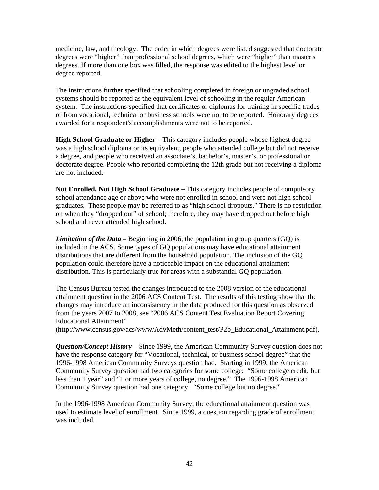medicine, law, and theology. The order in which degrees were listed suggested that doctorate degrees were "higher" than professional school degrees, which were "higher" than master's degrees. If more than one box was filled, the response was edited to the highest level or degree reported.

The instructions further specified that schooling completed in foreign or ungraded school systems should be reported as the equivalent level of schooling in the regular American system. The instructions specified that certificates or diplomas for training in specific trades or from vocational, technical or business schools were not to be reported. Honorary degrees awarded for a respondent's accomplishments were not to be reported.

**High School Graduate or Higher –** This category includes people whose highest degree was a high school diploma or its equivalent, people who attended college but did not receive a degree, and people who received an associate's, bachelor's, master's, or professional or doctorate degree. People who reported completing the 12th grade but not receiving a diploma are not included.

**Not Enrolled, Not High School Graduate –** This category includes people of compulsory school attendance age or above who were not enrolled in school and were not high school graduates. These people may be referred to as "high school dropouts." There is no restriction on when they "dropped out" of school; therefore, they may have dropped out before high school and never attended high school.

*Limitation of the Data* – Beginning in 2006, the population in group quarters (GQ) is included in the ACS. Some types of GQ populations may have educational attainment distributions that are different from the household population. The inclusion of the GQ population could therefore have a noticeable impact on the educational attainment distribution. This is particularly true for areas with a substantial GQ population.

The Census Bureau tested the changes introduced to the 2008 version of the educational attainment question in the 2006 ACS Content Test. The results of this testing show that the changes may introduce an inconsistency in the data produced for this question as observed from the years 2007 to 2008, see "2006 ACS Content Test Evaluation Report Covering Educational Attainment"

(http://www.census.gov/acs/www/AdvMeth/content\_test/P2b\_Educational\_Attainment.pdf).

*Question/Concept History –* Since 1999, the American Community Survey question does not have the response category for "Vocational, technical, or business school degree" that the 1996-1998 American Community Surveys question had. Starting in 1999, the American Community Survey question had two categories for some college: "Some college credit, but less than 1 year" and "1 or more years of college, no degree." The 1996-1998 American Community Survey question had one category: "Some college but no degree."

In the 1996-1998 American Community Survey, the educational attainment question was used to estimate level of enrollment. Since 1999, a question regarding grade of enrollment was included.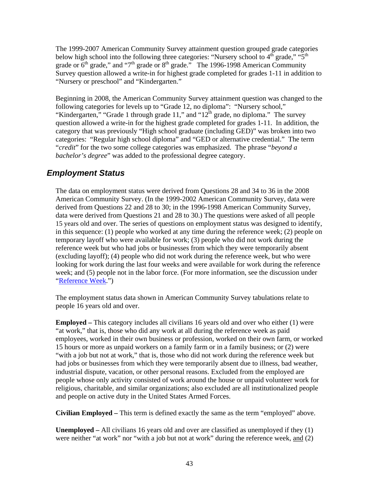The 1999-2007 American Community Survey attainment question grouped grade categories below high school into the following three categories: "Nursery school to  $4<sup>th</sup>$  grade," "5<sup>th</sup> grade or  $6<sup>th</sup>$  grade," and "7<sup>th</sup> grade or  $8<sup>th</sup>$  grade." The 1996-1998 American Community Survey question allowed a write-in for highest grade completed for grades 1-11 in addition to "Nursery or preschool" and "Kindergarten."

Beginning in 2008, the American Community Survey attainment question was changed to the following categories for levels up to "Grade 12, no diploma": "Nursery school," "Kindergarten," "Grade 1 through grade 11," and " $12<sup>th</sup>$  grade, no diploma." The survey question allowed a write-in for the highest grade completed for grades 1-11. In addition, the category that was previously "High school graduate (including GED)" was broken into two categories: "Regular high school diploma" and "GED or alternative credential." The term "*credit*" for the two some college categories was emphasized. The phrase "*beyond a bachelor's degree*" was added to the professional degree category.

# *Employment Status*

The data on employment status were derived from Questions 28 and 34 to 36 in the 2008 American Community Survey. (In the 1999-2002 American Community Survey, data were derived from Questions 22 and 28 to 30; in the 1996-1998 American Community Survey, data were derived from Questions 21 and 28 to 30.) The questions were asked of all people 15 years old and over. The series of questions on employment status was designed to identify, in this sequence: (1) people who worked at any time during the reference week; (2) people on temporary layoff who were available for work; (3) people who did not work during the reference week but who had jobs or businesses from which they were temporarily absent (excluding layoff); (4) people who did not work during the reference week, but who were looking for work during the last four weeks and were available for work during the reference week; and (5) people not in the labor force. (For more information, see the discussion under "Reference Week.")

The employment status data shown in American Community Survey tabulations relate to people 16 years old and over.

**Employed –** This category includes all civilians 16 years old and over who either (1) were "at work," that is, those who did any work at all during the reference week as paid employees, worked in their own business or profession, worked on their own farm, or worked 15 hours or more as unpaid workers on a family farm or in a family business; or (2) were "with a job but not at work," that is, those who did not work during the reference week but had jobs or businesses from which they were temporarily absent due to illness, bad weather, industrial dispute, vacation, or other personal reasons. Excluded from the employed are people whose only activity consisted of work around the house or unpaid volunteer work for religious, charitable, and similar organizations; also excluded are all institutionalized people and people on active duty in the United States Armed Forces.

**Civilian Employed –** This term is defined exactly the same as the term "employed" above.

**Unemployed –** All civilians 16 years old and over are classified as unemployed if they (1) were neither "at work" nor "with a job but not at work" during the reference week, and (2)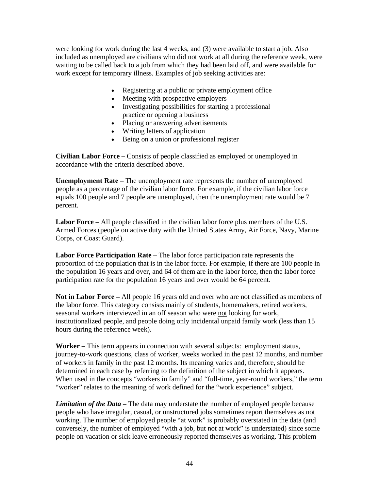were looking for work during the last 4 weeks, and (3) were available to start a job. Also included as unemployed are civilians who did not work at all during the reference week, were waiting to be called back to a job from which they had been laid off, and were available for work except for temporary illness. Examples of job seeking activities are:

- Registering at a public or private employment office
- Meeting with prospective employers
- Investigating possibilities for starting a professional practice or opening a business
- Placing or answering advertisements
- Writing letters of application
- Being on a union or professional register

**Civilian Labor Force –** Consists of people classified as employed or unemployed in accordance with the criteria described above.

**Unemployment Rate** – The unemployment rate represents the number of unemployed people as a percentage of the civilian labor force. For example, if the civilian labor force equals 100 people and 7 people are unemployed, then the unemployment rate would be 7 percent.

**Labor Force –** All people classified in the civilian labor force plus members of the U.S. Armed Forces (people on active duty with the United States Army, Air Force, Navy, Marine Corps, or Coast Guard).

**Labor Force Participation Rate** – The labor force participation rate represents the proportion of the population that is in the labor force. For example, if there are 100 people in the population 16 years and over, and 64 of them are in the labor force, then the labor force participation rate for the population 16 years and over would be 64 percent.

**Not in Labor Force –** All people 16 years old and over who are not classified as members of the labor force. This category consists mainly of students, homemakers, retired workers, seasonal workers interviewed in an off season who were not looking for work, institutionalized people, and people doing only incidental unpaid family work (less than 15 hours during the reference week).

**Worker –** This term appears in connection with several subjects: employment status, journey-to-work questions, class of worker, weeks worked in the past 12 months, and number of workers in family in the past 12 months. Its meaning varies and, therefore, should be determined in each case by referring to the definition of the subject in which it appears. When used in the concepts "workers in family" and "full-time, year-round workers," the term "worker" relates to the meaning of work defined for the "work experience" subject.

*Limitation of the Data* – The data may understate the number of employed people because people who have irregular, casual, or unstructured jobs sometimes report themselves as not working. The number of employed people "at work" is probably overstated in the data (and conversely, the number of employed "with a job, but not at work" is understated) since some people on vacation or sick leave erroneously reported themselves as working. This problem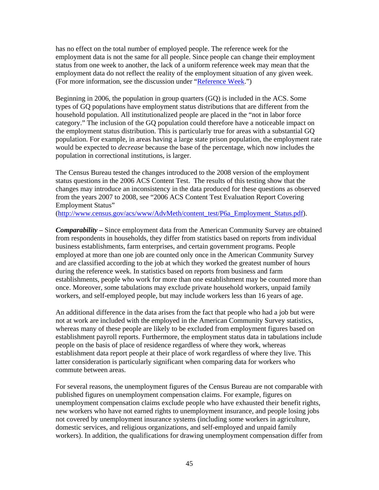has no effect on the total number of employed people. The reference week for the employment data is not the same for all people. Since people can change their employment status from one week to another, the lack of a uniform reference week may mean that the employment data do not reflect the reality of the employment situation of any given week. (For more information, see the discussion under "Reference Week.")

Beginning in 2006, the population in group quarters (GQ) is included in the ACS. Some types of GQ populations have employment status distributions that are different from the household population. All institutionalized people are placed in the "not in labor force category." The inclusion of the GQ population could therefore have a noticeable impact on the employment status distribution. This is particularly true for areas with a substantial GQ population. For example, in areas having a large state prison population, the employment rate would be expected to *decrease* because the base of the percentage, which now includes the population in correctional institutions, is larger.

The Census Bureau tested the changes introduced to the 2008 version of the employment status questions in the 2006 ACS Content Test. The results of this testing show that the changes may introduce an inconsistency in the data produced for these questions as observed from the years 2007 to 2008, see "2006 ACS Content Test Evaluation Report Covering Employment Status"

(http://www.census.gov/acs/www/AdvMeth/content\_test/P6a\_Employment\_Status.pdf).

*Comparability –* Since employment data from the American Community Survey are obtained from respondents in households, they differ from statistics based on reports from individual business establishments, farm enterprises, and certain government programs. People employed at more than one job are counted only once in the American Community Survey and are classified according to the job at which they worked the greatest number of hours during the reference week. In statistics based on reports from business and farm establishments, people who work for more than one establishment may be counted more than once. Moreover, some tabulations may exclude private household workers, unpaid family workers, and self-employed people, but may include workers less than 16 years of age.

An additional difference in the data arises from the fact that people who had a job but were not at work are included with the employed in the American Community Survey statistics, whereas many of these people are likely to be excluded from employment figures based on establishment payroll reports. Furthermore, the employment status data in tabulations include people on the basis of place of residence regardless of where they work, whereas establishment data report people at their place of work regardless of where they live. This latter consideration is particularly significant when comparing data for workers who commute between areas.

For several reasons, the unemployment figures of the Census Bureau are not comparable with published figures on unemployment compensation claims. For example, figures on unemployment compensation claims exclude people who have exhausted their benefit rights, new workers who have not earned rights to unemployment insurance, and people losing jobs not covered by unemployment insurance systems (including some workers in agriculture, domestic services, and religious organizations, and self-employed and unpaid family workers). In addition, the qualifications for drawing unemployment compensation differ from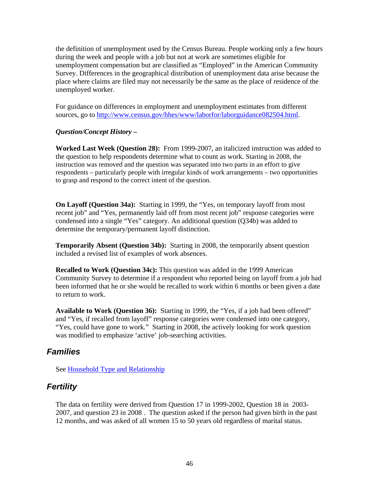the definition of unemployment used by the Census Bureau. People working only a few hours during the week and people with a job but not at work are sometimes eligible for unemployment compensation but are classified as "Employed" in the American Community Survey. Differences in the geographical distribution of unemployment data arise because the place where claims are filed may not necessarily be the same as the place of residence of the unemployed worker.

For guidance on differences in employment and unemployment estimates from different sources, go to http://www.census.gov/hhes/www/laborfor/laborguidance082504.html.

### *Question/Concept History –*

**Worked Last Week (Question 28):** From 1999-2007, an italicized instruction was added to the question to help respondents determine what to count as work. Starting in 2008, the instruction was removed and the question was separated into two parts in an effort to give respondents – particularly people with irregular kinds of work arrangements – two opportunities to grasp and respond to the correct intent of the question.

**On Layoff (Question 34a):** Starting in 1999, the "Yes, on temporary layoff from most recent job" and "Yes, permanently laid off from most recent job" response categories were condensed into a single "Yes" category. An additional question (Q34b) was added to determine the temporary/permanent layoff distinction.

**Temporarily Absent (Question 34b):** Starting in 2008, the temporarily absent question included a revised list of examples of work absences.

**Recalled to Work (Question 34c):** This question was added in the 1999 American Community Survey to determine if a respondent who reported being on layoff from a job had been informed that he or she would be recalled to work within 6 months or been given a date to return to work.

**Available to Work (Question 36):** Starting in 1999, the "Yes, if a job had been offered" and "Yes, if recalled from layoff" response categories were condensed into one category, "Yes, could have gone to work." Starting in 2008, the actively looking for work question was modified to emphasize 'active' job-searching activities.

# *Families*

See Household Type and Relationship

# *Fertility*

The data on fertility were derived from Question 17 in 1999-2002, Question 18 in 2003- 2007, and question 23 in 2008 . The question asked if the person had given birth in the past 12 months, and was asked of all women 15 to 50 years old regardless of marital status.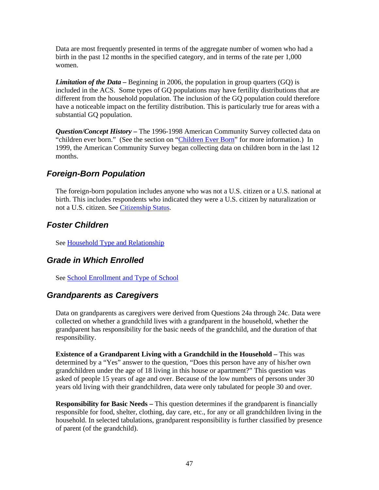Data are most frequently presented in terms of the aggregate number of women who had a birth in the past 12 months in the specified category, and in terms of the rate per 1,000 women.

*Limitation of the Data* – Beginning in 2006, the population in group quarters (GQ) is included in the ACS. Some types of GQ populations may have fertility distributions that are different from the household population. The inclusion of the GQ population could therefore have a noticeable impact on the fertility distribution. This is particularly true for areas with a substantial GQ population.

*Question/Concept History –* The 1996-1998 American Community Survey collected data on "children ever born." (See the section on "Children Ever Born" for more information.) In 1999, the American Community Survey began collecting data on children born in the last 12 months.

## *Foreign-Born Population*

The foreign-born population includes anyone who was not a U.S. citizen or a U.S. national at birth. This includes respondents who indicated they were a U.S. citizen by naturalization or not a U.S. citizen. See Citizenship Status.

# *Foster Children*

See Household Type and Relationship

## *Grade in Which Enrolled*

See School Enrollment and Type of School

## *Grandparents as Caregivers*

Data on grandparents as caregivers were derived from Questions 24a through 24c. Data were collected on whether a grandchild lives with a grandparent in the household, whether the grandparent has responsibility for the basic needs of the grandchild, and the duration of that responsibility.

**Existence of a Grandparent Living with a Grandchild in the Household – This was** determined by a "Yes" answer to the question, "Does this person have any of his/her own grandchildren under the age of 18 living in this house or apartment?" This question was asked of people 15 years of age and over. Because of the low numbers of persons under 30 years old living with their grandchildren, data were only tabulated for people 30 and over.

**Responsibility for Basic Needs –** This question determines if the grandparent is financially responsible for food, shelter, clothing, day care, etc., for any or all grandchildren living in the household. In selected tabulations, grandparent responsibility is further classified by presence of parent (of the grandchild).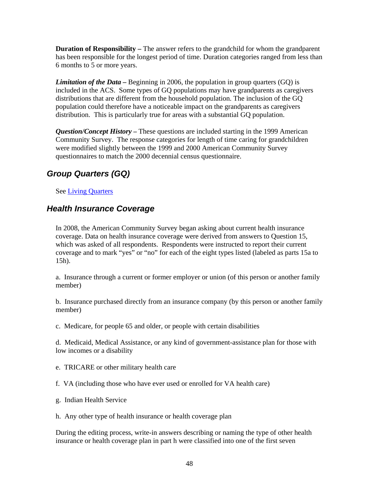**Duration of Responsibility** – The answer refers to the grandchild for whom the grandparent has been responsible for the longest period of time. Duration categories ranged from less than 6 months to 5 or more years.

*Limitation of the Data* – Beginning in 2006, the population in group quarters (GQ) is included in the ACS. Some types of GQ populations may have grandparents as caregivers distributions that are different from the household population. The inclusion of the GQ population could therefore have a noticeable impact on the grandparents as caregivers distribution. This is particularly true for areas with a substantial GQ population.

*Question/Concept History* – These questions are included starting in the 1999 American Community Survey. The response categories for length of time caring for grandchildren were modified slightly between the 1999 and 2000 American Community Survey questionnaires to match the 2000 decennial census questionnaire.

# *Group Quarters (GQ)*

See Living Quarters

# *Health Insurance Coverage*

In 2008, the American Community Survey began asking about current health insurance coverage. Data on health insurance coverage were derived from answers to Question 15, which was asked of all respondents. Respondents were instructed to report their current coverage and to mark "yes" or "no" for each of the eight types listed (labeled as parts 15a to 15h).

a. Insurance through a current or former employer or union (of this person or another family member)

b. Insurance purchased directly from an insurance company (by this person or another family member)

c. Medicare, for people 65 and older, or people with certain disabilities

d. Medicaid, Medical Assistance, or any kind of government-assistance plan for those with low incomes or a disability

e. TRICARE or other military health care

f. VA (including those who have ever used or enrolled for VA health care)

g. Indian Health Service

h. Any other type of health insurance or health coverage plan

During the editing process, write-in answers describing or naming the type of other health insurance or health coverage plan in part h were classified into one of the first seven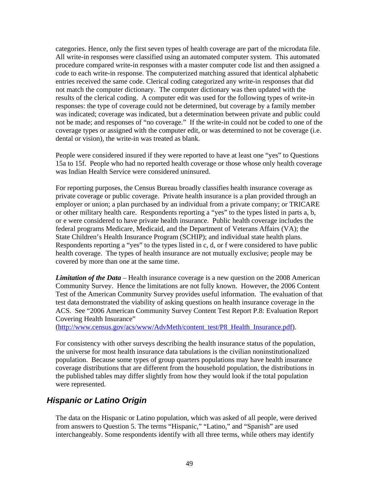categories. Hence, only the first seven types of health coverage are part of the microdata file. All write-in responses were classified using an automated computer system. This automated procedure compared write-in responses with a master computer code list and then assigned a code to each write-in response. The computerized matching assured that identical alphabetic entries received the same code. Clerical coding categorized any write-in responses that did not match the computer dictionary. The computer dictionary was then updated with the results of the clerical coding. A computer edit was used for the following types of write-in responses: the type of coverage could not be determined, but coverage by a family member was indicated; coverage was indicated, but a determination between private and public could not be made; and responses of "no coverage." If the write-in could not be coded to one of the coverage types or assigned with the computer edit, or was determined to not be coverage (i.e. dental or vision), the write-in was treated as blank.

People were considered insured if they were reported to have at least one "yes" to Questions 15a to 15f. People who had no reported health coverage or those whose only health coverage was Indian Health Service were considered uninsured.

For reporting purposes, the Census Bureau broadly classifies health insurance coverage as private coverage or public coverage. Private health insurance is a plan provided through an employer or union; a plan purchased by an individual from a private company; or TRICARE or other military health care. Respondents reporting a "yes" to the types listed in parts a, b, or e were considered to have private health insurance. Public health coverage includes the federal programs Medicare, Medicaid, and the Department of Veterans Affairs (VA); the State Children's Health Insurance Program (SCHIP); and individual state health plans. Respondents reporting a "yes" to the types listed in c, d, or f were considered to have public health coverage. The types of health insurance are not mutually exclusive; people may be covered by more than one at the same time.

*Limitation of the Data* – Health insurance coverage is a new question on the 2008 American Community Survey. Hence the limitations are not fully known. However, the 2006 Content Test of the American Community Survey provides useful information. The evaluation of that test data demonstrated the viability of asking questions on health insurance coverage in the ACS. See "2006 American Community Survey Content Test Report P.8: Evaluation Report Covering Health Insurance"

(http://www.census.gov/acs/www/AdvMeth/content\_test/P8\_Health\_Insurance.pdf).

For consistency with other surveys describing the health insurance status of the population, the universe for most health insurance data tabulations is the civilian noninstitutionalized population. Because some types of group quarters populations may have health insurance coverage distributions that are different from the household population, the distributions in the published tables may differ slightly from how they would look if the total population were represented.

# *Hispanic or Latino Origin*

The data on the Hispanic or Latino population, which was asked of all people, were derived from answers to Question 5. The terms "Hispanic," "Latino," and "Spanish" are used interchangeably. Some respondents identify with all three terms, while others may identify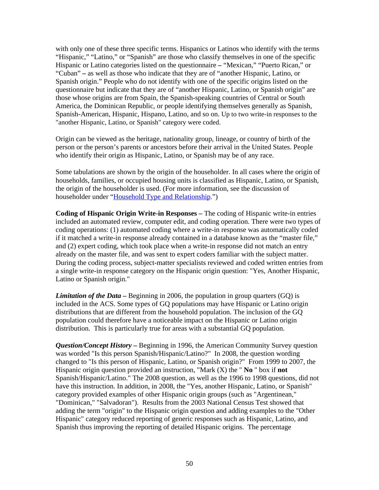with only one of these three specific terms. Hispanics or Latinos who identify with the terms "Hispanic," "Latino," or "Spanish" are those who classify themselves in one of the specific Hispanic or Latino categories listed on the questionnaire *–* "Mexican," "Puerto Rican," or "Cuban" *–* as well as those who indicate that they are of "another Hispanic, Latino, or Spanish origin." People who do not identify with one of the specific origins listed on the questionnaire but indicate that they are of "another Hispanic, Latino, or Spanish origin" are those whose origins are from Spain, the Spanish-speaking countries of Central or South America, the Dominican Republic, or people identifying themselves generally as Spanish, Spanish-American, Hispanic, Hispano, Latino, and so on. Up to two write-in responses to the "another Hispanic, Latino, or Spanish" category were coded.

Origin can be viewed as the heritage, nationality group, lineage, or country of birth of the person or the person's parents or ancestors before their arrival in the United States. People who identify their origin as Hispanic, Latino, or Spanish may be of any race.

Some tabulations are shown by the origin of the householder. In all cases where the origin of households, families, or occupied housing units is classified as Hispanic, Latino, or Spanish, the origin of the householder is used. (For more information, see the discussion of householder under "Household Type and Relationship.")

**Coding of Hispanic Origin Write-in Responses –** The coding of Hispanic write-in entries included an automated review, computer edit, and coding operation. There were two types of coding operations: (1) automated coding where a write-in response was automatically coded if it matched a write-in response already contained in a database known as the "master file," and (2) expert coding, which took place when a write-in response did not match an entry already on the master file, and was sent to expert coders familiar with the subject matter. During the coding process, subject-matter specialists reviewed and coded written entries from a single write-in response category on the Hispanic origin question: "Yes, Another Hispanic, Latino or Spanish origin."

*Limitation of the Data* – Beginning in 2006, the population in group quarters (GQ) is included in the ACS. Some types of GQ populations may have Hispanic or Latino origin distributions that are different from the household population. The inclusion of the GQ population could therefore have a noticeable impact on the Hispanic or Latino origin distribution. This is particularly true for areas with a substantial GQ population.

*Question/Concept History – Beginning in 1996, the American Community Survey question* was worded "Is this person Spanish/Hispanic/Latino?" In 2008, the question wording changed to "Is this person of Hispanic, Latino, or Spanish origin?" From 1999 to 2007, the Hispanic origin question provided an instruction, "Mark (X) the " **No** " box if **not**  Spanish/Hispanic/Latino." The 2008 question, as well as the 1996 to 1998 questions, did not have this instruction. In addition, in 2008, the "Yes, another Hispanic, Latino, or Spanish" category provided examples of other Hispanic origin groups (such as "Argentinean," "Dominican," "Salvadoran"). Results from the 2003 National Census Test showed that adding the term "origin" to the Hispanic origin question and adding examples to the "Other Hispanic" category reduced reporting of generic responses such as Hispanic, Latino, and Spanish thus improving the reporting of detailed Hispanic origins. The percentage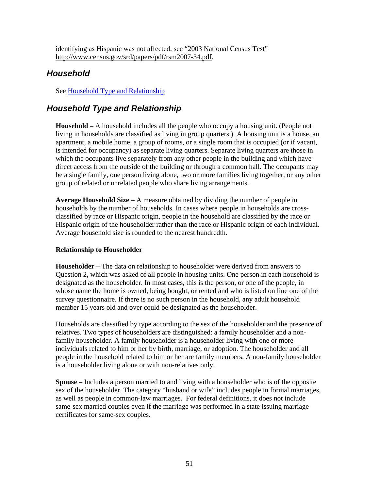identifying as Hispanic was not affected, see "2003 National Census Test" http://www.census.gov/srd/papers/pdf/rsm2007-34.pdf.

# *Household*

See Household Type and Relationship

# *Household Type and Relationship*

**Household –** A household includes all the people who occupy a housing unit. (People not living in households are classified as living in group quarters.) A housing unit is a house, an apartment, a mobile home, a group of rooms, or a single room that is occupied (or if vacant, is intended for occupancy) as separate living quarters. Separate living quarters are those in which the occupants live separately from any other people in the building and which have direct access from the outside of the building or through a common hall. The occupants may be a single family, one person living alone, two or more families living together, or any other group of related or unrelated people who share living arrangements.

**Average Household Size –** A measure obtained by dividing the number of people in households by the number of households. In cases where people in households are crossclassified by race or Hispanic origin, people in the household are classified by the race or Hispanic origin of the householder rather than the race or Hispanic origin of each individual. Average household size is rounded to the nearest hundredth.

### **Relationship to Householder**

**Householder –** The data on relationship to householder were derived from answers to Question 2, which was asked of all people in housing units. One person in each household is designated as the householder. In most cases, this is the person, or one of the people, in whose name the home is owned, being bought, or rented and who is listed on line one of the survey questionnaire. If there is no such person in the household, any adult household member 15 years old and over could be designated as the householder.

Households are classified by type according to the sex of the householder and the presence of relatives. Two types of householders are distinguished: a family householder and a nonfamily householder. A family householder is a householder living with one or more individuals related to him or her by birth, marriage, or adoption. The householder and all people in the household related to him or her are family members. A non-family householder is a householder living alone or with non-relatives only.

**Spouse –** Includes a person married to and living with a householder who is of the opposite sex of the householder. The category "husband or wife" includes people in formal marriages, as well as people in common-law marriages. For federal definitions, it does not include same-sex married couples even if the marriage was performed in a state issuing marriage certificates for same-sex couples.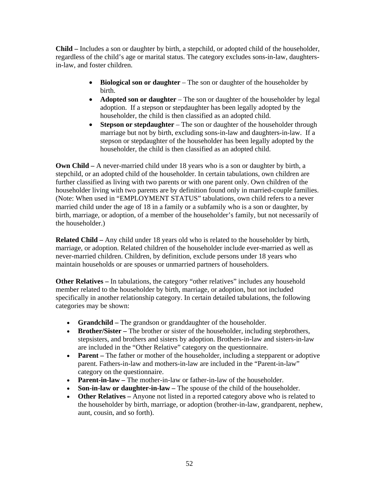**Child –** Includes a son or daughter by birth, a stepchild, or adopted child of the householder, regardless of the child's age or marital status. The category excludes sons-in-law, daughtersin-law, and foster children.

- **Biological son or daughter** The son or daughter of the householder by birth.
- **Adopted son or daughter** The son or daughter of the householder by legal adoption. If a stepson or stepdaughter has been legally adopted by the householder, the child is then classified as an adopted child.
- **Stepson or stepdaughter** The son or daughter of the householder through marriage but not by birth, excluding sons-in-law and daughters-in-law. If a stepson or stepdaughter of the householder has been legally adopted by the householder, the child is then classified as an adopted child.

**Own Child –** A never-married child under 18 years who is a son or daughter by birth, a stepchild, or an adopted child of the householder. In certain tabulations, own children are further classified as living with two parents or with one parent only. Own children of the householder living with two parents are by definition found only in married-couple families. (Note: When used in "EMPLOYMENT STATUS" tabulations, own child refers to a never married child under the age of 18 in a family or a subfamily who is a son or daughter, by birth, marriage, or adoption, of a member of the householder's family, but not necessarily of the householder.)

**Related Child –** Any child under 18 years old who is related to the householder by birth, marriage, or adoption. Related children of the householder include ever-married as well as never-married children. Children, by definition, exclude persons under 18 years who maintain households or are spouses or unmarried partners of householders.

**Other Relatives –** In tabulations, the category "other relatives" includes any household member related to the householder by birth, marriage, or adoption, but not included specifically in another relationship category. In certain detailed tabulations, the following categories may be shown:

- **Grandchild** The grandson or granddaughter of the householder.
- **Brother/Sister** The brother or sister of the householder, including stepbrothers, stepsisters, and brothers and sisters by adoption. Brothers-in-law and sisters-in-law are included in the "Other Relative" category on the questionnaire.
- **Parent** The father or mother of the householder, including a stepparent or adoptive parent. Fathers-in-law and mothers-in-law are included in the "Parent-in-law" category on the questionnaire.
- **Parent-in-law** The mother-in-law or father-in-law of the householder.
- **Son-in-law or daughter-in-law –** The spouse of the child of the householder.
- **Other Relatives** Anyone not listed in a reported category above who is related to the householder by birth, marriage, or adoption (brother-in-law, grandparent, nephew, aunt, cousin, and so forth).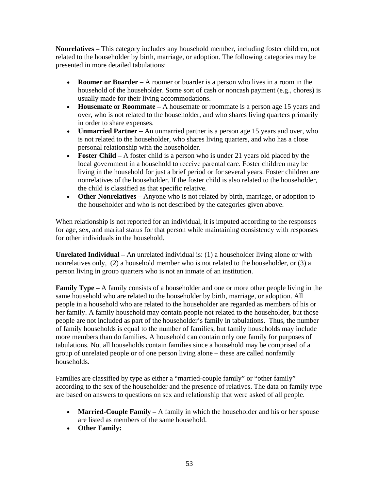**Nonrelatives –** This category includes any household member, including foster children, not related to the householder by birth, marriage, or adoption. The following categories may be presented in more detailed tabulations:

- **Roomer or Boarder** A roomer or boarder is a person who lives in a room in the household of the householder. Some sort of cash or noncash payment (e.g., chores) is usually made for their living accommodations.
- **Housemate or Roommate** A housemate or roommate is a person age 15 years and over, who is not related to the householder, and who shares living quarters primarily in order to share expenses.
- **Unmarried Partner** An unmarried partner is a person age 15 years and over, who is not related to the householder, who shares living quarters, and who has a close personal relationship with the householder.
- **Foster Child** A foster child is a person who is under 21 years old placed by the local government in a household to receive parental care. Foster children may be living in the household for just a brief period or for several years. Foster children are nonrelatives of the householder. If the foster child is also related to the householder, the child is classified as that specific relative.
- **Other Nonrelatives –** Anyone who is not related by birth, marriage, or adoption to the householder and who is not described by the categories given above.

When relationship is not reported for an individual, it is imputed according to the responses for age, sex, and marital status for that person while maintaining consistency with responses for other individuals in the household.

**Unrelated Individual –** An unrelated individual is: (1) a householder living alone or with nonrelatives only, (2) a household member who is not related to the householder, or (3) a person living in group quarters who is not an inmate of an institution.

**Family Type –** A family consists of a householder and one or more other people living in the same household who are related to the householder by birth, marriage, or adoption. All people in a household who are related to the householder are regarded as members of his or her family. A family household may contain people not related to the householder, but those people are not included as part of the householder's family in tabulations. Thus, the number of family households is equal to the number of families, but family households may include more members than do families. A household can contain only one family for purposes of tabulations. Not all households contain families since a household may be comprised of a group of unrelated people or of one person living alone – these are called nonfamily households.

Families are classified by type as either a "married-couple family" or "other family" according to the sex of the householder and the presence of relatives. The data on family type are based on answers to questions on sex and relationship that were asked of all people.

- **Married-Couple Family** A family in which the householder and his or her spouse are listed as members of the same household.
- **Other Family:**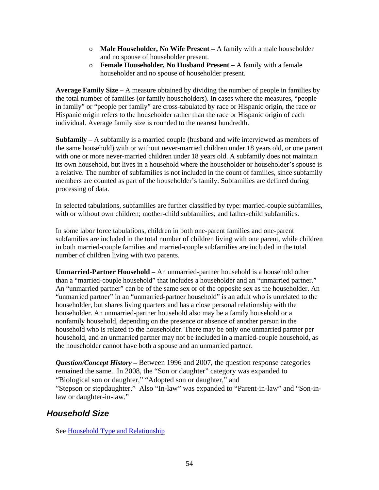- o **Male Householder, No Wife Present –** A family with a male householder and no spouse of householder present.
- o **Female Householder, No Husband Present –** A family with a female householder and no spouse of householder present.

**Average Family Size –** A measure obtained by dividing the number of people in families by the total number of families (or family householders). In cases where the measures, "people in family" or "people per family" are cross-tabulated by race or Hispanic origin, the race or Hispanic origin refers to the householder rather than the race or Hispanic origin of each individual. Average family size is rounded to the nearest hundredth.

**Subfamily –** A subfamily is a married couple (husband and wife interviewed as members of the same household) with or without never-married children under 18 years old, or one parent with one or more never-married children under 18 years old. A subfamily does not maintain its own household, but lives in a household where the householder or householder's spouse is a relative. The number of subfamilies is not included in the count of families, since subfamily members are counted as part of the householder's family. Subfamilies are defined during processing of data.

In selected tabulations, subfamilies are further classified by type: married-couple subfamilies, with or without own children; mother-child subfamilies; and father-child subfamilies.

In some labor force tabulations, children in both one-parent families and one-parent subfamilies are included in the total number of children living with one parent, while children in both married-couple families and married-couple subfamilies are included in the total number of children living with two parents.

**Unmarried-Partner Household –** An unmarried-partner household is a household other than a "married-couple household" that includes a householder and an "unmarried partner." An "unmarried partner" can be of the same sex or of the opposite sex as the householder. An "unmarried partner" in an "unmarried-partner household" is an adult who is unrelated to the householder, but shares living quarters and has a close personal relationship with the householder. An unmarried-partner household also may be a family household or a nonfamily household, depending on the presence or absence of another person in the household who is related to the householder. There may be only one unmarried partner per household, and an unmarried partner may not be included in a married-couple household, as the householder cannot have both a spouse and an unmarried partner.

*Question/Concept History –* Between 1996 and 2007, the question response categories remained the same. In 2008, the "Son or daughter" category was expanded to "Biological son or daughter," "Adopted son or daughter," and "Stepson or stepdaughter." Also "In-law" was expanded to "Parent-in-law" and "Son-inlaw or daughter-in-law."

# *Household Size*

See Household Type and Relationship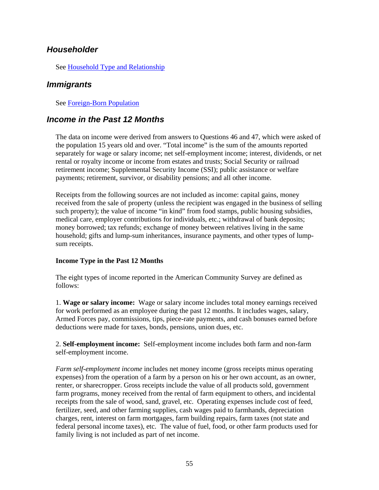## *Householder*

See Household Type and Relationship

## *Immigrants*

See Foreign-Born Population

## *Income in the Past 12 Months*

The data on income were derived from answers to Questions 46 and 47, which were asked of the population 15 years old and over. "Total income" is the sum of the amounts reported separately for wage or salary income; net self-employment income; interest, dividends, or net rental or royalty income or income from estates and trusts; Social Security or railroad retirement income; Supplemental Security Income (SSI); public assistance or welfare payments; retirement, survivor, or disability pensions; and all other income.

Receipts from the following sources are not included as income: capital gains, money received from the sale of property (unless the recipient was engaged in the business of selling such property); the value of income "in kind" from food stamps, public housing subsidies, medical care, employer contributions for individuals, etc.; withdrawal of bank deposits; money borrowed; tax refunds; exchange of money between relatives living in the same household; gifts and lump-sum inheritances, insurance payments, and other types of lumpsum receipts.

### **Income Type in the Past 12 Months**

The eight types of income reported in the American Community Survey are defined as follows:

1. **Wage or salary income:** Wage or salary income includes total money earnings received for work performed as an employee during the past 12 months. It includes wages, salary, Armed Forces pay, commissions, tips, piece-rate payments, and cash bonuses earned before deductions were made for taxes, bonds, pensions, union dues, etc.

2. **Self-employment income:** Self-employment income includes both farm and non-farm self-employment income.

*Farm self-employment income* includes net money income (gross receipts minus operating expenses) from the operation of a farm by a person on his or her own account, as an owner, renter, or sharecropper. Gross receipts include the value of all products sold, government farm programs, money received from the rental of farm equipment to others, and incidental receipts from the sale of wood, sand, gravel, etc. Operating expenses include cost of feed, fertilizer, seed, and other farming supplies, cash wages paid to farmhands, depreciation charges, rent, interest on farm mortgages, farm building repairs, farm taxes (not state and federal personal income taxes), etc. The value of fuel, food, or other farm products used for family living is not included as part of net income.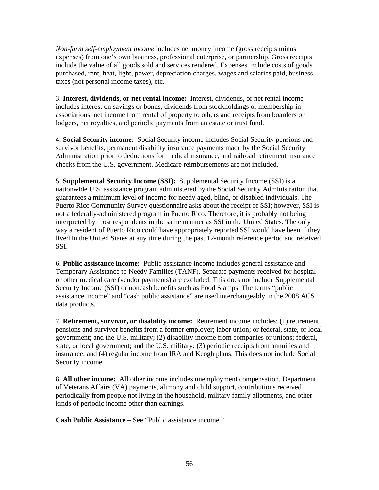*Non-farm self-employment income* includes net money income (gross receipts minus expenses) from one's own business, professional enterprise, or partnership. Gross receipts include the value of all goods sold and services rendered. Expenses include costs of goods purchased, rent, heat, light, power, depreciation charges, wages and salaries paid, business taxes (not personal income taxes), etc.

3. **Interest, dividends, or net rental income:** Interest, dividends, or net rental income includes interest on savings or bonds, dividends from stockholdings or membership in associations, net income from rental of property to others and receipts from boarders or lodgers, net royalties, and periodic payments from an estate or trust fund.

4. **Social Security income:** Social Security income includes Social Security pensions and survivor benefits, permanent disability insurance payments made by the Social Security Administration prior to deductions for medical insurance, and railroad retirement insurance checks from the U.S. government. Medicare reimbursements are not included.

5. **Supplemental Security Income (SSI):** Supplemental Security Income (SSI) is a nationwide U.S. assistance program administered by the Social Security Administration that guarantees a minimum level of income for needy aged, blind, or disabled individuals. The Puerto Rico Community Survey questionnaire asks about the receipt of SSI; however, SSI is not a federally-administered program in Puerto Rico. Therefore, it is probably not being interpreted by most respondents in the same manner as SSI in the United States. The only way a resident of Puerto Rico could have appropriately reported SSI would have been if they lived in the United States at any time during the past 12-month reference period and received SSI.

6. **Public assistance income:** Public assistance income includes general assistance and Temporary Assistance to Needy Families (TANF). Separate payments received for hospital or other medical care (vendor payments) are excluded. This does not include Supplemental Security Income (SSI) or noncash benefits such as Food Stamps. The terms "public assistance income" and "cash public assistance" are used interchangeably in the 2008 ACS data products.

7. **Retirement, survivor, or disability income:** Retirement income includes: (1) retirement pensions and survivor benefits from a former employer; labor union; or federal, state, or local government; and the U.S. military; (2) disability income from companies or unions; federal, state, or local government; and the U.S. military; (3) periodic receipts from annuities and insurance; and (4) regular income from IRA and Keogh plans. This does not include Social Security income.

8. **All other income:** All other income includes unemployment compensation, Department of Veterans Affairs (VA) payments, alimony and child support, contributions received periodically from people not living in the household, military family allotments, and other kinds of periodic income other than earnings.

**Cash Public Assistance –** See "Public assistance income."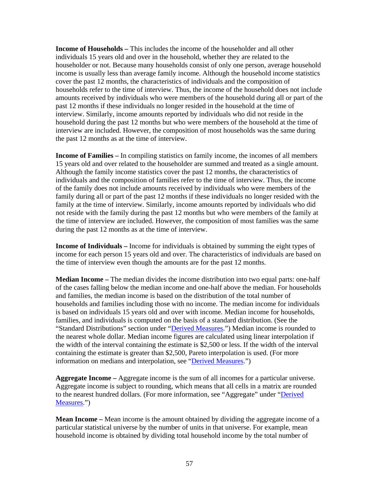**Income of Households –** This includes the income of the householder and all other individuals 15 years old and over in the household, whether they are related to the householder or not. Because many households consist of only one person, average household income is usually less than average family income. Although the household income statistics cover the past 12 months, the characteristics of individuals and the composition of households refer to the time of interview. Thus, the income of the household does not include amounts received by individuals who were members of the household during all or part of the past 12 months if these individuals no longer resided in the household at the time of interview. Similarly, income amounts reported by individuals who did not reside in the household during the past 12 months but who were members of the household at the time of interview are included. However, the composition of most households was the same during the past 12 months as at the time of interview.

**Income of Families –** In compiling statistics on family income, the incomes of all members 15 years old and over related to the householder are summed and treated as a single amount. Although the family income statistics cover the past 12 months, the characteristics of individuals and the composition of families refer to the time of interview. Thus, the income of the family does not include amounts received by individuals who were members of the family during all or part of the past 12 months if these individuals no longer resided with the family at the time of interview. Similarly, income amounts reported by individuals who did not reside with the family during the past 12 months but who were members of the family at the time of interview are included. However, the composition of most families was the same during the past 12 months as at the time of interview.

**Income of Individuals –** Income for individuals is obtained by summing the eight types of income for each person 15 years old and over. The characteristics of individuals are based on the time of interview even though the amounts are for the past 12 months.

**Median Income –** The median divides the income distribution into two equal parts: one-half of the cases falling below the median income and one-half above the median. For households and families, the median income is based on the distribution of the total number of households and families including those with no income. The median income for individuals is based on individuals 15 years old and over with income. Median income for households, families, and individuals is computed on the basis of a standard distribution. (See the "Standard Distributions" section under "Derived Measures.") Median income is rounded to the nearest whole dollar. Median income figures are calculated using linear interpolation if the width of the interval containing the estimate is \$2,500 or less. If the width of the interval containing the estimate is greater than \$2,500, Pareto interpolation is used. (For more information on medians and interpolation, see "Derived Measures.")

**Aggregate Income –** Aggregate income is the sum of all incomes for a particular universe. Aggregate income is subject to rounding, which means that all cells in a matrix are rounded to the nearest hundred dollars. (For more information, see "Aggregate" under "Derived Measures.")

**Mean Income –** Mean income is the amount obtained by dividing the aggregate income of a particular statistical universe by the number of units in that universe. For example, mean household income is obtained by dividing total household income by the total number of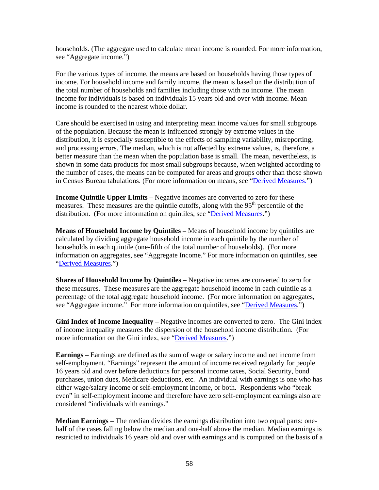households. (The aggregate used to calculate mean income is rounded. For more information, see "Aggregate income.")

For the various types of income, the means are based on households having those types of income. For household income and family income, the mean is based on the distribution of the total number of households and families including those with no income. The mean income for individuals is based on individuals 15 years old and over with income. Mean income is rounded to the nearest whole dollar.

Care should be exercised in using and interpreting mean income values for small subgroups of the population. Because the mean is influenced strongly by extreme values in the distribution, it is especially susceptible to the effects of sampling variability, misreporting, and processing errors. The median, which is not affected by extreme values, is, therefore, a better measure than the mean when the population base is small. The mean, nevertheless, is shown in some data products for most small subgroups because, when weighted according to the number of cases, the means can be computed for areas and groups other than those shown in Census Bureau tabulations. (For more information on means, see "Derived Measures.")

**Income Quintile Upper Limits –** Negative incomes are converted to zero for these measures. These measures are the quintile cutoffs, along with the  $95<sup>th</sup>$  percentile of the distribution. (For more information on quintiles, see "Derived Measures.")

**Means of Household Income by Quintiles –** Means of household income by quintiles are calculated by dividing aggregate household income in each quintile by the number of households in each quintile (one-fifth of the total number of households). (For more information on aggregates, see "Aggregate Income." For more information on quintiles, see "Derived Measures.")

**Shares of Household Income by Quintiles –** Negative incomes are converted to zero for these measures. These measures are the aggregate household income in each quintile as a percentage of the total aggregate household income. (For more information on aggregates, see "Aggregate income." For more information on quintiles, see "Derived Measures.")

**Gini Index of Income Inequality –** Negative incomes are converted to zero. The Gini index of income inequality measures the dispersion of the household income distribution. (For more information on the Gini index, see "Derived Measures.")

**Earnings –** Earnings are defined as the sum of wage or salary income and net income from self-employment. "Earnings" represent the amount of income received regularly for people 16 years old and over before deductions for personal income taxes, Social Security, bond purchases, union dues, Medicare deductions, etc. An individual with earnings is one who has either wage/salary income or self-employment income, or both. Respondents who "break even" in self-employment income and therefore have zero self-employment earnings also are considered "individuals with earnings."

**Median Earnings –** The median divides the earnings distribution into two equal parts: onehalf of the cases falling below the median and one-half above the median. Median earnings is restricted to individuals 16 years old and over with earnings and is computed on the basis of a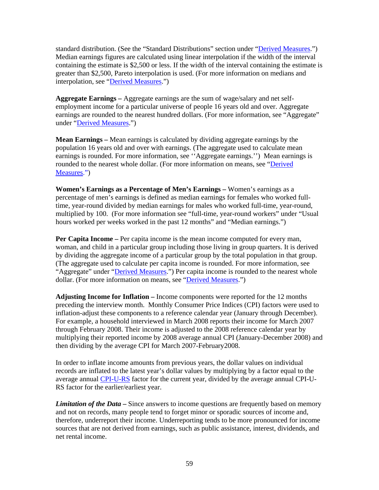standard distribution. (See the "Standard Distributions" section under "Derived Measures.") Median earnings figures are calculated using linear interpolation if the width of the interval containing the estimate is \$2,500 or less. If the width of the interval containing the estimate is greater than \$2,500, Pareto interpolation is used. (For more information on medians and interpolation, see "Derived Measures.")

**Aggregate Earnings –** Aggregate earnings are the sum of wage/salary and net selfemployment income for a particular universe of people 16 years old and over. Aggregate earnings are rounded to the nearest hundred dollars. (For more information, see "Aggregate" under "Derived Measures.")

**Mean Earnings –** Mean earnings is calculated by dividing aggregate earnings by the population 16 years old and over with earnings. (The aggregate used to calculate mean earnings is rounded. For more information, see ''Aggregate earnings.'') Mean earnings is rounded to the nearest whole dollar. (For more information on means, see "Derived Measures.")

**Women's Earnings as a Percentage of Men's Earnings –** Women's earnings as a percentage of men's earnings is defined as median earnings for females who worked fulltime, year-round divided by median earnings for males who worked full-time, year-round, multiplied by 100. (For more information see "full-time, year-round workers" under "Usual hours worked per weeks worked in the past 12 months" and "Median earnings.")

**Per Capita Income** – Per capita income is the mean income computed for every man, woman, and child in a particular group including those living in group quarters. It is derived by dividing the aggregate income of a particular group by the total population in that group. (The aggregate used to calculate per capita income is rounded. For more information, see "Aggregate" under "Derived Measures.") Per capita income is rounded to the nearest whole dollar. (For more information on means, see "Derived Measures.")

**Adjusting Income for Inflation –** Income components were reported for the 12 months preceding the interview month. Monthly Consumer Price Indices (CPI) factors were used to inflation-adjust these components to a reference calendar year (January through December). For example, a household interviewed in March 2008 reports their income for March 2007 through February 2008. Their income is adjusted to the 2008 reference calendar year by multiplying their reported income by 2008 average annual CPI (January-December 2008) and then dividing by the average CPI for March 2007-February2008.

In order to inflate income amounts from previous years, the dollar values on individual records are inflated to the latest year's dollar values by multiplying by a factor equal to the average annual CPI-U-RS factor for the current year, divided by the average annual CPI-U-RS factor for the earlier/earliest year.

*Limitation of the Data* – Since answers to income questions are frequently based on memory and not on records, many people tend to forget minor or sporadic sources of income and, therefore, underreport their income. Underreporting tends to be more pronounced for income sources that are not derived from earnings, such as public assistance, interest, dividends, and net rental income.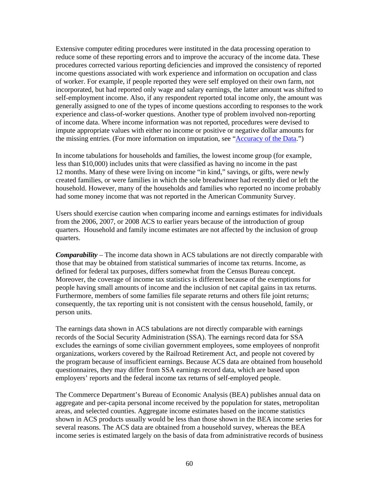Extensive computer editing procedures were instituted in the data processing operation to reduce some of these reporting errors and to improve the accuracy of the income data. These procedures corrected various reporting deficiencies and improved the consistency of reported income questions associated with work experience and information on occupation and class of worker. For example, if people reported they were self employed on their own farm, not incorporated, but had reported only wage and salary earnings, the latter amount was shifted to self-employment income. Also, if any respondent reported total income only, the amount was generally assigned to one of the types of income questions according to responses to the work experience and class-of-worker questions. Another type of problem involved non-reporting of income data. Where income information was not reported, procedures were devised to impute appropriate values with either no income or positive or negative dollar amounts for the missing entries. (For more information on imputation, see "Accuracy of the Data.")

In income tabulations for households and families, the lowest income group (for example, less than \$10,000) includes units that were classified as having no income in the past 12 months. Many of these were living on income "in kind," savings, or gifts, were newly created families, or were families in which the sole breadwinner had recently died or left the household. However, many of the households and families who reported no income probably had some money income that was not reported in the American Community Survey.

Users should exercise caution when comparing income and earnings estimates for individuals from the 2006, 2007, or 2008 ACS to earlier years because of the introduction of group quarters. Household and family income estimates are not affected by the inclusion of group quarters.

*Comparability* – The income data shown in ACS tabulations are not directly comparable with those that may be obtained from statistical summaries of income tax returns. Income, as defined for federal tax purposes, differs somewhat from the Census Bureau concept. Moreover, the coverage of income tax statistics is different because of the exemptions for people having small amounts of income and the inclusion of net capital gains in tax returns. Furthermore, members of some families file separate returns and others file joint returns; consequently, the tax reporting unit is not consistent with the census household, family, or person units.

The earnings data shown in ACS tabulations are not directly comparable with earnings records of the Social Security Administration (SSA). The earnings record data for SSA excludes the earnings of some civilian government employees, some employees of nonprofit organizations, workers covered by the Railroad Retirement Act, and people not covered by the program because of insufficient earnings. Because ACS data are obtained from household questionnaires, they may differ from SSA earnings record data, which are based upon employers' reports and the federal income tax returns of self-employed people.

The Commerce Department's Bureau of Economic Analysis (BEA) publishes annual data on aggregate and per-capita personal income received by the population for states, metropolitan areas, and selected counties. Aggregate income estimates based on the income statistics shown in ACS products usually would be less than those shown in the BEA income series for several reasons. The ACS data are obtained from a household survey, whereas the BEA income series is estimated largely on the basis of data from administrative records of business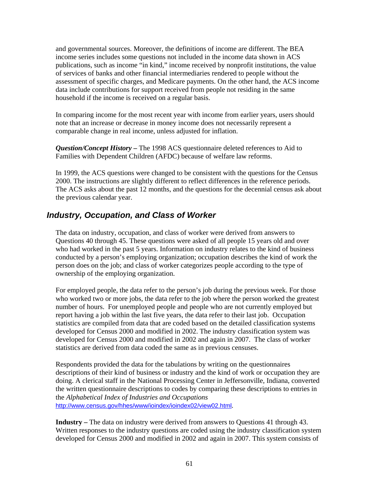and governmental sources. Moreover, the definitions of income are different. The BEA income series includes some questions not included in the income data shown in ACS publications, such as income "in kind," income received by nonprofit institutions, the value of services of banks and other financial intermediaries rendered to people without the assessment of specific charges, and Medicare payments. On the other hand, the ACS income data include contributions for support received from people not residing in the same household if the income is received on a regular basis.

In comparing income for the most recent year with income from earlier years, users should note that an increase or decrease in money income does not necessarily represent a comparable change in real income, unless adjusted for inflation.

*Question/Concept History –* The 1998 ACS questionnaire deleted references to Aid to Families with Dependent Children (AFDC) because of welfare law reforms.

In 1999, the ACS questions were changed to be consistent with the questions for the Census 2000. The instructions are slightly different to reflect differences in the reference periods. The ACS asks about the past 12 months, and the questions for the decennial census ask about the previous calendar year.

# *Industry, Occupation, and Class of Worker*

The data on industry, occupation, and class of worker were derived from answers to Questions 40 through 45. These questions were asked of all people 15 years old and over who had worked in the past 5 years. Information on industry relates to the kind of business conducted by a person's employing organization; occupation describes the kind of work the person does on the job; and class of worker categorizes people according to the type of ownership of the employing organization.

For employed people, the data refer to the person's job during the previous week. For those who worked two or more jobs, the data refer to the job where the person worked the greatest number of hours. For unemployed people and people who are not currently employed but report having a job within the last five years, the data refer to their last job. Occupation statistics are compiled from data that are coded based on the detailed classification systems developed for Census 2000 and modified in 2002. The industry classification system was developed for Census 2000 and modified in 2002 and again in 2007. The class of worker statistics are derived from data coded the same as in previous censuses.

Respondents provided the data for the tabulations by writing on the questionnaires descriptions of their kind of business or industry and the kind of work or occupation they are doing. A clerical staff in the National Processing Center in Jeffersonville, Indiana, converted the written questionnaire descriptions to codes by comparing these descriptions to entries in the *Alphabetical Index of Industries and Occupations*  http://www.census.gov/hhes/www/ioindex/ioindex02/view02.html*.*

**Industry –** The data on industry were derived from answers to Questions 41 through 43. Written responses to the industry questions are coded using the industry classification system developed for Census 2000 and modified in 2002 and again in 2007. This system consists of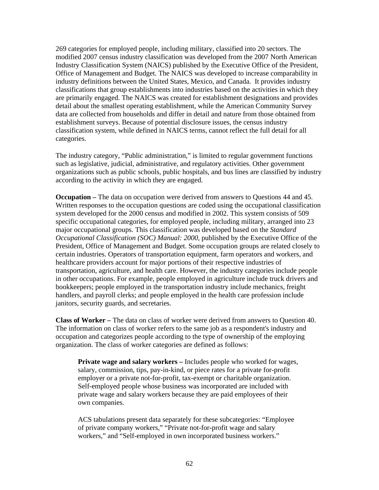269 categories for employed people, including military, classified into 20 sectors. The modified 2007 census industry classification was developed from the 2007 North American Industry Classification System (NAICS) published by the Executive Office of the President, Office of Management and Budget. The NAICS was developed to increase comparability in industry definitions between the United States, Mexico, and Canada. It provides industry classifications that group establishments into industries based on the activities in which they are primarily engaged. The NAICS was created for establishment designations and provides detail about the smallest operating establishment, while the American Community Survey data are collected from households and differ in detail and nature from those obtained from establishment surveys. Because of potential disclosure issues, the census industry classification system, while defined in NAICS terms, cannot reflect the full detail for all categories.

The industry category, "Public administration," is limited to regular government functions such as legislative, judicial, administrative, and regulatory activities. Other government organizations such as public schools, public hospitals, and bus lines are classified by industry according to the activity in which they are engaged.

**Occupation –** The data on occupation were derived from answers to Questions 44 and 45. Written responses to the occupation questions are coded using the occupational classification system developed for the 2000 census and modified in 2002. This system consists of 509 specific occupational categories, for employed people, including military, arranged into 23 major occupational groups. This classification was developed based on the *Standard Occupational Classification (SOC) Manual: 2000*, published by the Executive Office of the President, Office of Management and Budget. Some occupation groups are related closely to certain industries. Operators of transportation equipment, farm operators and workers, and healthcare providers account for major portions of their respective industries of transportation, agriculture, and health care. However, the industry categories include people in other occupations. For example, people employed in agriculture include truck drivers and bookkeepers; people employed in the transportation industry include mechanics, freight handlers, and payroll clerks; and people employed in the health care profession include janitors, security guards, and secretaries.

**Class of Worker –** The data on class of worker were derived from answers to Question 40. The information on class of worker refers to the same job as a respondent's industry and occupation and categorizes people according to the type of ownership of the employing organization. The class of worker categories are defined as follows:

**Private wage and salary workers –** Includes people who worked for wages, salary, commission, tips, pay-in-kind, or piece rates for a private for-profit employer or a private not-for-profit, tax-exempt or charitable organization. Self-employed people whose business was incorporated are included with private wage and salary workers because they are paid employees of their own companies.

ACS tabulations present data separately for these subcategories: "Employee of private company workers," "Private not-for-profit wage and salary workers," and "Self-employed in own incorporated business workers."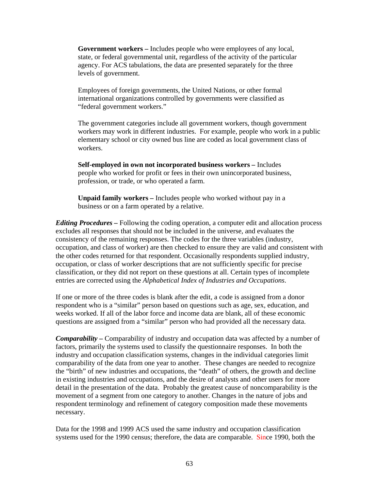**Government workers –** Includes people who were employees of any local, state, or federal governmental unit, regardless of the activity of the particular agency. For ACS tabulations, the data are presented separately for the three levels of government.

Employees of foreign governments, the United Nations, or other formal international organizations controlled by governments were classified as "federal government workers."

The government categories include all government workers, though government workers may work in different industries. For example, people who work in a public elementary school or city owned bus line are coded as local government class of workers.

**Self-employed in own not incorporated business workers** *–* Includes people who worked for profit or fees in their own unincorporated business, profession, or trade, or who operated a farm.

**Unpaid family workers** *–* Includes people who worked without pay in a business or on a farm operated by a relative.

*Editing Procedures –* Following the coding operation, a computer edit and allocation process excludes all responses that should not be included in the universe, and evaluates the consistency of the remaining responses. The codes for the three variables (industry, occupation, and class of worker) are then checked to ensure they are valid and consistent with the other codes returned for that respondent. Occasionally respondents supplied industry, occupation, or class of worker descriptions that are not sufficiently specific for precise classification, or they did not report on these questions at all. Certain types of incomplete entries are corrected using the *Alphabetical Index of Industries and Occupations*.

If one or more of the three codes is blank after the edit, a code is assigned from a donor respondent who is a "similar" person based on questions such as age, sex, education, and weeks worked. If all of the labor force and income data are blank, all of these economic questions are assigned from a "similar" person who had provided all the necessary data.

*Comparability –* Comparability of industry and occupation data was affected by a number of factors, primarily the systems used to classify the questionnaire responses. In both the industry and occupation classification systems, changes in the individual categories limit comparability of the data from one year to another. These changes are needed to recognize the "birth" of new industries and occupations, the "death" of others, the growth and decline in existing industries and occupations, and the desire of analysts and other users for more detail in the presentation of the data. Probably the greatest cause of noncomparability is the movement of a segment from one category to another. Changes in the nature of jobs and respondent terminology and refinement of category composition made these movements necessary.

Data for the 1998 and 1999 ACS used the same industry and occupation classification systems used for the 1990 census; therefore, the data are comparable. Since 1990, both the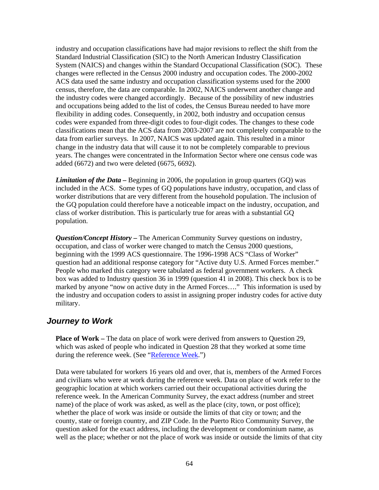industry and occupation classifications have had major revisions to reflect the shift from the Standard Industrial Classification (SIC) to the North American Industry Classification System (NAICS) and changes within the Standard Occupational Classification (SOC). These changes were reflected in the Census 2000 industry and occupation codes. The 2000-2002 ACS data used the same industry and occupation classification systems used for the 2000 census, therefore, the data are comparable. In 2002, NAICS underwent another change and the industry codes were changed accordingly. Because of the possibility of new industries and occupations being added to the list of codes, the Census Bureau needed to have more flexibility in adding codes. Consequently, in 2002, both industry and occupation census codes were expanded from three-digit codes to four-digit codes. The changes to these code classifications mean that the ACS data from 2003-2007 are not completely comparable to the data from earlier surveys. In 2007, NAICS was updated again. This resulted in a minor change in the industry data that will cause it to not be completely comparable to previous years. The changes were concentrated in the Information Sector where one census code was added (6672) and two were deleted (6675, 6692).

*Limitation of the Data* – Beginning in 2006, the population in group quarters (GQ) was included in the ACS. Some types of GQ populations have industry, occupation, and class of worker distributions that are very different from the household population. The inclusion of the GQ population could therefore have a noticeable impact on the industry, occupation, and class of worker distribution. This is particularly true for areas with a substantial GQ population.

*Question/Concept History –* The American Community Survey questions on industry, occupation, and class of worker were changed to match the Census 2000 questions, beginning with the 1999 ACS questionnaire. The 1996-1998 ACS "Class of Worker" question had an additional response category for "Active duty U.S. Armed Forces member." People who marked this category were tabulated as federal government workers. A check box was added to Industry question 36 in 1999 (question 41 in 2008). This check box is to be marked by anyone "now on active duty in the Armed Forces…." This information is used by the industry and occupation coders to assist in assigning proper industry codes for active duty military.

## *Journey to Work*

**Place of Work –** The data on place of work were derived from answers to Question 29, which was asked of people who indicated in Question 28 that they worked at some time during the reference week. (See "Reference Week.")

Data were tabulated for workers 16 years old and over, that is, members of the Armed Forces and civilians who were at work during the reference week. Data on place of work refer to the geographic location at which workers carried out their occupational activities during the reference week. In the American Community Survey, the exact address (number and street name) of the place of work was asked, as well as the place (city, town, or post office); whether the place of work was inside or outside the limits of that city or town; and the county, state or foreign country, and ZIP Code. In the Puerto Rico Community Survey, the question asked for the exact address, including the development or condominium name, as well as the place; whether or not the place of work was inside or outside the limits of that city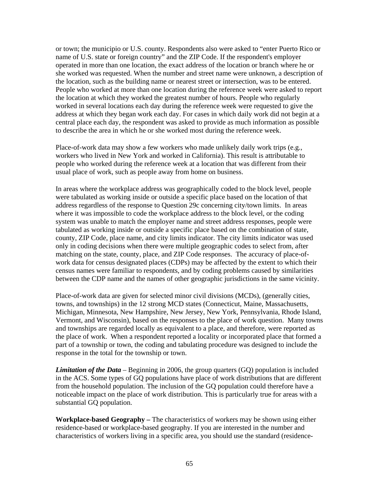or town; the municipio or U.S. county. Respondents also were asked to "enter Puerto Rico or name of U.S. state or foreign country" and the ZIP Code. If the respondent's employer operated in more than one location, the exact address of the location or branch where he or she worked was requested. When the number and street name were unknown, a description of the location, such as the building name or nearest street or intersection, was to be entered. People who worked at more than one location during the reference week were asked to report the location at which they worked the greatest number of hours. People who regularly worked in several locations each day during the reference week were requested to give the address at which they began work each day. For cases in which daily work did not begin at a central place each day, the respondent was asked to provide as much information as possible to describe the area in which he or she worked most during the reference week.

Place-of-work data may show a few workers who made unlikely daily work trips (e.g., workers who lived in New York and worked in California). This result is attributable to people who worked during the reference week at a location that was different from their usual place of work, such as people away from home on business.

In areas where the workplace address was geographically coded to the block level, people were tabulated as working inside or outside a specific place based on the location of that address regardless of the response to Question 29c concerning city/town limits. In areas where it was impossible to code the workplace address to the block level, or the coding system was unable to match the employer name and street address responses, people were tabulated as working inside or outside a specific place based on the combination of state, county, ZIP Code, place name, and city limits indicator. The city limits indicator was used only in coding decisions when there were multiple geographic codes to select from, after matching on the state, county, place, and ZIP Code responses. The accuracy of place-ofwork data for census designated places (CDPs) may be affected by the extent to which their census names were familiar to respondents, and by coding problems caused by similarities between the CDP name and the names of other geographic jurisdictions in the same vicinity.

Place-of-work data are given for selected minor civil divisions (MCDs), (generally cities, towns, and townships) in the 12 strong MCD states (Connecticut, Maine, Massachusetts, Michigan, Minnesota, New Hampshire, New Jersey, New York, Pennsylvania, Rhode Island, Vermont, and Wisconsin), based on the responses to the place of work question. Many towns and townships are regarded locally as equivalent to a place, and therefore, were reported as the place of work. When a respondent reported a locality or incorporated place that formed a part of a township or town, the coding and tabulating procedure was designed to include the response in the total for the township or town.

*Limitation of the Data* – Beginning in 2006, the group quarters (GQ) population is included in the ACS. Some types of GQ populations have place of work distributions that are different from the household population. The inclusion of the GQ population could therefore have a noticeable impact on the place of work distribution. This is particularly true for areas with a substantial GQ population.

**Workplace-based Geography –** The characteristics of workers may be shown using either residence-based or workplace-based geography. If you are interested in the number and characteristics of workers living in a specific area, you should use the standard (residence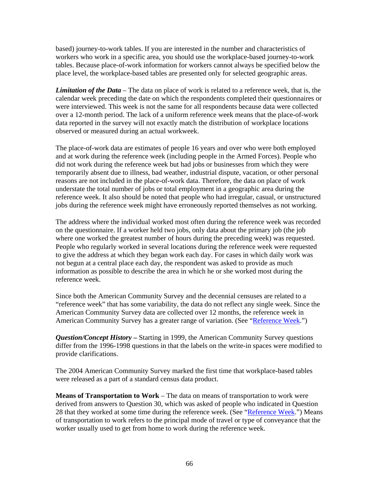based) journey-to-work tables. If you are interested in the number and characteristics of workers who work in a specific area, you should use the workplace-based journey-to-work tables. Because place-of-work information for workers cannot always be specified below the place level, the workplace-based tables are presented only for selected geographic areas.

*Limitation of the Data* – The data on place of work is related to a reference week, that is, the calendar week preceding the date on which the respondents completed their questionnaires or were interviewed. This week is not the same for all respondents because data were collected over a 12-month period. The lack of a uniform reference week means that the place-of-work data reported in the survey will not exactly match the distribution of workplace locations observed or measured during an actual workweek.

The place-of-work data are estimates of people 16 years and over who were both employed and at work during the reference week (including people in the Armed Forces). People who did not work during the reference week but had jobs or businesses from which they were temporarily absent due to illness, bad weather, industrial dispute, vacation, or other personal reasons are not included in the place-of-work data. Therefore, the data on place of work understate the total number of jobs or total employment in a geographic area during the reference week. It also should be noted that people who had irregular, casual, or unstructured jobs during the reference week might have erroneously reported themselves as not working.

The address where the individual worked most often during the reference week was recorded on the questionnaire. If a worker held two jobs, only data about the primary job (the job where one worked the greatest number of hours during the preceding week) was requested. People who regularly worked in several locations during the reference week were requested to give the address at which they began work each day. For cases in which daily work was not begun at a central place each day, the respondent was asked to provide as much information as possible to describe the area in which he or she worked most during the reference week.

Since both the American Community Survey and the decennial censuses are related to a "reference week" that has some variability, the data do not reflect any single week. Since the American Community Survey data are collected over 12 months, the reference week in American Community Survey has a greater range of variation. (See "Reference Week.")

*Question/Concept History –* Starting in 1999, the American Community Survey questions differ from the 1996-1998 questions in that the labels on the write-in spaces were modified to provide clarifications.

The 2004 American Community Survey marked the first time that workplace-based tables were released as a part of a standard census data product.

**Means of Transportation to Work** – The data on means of transportation to work were derived from answers to Question 30, which was asked of people who indicated in Question 28 that they worked at some time during the reference week. (See "Reference Week.") Means of transportation to work refers to the principal mode of travel or type of conveyance that the worker usually used to get from home to work during the reference week.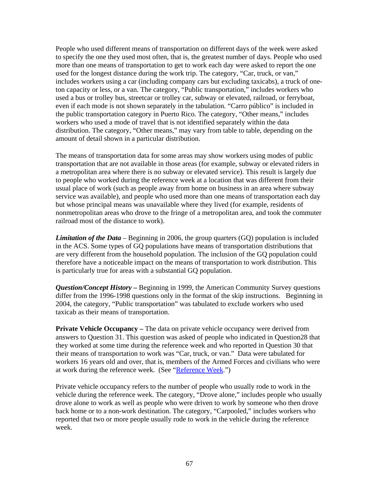People who used different means of transportation on different days of the week were asked to specify the one they used most often, that is, the greatest number of days. People who used more than one means of transportation to get to work each day were asked to report the one used for the longest distance during the work trip. The category, "Car, truck, or van," includes workers using a car (including company cars but excluding taxicabs), a truck of oneton capacity or less, or a van. The category, "Public transportation," includes workers who used a bus or trolley bus, streetcar or trolley car, subway or elevated, railroad, or ferryboat, even if each mode is not shown separately in the tabulation. "Carro público" is included in the public transportation category in Puerto Rico. The category, "Other means," includes workers who used a mode of travel that is not identified separately within the data distribution. The category, "Other means," may vary from table to table, depending on the amount of detail shown in a particular distribution.

The means of transportation data for some areas may show workers using modes of public transportation that are not available in those areas (for example, subway or elevated riders in a metropolitan area where there is no subway or elevated service). This result is largely due to people who worked during the reference week at a location that was different from their usual place of work (such as people away from home on business in an area where subway service was available), and people who used more than one means of transportation each day but whose principal means was unavailable where they lived (for example, residents of nonmetropolitan areas who drove to the fringe of a metropolitan area, and took the commuter railroad most of the distance to work).

*Limitation of the Data* – Beginning in 2006, the group quarters (GQ) population is included in the ACS. Some types of GQ populations have means of transportation distributions that are very different from the household population. The inclusion of the GQ population could therefore have a noticeable impact on the means of transportation to work distribution. This is particularly true for areas with a substantial GQ population.

*Question/Concept History – Beginning in 1999, the American Community Survey questions* differ from the 1996-1998 questions only in the format of the skip instructions. Beginning in 2004, the category, "Public transportation" was tabulated to exclude workers who used taxicab as their means of transportation.

**Private Vehicle Occupancy** – The data on private vehicle occupancy were derived from answers to Question 31. This question was asked of people who indicated in Question28 that they worked at some time during the reference week and who reported in Question 30 that their means of transportation to work was "Car, truck, or van." Data were tabulated for workers 16 years old and over, that is, members of the Armed Forces and civilians who were at work during the reference week. (See "Reference Week.")

Private vehicle occupancy refers to the number of people who usually rode to work in the vehicle during the reference week. The category, "Drove alone," includes people who usually drove alone to work as well as people who were driven to work by someone who then drove back home or to a non-work destination. The category, "Carpooled," includes workers who reported that two or more people usually rode to work in the vehicle during the reference week.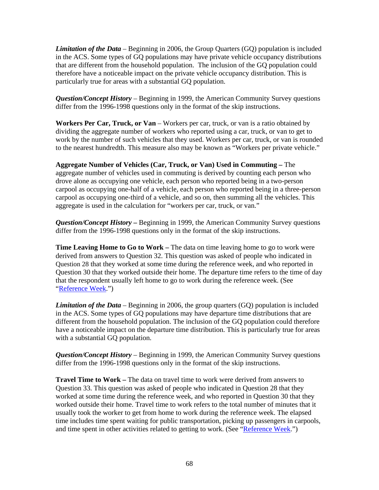*Limitation of the Data* – Beginning in 2006, the Group Quarters (GQ) population is included in the ACS. Some types of GQ populations may have private vehicle occupancy distributions that are different from the household population. The inclusion of the GQ population could therefore have a noticeable impact on the private vehicle occupancy distribution. This is particularly true for areas with a substantial GQ population.

*Question/Concept History* – Beginning in 1999, the American Community Survey questions differ from the 1996-1998 questions only in the format of the skip instructions.

**Workers Per Car, Truck, or Van** – Workers per car, truck, or van is a ratio obtained by dividing the aggregate number of workers who reported using a car, truck, or van to get to work by the number of such vehicles that they used. Workers per car, truck, or van is rounded to the nearest hundredth. This measure also may be known as "Workers per private vehicle."

**Aggregate Number of Vehicles (Car, Truck, or Van) Used in Commuting –** The aggregate number of vehicles used in commuting is derived by counting each person who drove alone as occupying one vehicle, each person who reported being in a two-person carpool as occupying one-half of a vehicle, each person who reported being in a three-person carpool as occupying one-third of a vehicle, and so on, then summing all the vehicles. This aggregate is used in the calculation for "workers per car, truck, or van."

*Question/Concept History – Beginning in 1999, the American Community Survey questions* differ from the 1996-1998 questions only in the format of the skip instructions.

**Time Leaving Home to Go to Work – The data on time leaving home to go to work were** derived from answers to Question 32. This question was asked of people who indicated in Question 28 that they worked at some time during the reference week, and who reported in Question 30 that they worked outside their home. The departure time refers to the time of day that the respondent usually left home to go to work during the reference week. (See "Reference Week.")

*Limitation of the Data – Beginning in 2006, the group quarters (GQ) population is included* in the ACS. Some types of GQ populations may have departure time distributions that are different from the household population. The inclusion of the GQ population could therefore have a noticeable impact on the departure time distribution. This is particularly true for areas with a substantial GQ population.

*Question/Concept History – Beginning in 1999, the American Community Survey questions* differ from the 1996-1998 questions only in the format of the skip instructions.

**Travel Time to Work** – The data on travel time to work were derived from answers to Question 33. This question was asked of people who indicated in Question 28 that they worked at some time during the reference week, and who reported in Question 30 that they worked outside their home. Travel time to work refers to the total number of minutes that it usually took the worker to get from home to work during the reference week. The elapsed time includes time spent waiting for public transportation, picking up passengers in carpools, and time spent in other activities related to getting to work. (See "Reference Week.")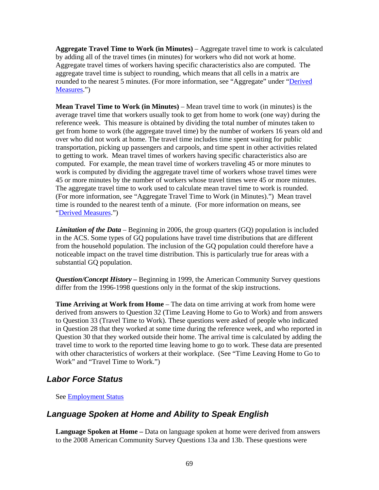**Aggregate Travel Time to Work (in Minutes)** – Aggregate travel time to work is calculated by adding all of the travel times (in minutes) for workers who did not work at home. Aggregate travel times of workers having specific characteristics also are computed. The aggregate travel time is subject to rounding, which means that all cells in a matrix are rounded to the nearest 5 minutes. (For more information, see "Aggregate" under "Derived Measures.")

**Mean Travel Time to Work (in Minutes)** – Mean travel time to work (in minutes) is the average travel time that workers usually took to get from home to work (one way) during the reference week. This measure is obtained by dividing the total number of minutes taken to get from home to work (the aggregate travel time) by the number of workers 16 years old and over who did not work at home. The travel time includes time spent waiting for public transportation, picking up passengers and carpools, and time spent in other activities related to getting to work. Mean travel times of workers having specific characteristics also are computed. For example, the mean travel time of workers traveling 45 or more minutes to work is computed by dividing the aggregate travel time of workers whose travel times were 45 or more minutes by the number of workers whose travel times were 45 or more minutes. The aggregate travel time to work used to calculate mean travel time to work is rounded. (For more information, see "Aggregate Travel Time to Work (in Minutes).") Mean travel time is rounded to the nearest tenth of a minute. (For more information on means, see "Derived Measures.")

*Limitation of the Data – Beginning in 2006, the group quarters (GQ) population is included* in the ACS. Some types of GQ populations have travel time distributions that are different from the household population. The inclusion of the GQ population could therefore have a noticeable impact on the travel time distribution. This is particularly true for areas with a substantial GQ population.

*Question/Concept History –* Beginning in 1999, the American Community Survey questions differ from the 1996-1998 questions only in the format of the skip instructions.

**Time Arriving at Work from Home** – The data on time arriving at work from home were derived from answers to Question 32 (Time Leaving Home to Go to Work) and from answers to Question 33 (Travel Time to Work). These questions were asked of people who indicated in Question 28 that they worked at some time during the reference week, and who reported in Question 30 that they worked outside their home. The arrival time is calculated by adding the travel time to work to the reported time leaving home to go to work. These data are presented with other characteristics of workers at their workplace. (See "Time Leaving Home to Go to Work" and "Travel Time to Work.")

# *Labor Force Status*

See Employment Status

# *Language Spoken at Home and Ability to Speak English*

**Language Spoken at Home –** Data on language spoken at home were derived from answers to the 2008 American Community Survey Questions 13a and 13b. These questions were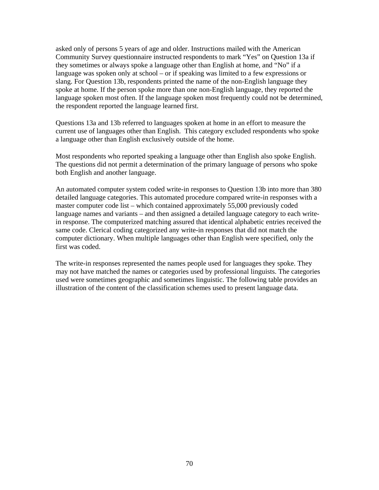asked only of persons 5 years of age and older. Instructions mailed with the American Community Survey questionnaire instructed respondents to mark "Yes" on Question 13a if they sometimes or always spoke a language other than English at home, and "No" if a language was spoken only at school – or if speaking was limited to a few expressions or slang. For Question 13b, respondents printed the name of the non-English language they spoke at home. If the person spoke more than one non-English language, they reported the language spoken most often. If the language spoken most frequently could not be determined, the respondent reported the language learned first.

Questions 13a and 13b referred to languages spoken at home in an effort to measure the current use of languages other than English. This category excluded respondents who spoke a language other than English exclusively outside of the home.

Most respondents who reported speaking a language other than English also spoke English. The questions did not permit a determination of the primary language of persons who spoke both English and another language.

An automated computer system coded write-in responses to Question 13b into more than 380 detailed language categories. This automated procedure compared write-in responses with a master computer code list – which contained approximately 55,000 previously coded language names and variants – and then assigned a detailed language category to each writein response. The computerized matching assured that identical alphabetic entries received the same code. Clerical coding categorized any write-in responses that did not match the computer dictionary. When multiple languages other than English were specified, only the first was coded.

The write-in responses represented the names people used for languages they spoke. They may not have matched the names or categories used by professional linguists. The categories used were sometimes geographic and sometimes linguistic. The following table provides an illustration of the content of the classification schemes used to present language data.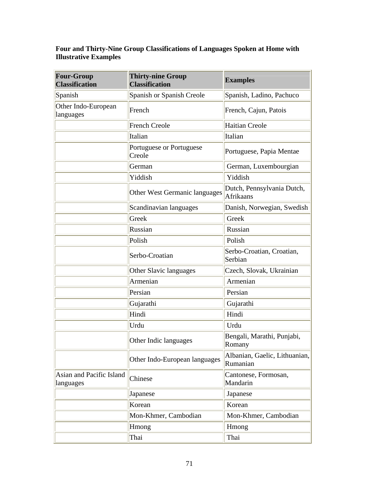**Four and Thirty-Nine Group Classifications of Languages Spoken at Home with Illustrative Examples**

| <b>Four-Group</b><br><b>Classification</b> | <b>Thirty-nine Group</b><br><b>Classification</b> | <b>Examples</b>                                |
|--------------------------------------------|---------------------------------------------------|------------------------------------------------|
| Spanish                                    | Spanish or Spanish Creole                         | Spanish, Ladino, Pachuco                       |
| Other Indo-European<br>languages           | French                                            | French, Cajun, Patois                          |
|                                            | <b>French Creole</b>                              | Haitian Creole                                 |
|                                            | Italian                                           | Italian                                        |
|                                            | Portuguese or Portuguese<br>Creole                | Portuguese, Papia Mentae                       |
|                                            | German                                            | German, Luxembourgian                          |
|                                            | Yiddish                                           | Yiddish                                        |
|                                            | Other West Germanic languages                     | Dutch, Pennsylvania Dutch,<br><b>Afrikaans</b> |
|                                            | Scandinavian languages                            | Danish, Norwegian, Swedish                     |
|                                            | Greek                                             | Greek                                          |
|                                            | Russian                                           | Russian                                        |
|                                            | Polish                                            | Polish                                         |
|                                            | Serbo-Croatian                                    | Serbo-Croatian, Croatian,<br>Serbian           |
|                                            | Other Slavic languages                            | Czech, Slovak, Ukrainian                       |
|                                            | Armenian                                          | Armenian                                       |
|                                            | Persian                                           | Persian                                        |
|                                            | Gujarathi                                         | Gujarathi                                      |
|                                            | Hindi                                             | Hindi                                          |
|                                            | Urdu                                              | Urdu                                           |
|                                            | Other Indic languages                             | Bengali, Marathi, Punjabi,<br>Romany           |
|                                            | Other Indo-European languages                     | Albanian, Gaelic, Lithuanian,<br>Rumanian      |
| Asian and Pacific Island<br>languages      | Chinese                                           | Cantonese, Formosan,<br>Mandarin               |
|                                            | Japanese                                          | Japanese                                       |
|                                            | Korean                                            | Korean                                         |
|                                            | Mon-Khmer, Cambodian                              | Mon-Khmer, Cambodian                           |
|                                            | Hmong                                             | Hmong                                          |
|                                            | Thai                                              | Thai                                           |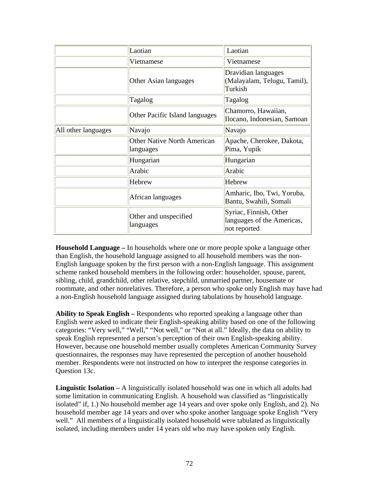|                     | Laotian                                         | Laotian                                                              |
|---------------------|-------------------------------------------------|----------------------------------------------------------------------|
|                     | Vietnamese                                      | Vietnamese                                                           |
|                     | Other Asian languages                           | Dravidian languages<br>(Malayalam, Telugu, Tamil),<br>Turkish        |
|                     | Tagalog                                         | Tagalog                                                              |
|                     | Other Pacific Island languages                  | Chamorro, Hawaiian,<br>Ilocano, Indonesian, Samoan                   |
| All other languages | Navajo                                          | Navajo                                                               |
|                     | <b>Other Native North American</b><br>languages | Apache, Cherokee, Dakota,<br>Pima, Yupik                             |
|                     | Hungarian                                       | Hungarian                                                            |
|                     | Arabic                                          | Arabic                                                               |
|                     | Hebrew                                          | Hebrew                                                               |
|                     | African languages                               | Amharic, Ibo, Twi, Yoruba,<br>Bantu, Swahili, Somali                 |
|                     | Other and unspecified<br>languages              | Syriac, Finnish, Other<br>languages of the Americas,<br>not reported |

**Household Language –** In households where one or more people spoke a language other than English, the household language assigned to all household members was the non-English language spoken by the first person with a non-English language. This assignment scheme ranked household members in the following order: householder, spouse, parent, sibling, child, grandchild, other relative, stepchild, unmarried partner, housemate or roommate, and other nonrelatives. Therefore, a person who spoke only English may have had a non-English household language assigned during tabulations by household language.

**Ability to Speak English –** Respondents who reported speaking a language other than English were asked to indicate their English-speaking ability based on one of the following categories: "Very well," "Well," "Not well," or "Not at all." Ideally, the data on ability to speak English represented a person's perception of their own English-speaking ability. However, because one household member usually completes American Community Survey questionnaires, the responses may have represented the perception of another household member. Respondents were not instructed on how to interpret the response categories in Question 13c.

**Linguistic Isolation –** A linguistically isolated household was one in which all adults had some limitation in communicating English. A household was classified as "linguistically isolated" if, 1.) No household member age 14 years and over spoke only English, and 2). No household member age 14 years and over who spoke another language spoke English "Very well." All members of a linguistically isolated household were tabulated as linguistically isolated, including members under 14 years old who may have spoken only English.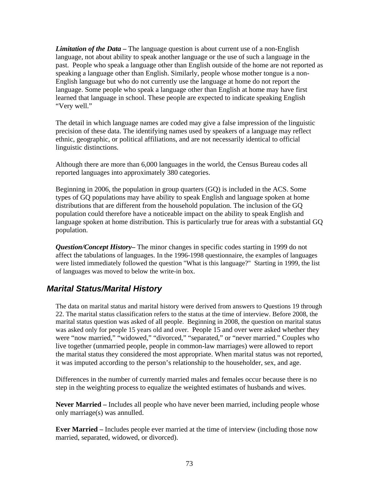*Limitation of the Data* **–** The language question is about current use of a non-English language, not about ability to speak another language or the use of such a language in the past. People who speak a language other than English outside of the home are not reported as speaking a language other than English. Similarly, people whose mother tongue is a non-English language but who do not currently use the language at home do not report the language. Some people who speak a language other than English at home may have first learned that language in school. These people are expected to indicate speaking English "Very well."

The detail in which language names are coded may give a false impression of the linguistic precision of these data. The identifying names used by speakers of a language may reflect ethnic, geographic, or political affiliations, and are not necessarily identical to official linguistic distinctions.

Although there are more than 6,000 languages in the world, the Census Bureau codes all reported languages into approximately 380 categories.

Beginning in 2006, the population in group quarters (GQ) is included in the ACS. Some types of GQ populations may have ability to speak English and language spoken at home distributions that are different from the household population. The inclusion of the GQ population could therefore have a noticeable impact on the ability to speak English and language spoken at home distribution. This is particularly true for areas with a substantial GQ population.

*Question/Concept History–* The minor changes in specific codes starting in 1999 do not affect the tabulations of languages. In the 1996-1998 questionnaire, the examples of languages were listed immediately followed the question "What is this language?" Starting in 1999, the list of languages was moved to below the write-in box.

## *Marital Status/Marital History*

The data on marital status and marital history were derived from answers to Questions 19 through 22. The marital status classification refers to the status at the time of interview. Before 2008, the marital status question was asked of all people. Beginning in 2008, the question on marital status was asked only for people 15 years old and over. People 15 and over were asked whether they were "now married," "widowed," "divorced," "separated," or "never married." Couples who live together (unmarried people, people in common-law marriages) were allowed to report the marital status they considered the most appropriate. When marital status was not reported, it was imputed according to the person's relationship to the householder, sex, and age.

Differences in the number of currently married males and females occur because there is no step in the weighting process to equalize the weighted estimates of husbands and wives.

**Never Married –** Includes all people who have never been married, including people whose only marriage(s) was annulled.

**Ever Married –** Includes people ever married at the time of interview (including those now married, separated, widowed, or divorced).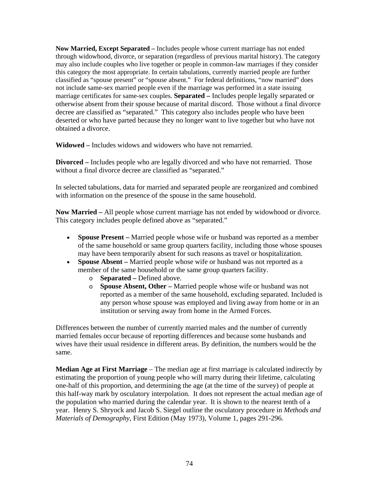**Now Married, Except Separated –** Includes people whose current marriage has not ended through widowhood, divorce, or separation (regardless of previous marital history). The category may also include couples who live together or people in common-law marriages if they consider this category the most appropriate. In certain tabulations, currently married people are further classified as "spouse present" or "spouse absent." For federal definitions, "now married" does not include same-sex married people even if the marriage was performed in a state issuing marriage certificates for same-sex couples. **Separated –** Includes people legally separated or otherwise absent from their spouse because of marital discord. Those without a final divorce decree are classified as "separated." This category also includes people who have been deserted or who have parted because they no longer want to live together but who have not obtained a divorce.

**Widowed –** Includes widows and widowers who have not remarried.

**Divorced –** Includes people who are legally divorced and who have not remarried. Those without a final divorce decree are classified as "separated."

In selected tabulations, data for married and separated people are reorganized and combined with information on the presence of the spouse in the same household.

**Now Married –** All people whose current marriage has not ended by widowhood or divorce. This category includes people defined above as "separated."

- **Spouse Present** Married people whose wife or husband was reported as a member of the same household or same group quarters facility, including those whose spouses may have been temporarily absent for such reasons as travel or hospitalization.
- **Spouse Absent** Married people whose wife or husband was not reported as a member of the same household or the same group quarters facility.
	- o **Separated** Defined above.
	- o **Spouse Absent, Other –** Married people whose wife or husband was not reported as a member of the same household, excluding separated. Included is any person whose spouse was employed and living away from home or in an institution or serving away from home in the Armed Forces.

Differences between the number of currently married males and the number of currently married females occur because of reporting differences and because some husbands and wives have their usual residence in different areas. By definition, the numbers would be the same.

**Median Age at First Marriage** – The median age at first marriage is calculated indirectly by estimating the proportion of young people who will marry during their lifetime, calculating one-half of this proportion, and determining the age (at the time of the survey) of people at this half-way mark by osculatory interpolation. It does not represent the actual median age of the population who married during the calendar year. It is shown to the nearest tenth of a year. Henry S. Shryock and Jacob S. Siegel outline the osculatory procedure in *Methods and Materials of Demography*, First Edition (May 1973), Volume 1, pages 291-296.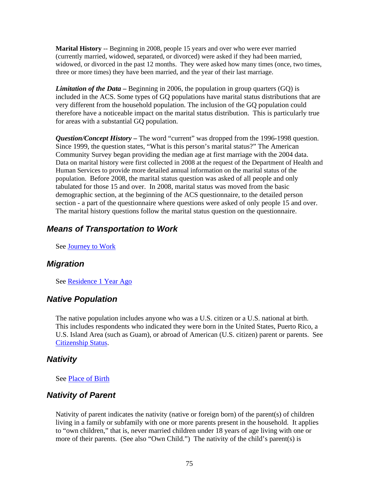**Marital History** -- Beginning in 2008, people 15 years and over who were ever married (currently married, widowed, separated, or divorced) were asked if they had been married, widowed, or divorced in the past 12 months. They were asked how many times (once, two times, three or more times) they have been married, and the year of their last marriage.

*Limitation of the Data* – Beginning in 2006, the population in group quarters (GQ) is included in the ACS. Some types of GQ populations have marital status distributions that are very different from the household population. The inclusion of the GQ population could therefore have a noticeable impact on the marital status distribution. This is particularly true for areas with a substantial GQ population.

*Question/Concept History – The word "current" was dropped from the 1996-1998 question.* Since 1999, the question states, "What is this person's marital status?" The American Community Survey began providing the median age at first marriage with the 2004 data. Data on marital history were first collected in 2008 at the request of the Department of Health and Human Services to provide more detailed annual information on the marital status of the population. Before 2008, the marital status question was asked of all people and only tabulated for those 15 and over. In 2008, marital status was moved from the basic demographic section, at the beginning of the ACS questionnaire, to the detailed person section - a part of the questionnaire where questions were asked of only people 15 and over. The marital history questions follow the marital status question on the questionnaire.

## *Means of Transportation to Work*

See Journey to Work

### *Migration*

See Residence 1 Year Ago

### *Native Population*

The native population includes anyone who was a U.S. citizen or a U.S. national at birth. This includes respondents who indicated they were born in the United States, Puerto Rico, a U.S. Island Area (such as Guam), or abroad of American (U.S. citizen) parent or parents. See Citizenship Status.

### *Nativity*

See Place of Birth

### *Nativity of Parent*

Nativity of parent indicates the nativity (native or foreign born) of the parent(s) of children living in a family or subfamily with one or more parents present in the household. It applies to "own children," that is, never married children under 18 years of age living with one or more of their parents. (See also "Own Child.") The nativity of the child's parent(s) is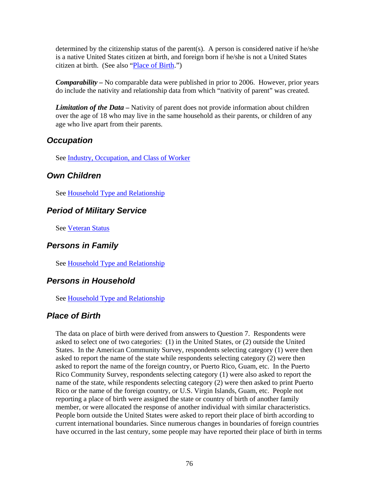determined by the citizenship status of the parent(s). A person is considered native if he/she is a native United States citizen at birth, and foreign born if he/she is not a United States citizen at birth. (See also "Place of Birth.")

*Comparability –* No comparable data were published in prior to 2006. However, prior years do include the nativity and relationship data from which "nativity of parent" was created.

*Limitation of the Data –* Nativity of parent does not provide information about children over the age of 18 who may live in the same household as their parents, or children of any age who live apart from their parents.

## *Occupation*

See **Industry**, Occupation, and Class of Worker

## *Own Children*

See Household Type and Relationship

## *Period of Military Service*

See Veteran Status

## *Persons in Family*

See Household Type and Relationship

## *Persons in Household*

See Household Type and Relationship

## *Place of Birth*

The data on place of birth were derived from answers to Question 7. Respondents were asked to select one of two categories: (1) in the United States, or (2) outside the United States. In the American Community Survey, respondents selecting category (1) were then asked to report the name of the state while respondents selecting category (2) were then asked to report the name of the foreign country, or Puerto Rico, Guam, etc. In the Puerto Rico Community Survey, respondents selecting category (1) were also asked to report the name of the state, while respondents selecting category (2) were then asked to print Puerto Rico or the name of the foreign country, or U.S. Virgin Islands, Guam, etc. People not reporting a place of birth were assigned the state or country of birth of another family member, or were allocated the response of another individual with similar characteristics. People born outside the United States were asked to report their place of birth according to current international boundaries. Since numerous changes in boundaries of foreign countries have occurred in the last century, some people may have reported their place of birth in terms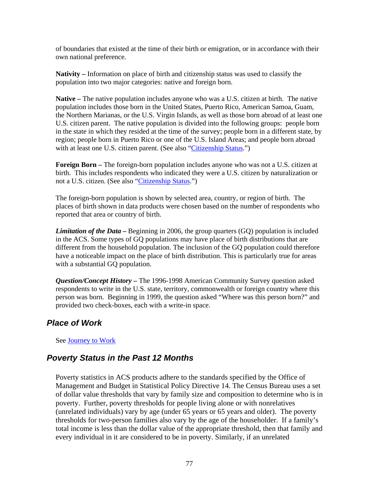of boundaries that existed at the time of their birth or emigration, or in accordance with their own national preference.

**Nativity –** Information on place of birth and citizenship status was used to classify the population into two major categories: native and foreign born.

**Native –** The native population includes anyone who was a U.S. citizen at birth. The native population includes those born in the United States, Puerto Rico, American Samoa, Guam, the Northern Marianas, or the U.S. Virgin Islands, as well as those born abroad of at least one U.S. citizen parent. The native population is divided into the following groups: people born in the state in which they resided at the time of the survey; people born in a different state, by region; people born in Puerto Rico or one of the U.S. Island Areas; and people born abroad with at least one U.S. citizen parent. (See also "Citizenship Status.")

**Foreign Born –** The foreign-born population includes anyone who was not a U.S. citizen at birth. This includes respondents who indicated they were a U.S. citizen by naturalization or not a U.S. citizen. (See also "Citizenship Status.")

The foreign-born population is shown by selected area, country, or region of birth. The places of birth shown in data products were chosen based on the number of respondents who reported that area or country of birth.

*Limitation of the Data* – Beginning in 2006, the group quarters (GQ) population is included in the ACS. Some types of GQ populations may have place of birth distributions that are different from the household population. The inclusion of the GQ population could therefore have a noticeable impact on the place of birth distribution. This is particularly true for areas with a substantial GQ population.

*Question/Concept History –* The 1996-1998 American Community Survey question asked respondents to write in the U.S. state, territory, commonwealth or foreign country where this person was born. Beginning in 1999, the question asked "Where was this person born?" and provided two check-boxes, each with a write-in space.

## *Place of Work*

See Journey to Work

## *Poverty Status in the Past 12 Months*

Poverty statistics in ACS products adhere to the standards specified by the Office of Management and Budget in Statistical Policy Directive 14. The Census Bureau uses a set of dollar value thresholds that vary by family size and composition to determine who is in poverty. Further, poverty thresholds for people living alone or with nonrelatives (unrelated individuals) vary by age (under 65 years or 65 years and older). The poverty thresholds for two-person families also vary by the age of the householder. If a family's total income is less than the dollar value of the appropriate threshold, then that family and every individual in it are considered to be in poverty. Similarly, if an unrelated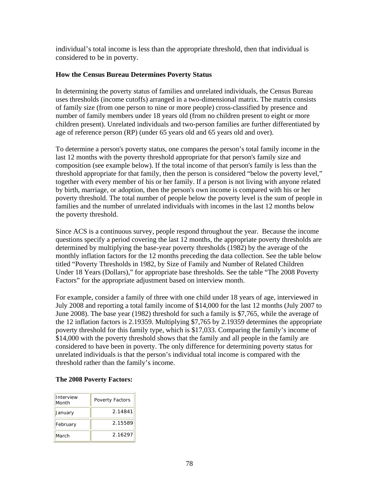individual's total income is less than the appropriate threshold, then that individual is considered to be in poverty.

### **How the Census Bureau Determines Poverty Status**

In determining the poverty status of families and unrelated individuals, the Census Bureau uses thresholds (income cutoffs) arranged in a two-dimensional matrix. The matrix consists of family size (from one person to nine or more people) cross-classified by presence and number of family members under 18 years old (from no children present to eight or more children present). Unrelated individuals and two-person families are further differentiated by age of reference person (RP) (under 65 years old and 65 years old and over).

To determine a person's poverty status, one compares the person's total family income in the last 12 months with the poverty threshold appropriate for that person's family size and composition (see example below). If the total income of that person's family is less than the threshold appropriate for that family, then the person is considered "below the poverty level," together with every member of his or her family. If a person is not living with anyone related by birth, marriage, or adoption, then the person's own income is compared with his or her poverty threshold. The total number of people below the poverty level is the sum of people in families and the number of unrelated individuals with incomes in the last 12 months below the poverty threshold.

Since ACS is a continuous survey, people respond throughout the year. Because the income questions specify a period covering the last 12 months, the appropriate poverty thresholds are determined by multiplying the base-year poverty thresholds (1982) by the average of the monthly inflation factors for the 12 months preceding the data collection. See the table below titled "Poverty Thresholds in 1982, by Size of Family and Number of Related Children Under 18 Years (Dollars)," for appropriate base thresholds. See the table "The 2008 Poverty Factors" for the appropriate adjustment based on interview month.

For example, consider a family of three with one child under 18 years of age, interviewed in July 2008 and reporting a total family income of \$14,000 for the last 12 months (July 2007 to June 2008). The base year (1982) threshold for such a family is \$7,765, while the average of the 12 inflation factors is 2.19359. Multiplying \$7,765 by 2.19359 determines the appropriate poverty threshold for this family type, which is \$17,033. Comparing the family's income of \$14,000 with the poverty threshold shows that the family and all people in the family are considered to have been in poverty. The only difference for determining poverty status for unrelated individuals is that the person's individual total income is compared with the threshold rather than the family's income.

### **The 2008 Poverty Factors:**

| Interview<br>Month | Poverty Factors |
|--------------------|-----------------|
| January            | 2.14841         |
| February           | 2.15589         |
| March              | 2.16297         |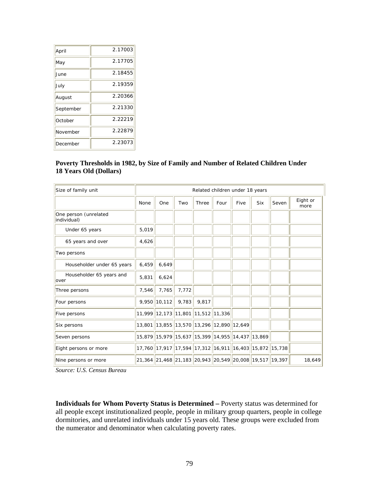| April     | 2.17003 |
|-----------|---------|
| May       | 2.17705 |
| June      | 2.18455 |
| July      | 2.19359 |
| August    | 2.20366 |
| September | 2.21330 |
| October   | 2.22219 |
| November  | 2.22879 |
| December  | 2.23073 |

### **Poverty Thresholds in 1982, by Size of Family and Number of Related Children Under 18 Years Old (Dollars)**

| Size of family unit                  | Related children under 18 years |              |       |                                                         |        |      |            |       |                  |  |  |
|--------------------------------------|---------------------------------|--------------|-------|---------------------------------------------------------|--------|------|------------|-------|------------------|--|--|
|                                      | None                            | One          | Two   | Three                                                   | Four   | Five | <b>Six</b> | Seven | Eight or<br>more |  |  |
| One person (unrelated<br>individual) |                                 |              |       |                                                         |        |      |            |       |                  |  |  |
| Under 65 years                       | 5,019                           |              |       |                                                         |        |      |            |       |                  |  |  |
| 65 years and over                    | 4,626                           |              |       |                                                         |        |      |            |       |                  |  |  |
| Two persons                          |                                 |              |       |                                                         |        |      |            |       |                  |  |  |
| Householder under 65 years           | 6,459                           | 6,649        |       |                                                         |        |      |            |       |                  |  |  |
| Householder 65 years and<br>over     | 5,831                           | 6,624        |       |                                                         |        |      |            |       |                  |  |  |
| Three persons                        | 7,546                           | 7,765        | 7,772 |                                                         |        |      |            |       |                  |  |  |
| Four persons                         |                                 | 9,950 10,112 | 9,783 | 9,817                                                   |        |      |            |       |                  |  |  |
| Five persons                         |                                 |              |       | 11,999 12,173 11,801 11,512                             | 11,336 |      |            |       |                  |  |  |
| Six persons                          |                                 |              |       | 13,801 13,855 13,570 13,296 12,890 12,649               |        |      |            |       |                  |  |  |
| Seven persons                        |                                 |              |       | 15,879 15,979 15,637 15,399 14,955 14,437 13,869        |        |      |            |       |                  |  |  |
| Eight persons or more                |                                 |              |       | 17,760 17,917 17,594 17,312 16,911 16,403 15,872 15,738 |        |      |            |       |                  |  |  |
| Nine persons or more                 |                                 |              |       | 21,364 21,468 21,183 20,943 20,549 20,008 19,517 19,397 |        |      |            |       | 18,649           |  |  |

*Source: U.S. Census Bureau* 

**Individuals for Whom Poverty Status is Determined –** Poverty status was determined for all people except institutionalized people, people in military group quarters, people in college dormitories, and unrelated individuals under 15 years old. These groups were excluded from the numerator and denominator when calculating poverty rates.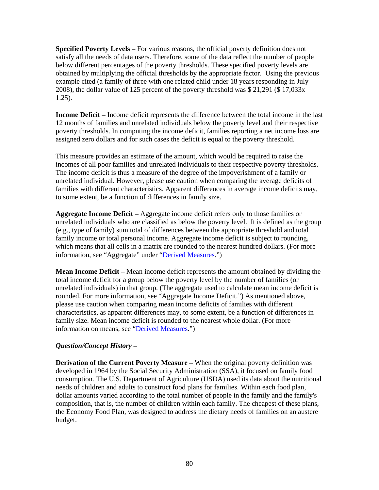**Specified Poverty Levels –** For various reasons, the official poverty definition does not satisfy all the needs of data users. Therefore, some of the data reflect the number of people below different percentages of the poverty thresholds. These specified poverty levels are obtained by multiplying the official thresholds by the appropriate factor. Using the previous example cited (a family of three with one related child under 18 years responding in July 2008), the dollar value of 125 percent of the poverty threshold was \$ 21,291 (\$ 17,033x 1.25).

**Income Deficit –** Income deficit represents the difference between the total income in the last 12 months of families and unrelated individuals below the poverty level and their respective poverty thresholds. In computing the income deficit, families reporting a net income loss are assigned zero dollars and for such cases the deficit is equal to the poverty threshold.

This measure provides an estimate of the amount, which would be required to raise the incomes of all poor families and unrelated individuals to their respective poverty thresholds. The income deficit is thus a measure of the degree of the impoverishment of a family or unrelated individual. However, please use caution when comparing the average deficits of families with different characteristics. Apparent differences in average income deficits may, to some extent, be a function of differences in family size.

**Aggregate Income Deficit –** Aggregate income deficit refers only to those families or unrelated individuals who are classified as below the poverty level. It is defined as the group (e.g., type of family) sum total of differences between the appropriate threshold and total family income or total personal income. Aggregate income deficit is subject to rounding, which means that all cells in a matrix are rounded to the nearest hundred dollars. (For more information, see "Aggregate" under "Derived Measures.")

**Mean Income Deficit –** Mean income deficit represents the amount obtained by dividing the total income deficit for a group below the poverty level by the number of families (or unrelated individuals) in that group. (The aggregate used to calculate mean income deficit is rounded. For more information, see "Aggregate Income Deficit.") As mentioned above, please use caution when comparing mean income deficits of families with different characteristics, as apparent differences may, to some extent, be a function of differences in family size. Mean income deficit is rounded to the nearest whole dollar. (For more information on means, see "Derived Measures.")

### *Question/Concept History –*

**Derivation of the Current Poverty Measure –** When the original poverty definition was developed in 1964 by the Social Security Administration (SSA), it focused on family food consumption. The U.S. Department of Agriculture (USDA) used its data about the nutritional needs of children and adults to construct food plans for families. Within each food plan, dollar amounts varied according to the total number of people in the family and the family's composition, that is, the number of children within each family. The cheapest of these plans, the Economy Food Plan, was designed to address the dietary needs of families on an austere budget.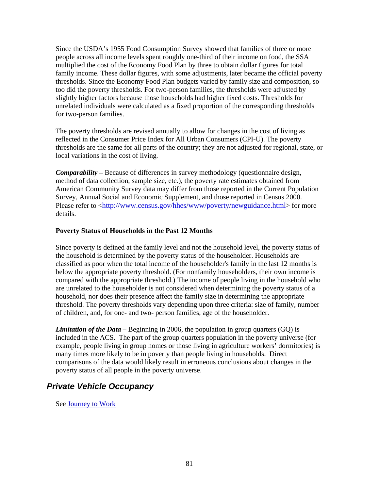Since the USDA's 1955 Food Consumption Survey showed that families of three or more people across all income levels spent roughly one-third of their income on food, the SSA multiplied the cost of the Economy Food Plan by three to obtain dollar figures for total family income. These dollar figures, with some adjustments, later became the official poverty thresholds. Since the Economy Food Plan budgets varied by family size and composition, so too did the poverty thresholds. For two-person families, the thresholds were adjusted by slightly higher factors because those households had higher fixed costs. Thresholds for unrelated individuals were calculated as a fixed proportion of the corresponding thresholds for two-person families.

The poverty thresholds are revised annually to allow for changes in the cost of living as reflected in the Consumer Price Index for All Urban Consumers (CPI-U). The poverty thresholds are the same for all parts of the country; they are not adjusted for regional, state, or local variations in the cost of living*.* 

*Comparability –* Because of differences in survey methodology (questionnaire design, method of data collection, sample size, etc.), the poverty rate estimates obtained from American Community Survey data may differ from those reported in the Current Population Survey, Annual Social and Economic Supplement, and those reported in Census 2000. Please refer to <http://www.census.gov/hhes/www/poverty/newguidance.html> for more details.

### **Poverty Status of Households in the Past 12 Months**

Since poverty is defined at the family level and not the household level, the poverty status of the household is determined by the poverty status of the householder. Households are classified as poor when the total income of the householder's family in the last 12 months is below the appropriate poverty threshold. (For nonfamily householders, their own income is compared with the appropriate threshold.) The income of people living in the household who are unrelated to the householder is not considered when determining the poverty status of a household, nor does their presence affect the family size in determining the appropriate threshold. The poverty thresholds vary depending upon three criteria: size of family, number of children, and, for one- and two- person families, age of the householder.

*Limitation of the Data* – Beginning in 2006, the population in group quarters (GQ) is included in the ACS. The part of the group quarters population in the poverty universe (for example, people living in group homes or those living in agriculture workers' dormitories) is many times more likely to be in poverty than people living in households. Direct comparisons of the data would likely result in erroneous conclusions about changes in the poverty status of all people in the poverty universe.

## *Private Vehicle Occupancy*

See Journey to Work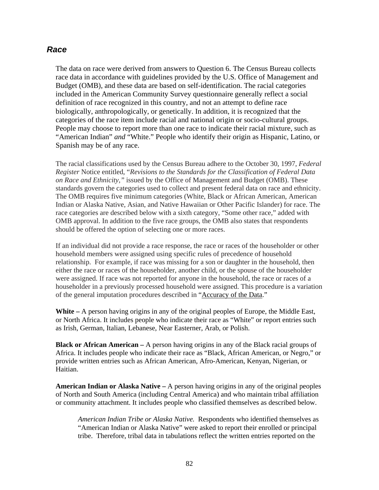### *Race*

The data on race were derived from answers to Question 6. The Census Bureau collects race data in accordance with guidelines provided by the U.S. Office of Management and Budget (OMB), and these data are based on self-identification. The racial categories included in the American Community Survey questionnaire generally reflect a social definition of race recognized in this country, and not an attempt to define race biologically, anthropologically, or genetically. In addition, it is recognized that the categories of the race item include racial and national origin or socio-cultural groups. People may choose to report more than one race to indicate their racial mixture, such as "American Indian" *and* "White." People who identify their origin as Hispanic, Latino, or Spanish may be of any race.

The racial classifications used by the Census Bureau adhere to the October 30, 1997, *Federal Register* Notice entitled, "*Revisions to the Standards for the Classification of Federal Data on Race and Ethnicity,"* issued by the Office of Management and Budget (OMB). These standards govern the categories used to collect and present federal data on race and ethnicity. The OMB requires five minimum categories (White, Black or African American, American Indian or Alaska Native, Asian, and Native Hawaiian or Other Pacific Islander) for race. The race categories are described below with a sixth category, "Some other race," added with OMB approval. In addition to the five race groups, the OMB also states that respondents should be offered the option of selecting one or more races.

If an individual did not provide a race response, the race or races of the householder or other household members were assigned using specific rules of precedence of household relationship. For example, if race was missing for a son or daughter in the household, then either the race or races of the householder, another child, or the spouse of the householder were assigned. If race was not reported for anyone in the household, the race or races of a householder in a previously processed household were assigned. This procedure is a variation of the general imputation procedures described in "Accuracy of the Data."

**White –** A person having origins in any of the original peoples of Europe, the Middle East, or North Africa. It includes people who indicate their race as "White" or report entries such as Irish, German, Italian, Lebanese, Near Easterner, Arab, or Polish.

**Black or African American –** A person having origins in any of the Black racial groups of Africa. It includes people who indicate their race as "Black, African American, or Negro," or provide written entries such as African American, Afro-American, Kenyan, Nigerian, or Haitian.

**American Indian or Alaska Native –** A person having origins in any of the original peoples of North and South America (including Central America) and who maintain tribal affiliation or community attachment. It includes people who classified themselves as described below.

*American Indian Tribe or Alaska Native.* Respondents who identified themselves as "American Indian or Alaska Native" were asked to report their enrolled or principal tribe. Therefore, tribal data in tabulations reflect the written entries reported on the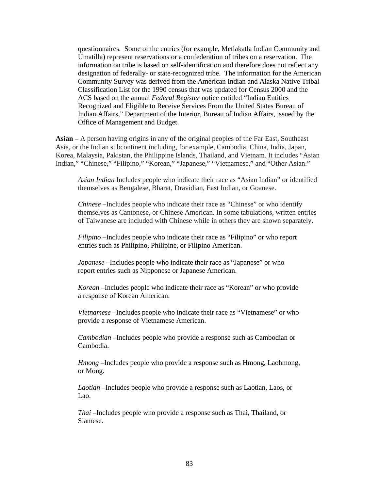questionnaires. Some of the entries (for example, Metlakatla Indian Community and Umatilla) represent reservations or a confederation of tribes on a reservation. The information on tribe is based on self-identification and therefore does not reflect any designation of federally- or state-recognized tribe. The information for the American Community Survey was derived from the American Indian and Alaska Native Tribal Classification List for the 1990 census that was updated for Census 2000 and the ACS based on the annual *Federal Register* notice entitled "Indian Entities Recognized and Eligible to Receive Services From the United States Bureau of Indian Affairs," Department of the Interior, Bureau of Indian Affairs, issued by the Office of Management and Budget.

**Asian –** A person having origins in any of the original peoples of the Far East, Southeast Asia, or the Indian subcontinent including, for example, Cambodia, China, India, Japan, Korea, Malaysia, Pakistan, the Philippine Islands, Thailand, and Vietnam. It includes "Asian Indian," "Chinese," "Filipino," "Korean," "Japanese," "Vietnamese," and "Other Asian."

*Asian Indian* Includes people who indicate their race as "Asian Indian" or identified themselves as Bengalese, Bharat, Dravidian, East Indian, or Goanese.

*Chinese –*Includes people who indicate their race as "Chinese" or who identify themselves as Cantonese, or Chinese American. In some tabulations, written entries of Taiwanese are included with Chinese while in others they are shown separately.

*Filipino –*Includes people who indicate their race as "Filipino" or who report entries such as Philipino, Philipine, or Filipino American.

*Japanese –*Includes people who indicate their race as "Japanese" or who report entries such as Nipponese or Japanese American.

*Korean* –Includes people who indicate their race as "Korean" or who provide a response of Korean American.

*Vietnamese* –Includes people who indicate their race as "Vietnamese" or who provide a response of Vietnamese American.

*Cambodian –*Includes people who provide a response such as Cambodian or Cambodia.

*Hmong* –Includes people who provide a response such as Hmong, Laohmong, or Mong.

*Laotian* –Includes people who provide a response such as Laotian, Laos, or Lao.

*Thai –*Includes people who provide a response such as Thai, Thailand, or Siamese.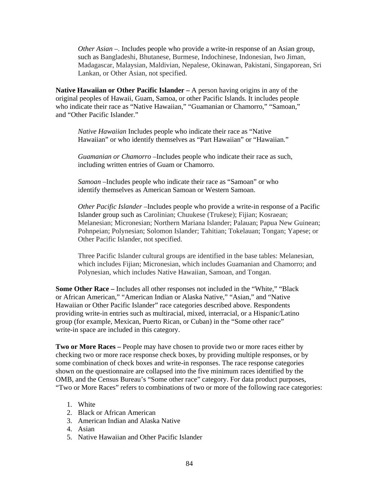*Other Asian –*. Includes people who provide a write-in response of an Asian group, such as Bangladeshi, Bhutanese, Burmese, Indochinese, Indonesian, Iwo Jiman, Madagascar, Malaysian, Maldivian, Nepalese, Okinawan, Pakistani, Singaporean, Sri Lankan, or Other Asian, not specified.

**Native Hawaiian or Other Pacific Islander –** A person having origins in any of the original peoples of Hawaii, Guam, Samoa, or other Pacific Islands. It includes people who indicate their race as "Native Hawaiian," "Guamanian or Chamorro," "Samoan," and "Other Pacific Islander."

*Native Hawaiian* Includes people who indicate their race as "Native Hawaiian" or who identify themselves as "Part Hawaiian" or "Hawaiian."

*Guamanian or Chamorro –*Includes people who indicate their race as such, including written entries of Guam or Chamorro.

*Samoan* –Includes people who indicate their race as "Samoan" or who identify themselves as American Samoan or Western Samoan.

*Other Pacific Islander* –Includes people who provide a write-in response of a Pacific Islander group such as Carolinian; Chuukese (Trukese); Fijian; Kosraean; Melanesian; Micronesian; Northern Mariana Islander; Palauan; Papua New Guinean; Pohnpeian; Polynesian; Solomon Islander; Tahitian; Tokelauan; Tongan; Yapese; or Other Pacific Islander, not specified.

Three Pacific Islander cultural groups are identified in the base tables: Melanesian, which includes Fijian; Micronesian, which includes Guamanian and Chamorro; and Polynesian, which includes Native Hawaiian, Samoan, and Tongan.

**Some Other Race –** Includes all other responses not included in the "White," "Black or African American," "American Indian or Alaska Native," "Asian," and "Native Hawaiian or Other Pacific Islander" race categories described above. Respondents providing write-in entries such as multiracial, mixed, interracial, or a Hispanic/Latino group (for example, Mexican, Puerto Rican, or Cuban) in the "Some other race" write-in space are included in this category.

**Two or More Races –** People may have chosen to provide two or more races either by checking two or more race response check boxes, by providing multiple responses, or by some combination of check boxes and write-in responses. The race response categories shown on the questionnaire are collapsed into the five minimum races identified by the OMB, and the Census Bureau's "Some other race" category. For data product purposes, "Two or More Races" refers to combinations of two or more of the following race categories:

- 1. White
- 2. Black or African American
- 3. American Indian and Alaska Native
- 4. Asian
- 5. Native Hawaiian and Other Pacific Islander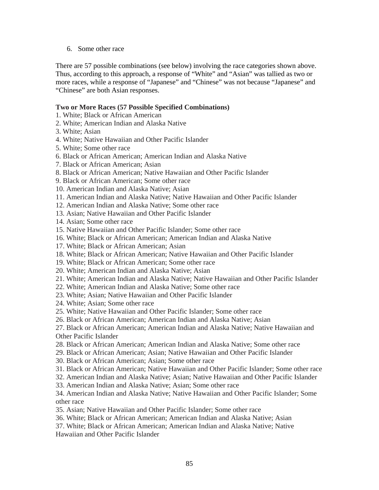6. Some other race

There are 57 possible combinations (see below) involving the race categories shown above. Thus, according to this approach, a response of "White" and "Asian" was tallied as two or more races, while a response of "Japanese" and "Chinese" was not because "Japanese" and "Chinese" are both Asian responses.

### **Two or More Races (57 Possible Specified Combinations)**

- 1. White; Black or African American
- 2. White; American Indian and Alaska Native
- 3. White; Asian
- 4. White; Native Hawaiian and Other Pacific Islander
- 5. White; Some other race
- 6. Black or African American; American Indian and Alaska Native
- 7. Black or African American; Asian
- 8. Black or African American; Native Hawaiian and Other Pacific Islander
- 9. Black or African American; Some other race
- 10. American Indian and Alaska Native; Asian
- 11. American Indian and Alaska Native; Native Hawaiian and Other Pacific Islander
- 12. American Indian and Alaska Native; Some other race
- 13. Asian; Native Hawaiian and Other Pacific Islander
- 14. Asian; Some other race
- 15. Native Hawaiian and Other Pacific Islander; Some other race
- 16. White; Black or African American; American Indian and Alaska Native
- 17. White; Black or African American; Asian
- 18. White; Black or African American; Native Hawaiian and Other Pacific Islander
- 19. White; Black or African American; Some other race
- 20. White; American Indian and Alaska Native; Asian
- 21. White; American Indian and Alaska Native; Native Hawaiian and Other Pacific Islander
- 22. White; American Indian and Alaska Native; Some other race
- 23. White; Asian; Native Hawaiian and Other Pacific Islander
- 24. White; Asian; Some other race
- 25. White; Native Hawaiian and Other Pacific Islander; Some other race
- 26. Black or African American; American Indian and Alaska Native; Asian
- 27. Black or African American; American Indian and Alaska Native; Native Hawaiian and Other Pacific Islander
- 28. Black or African American; American Indian and Alaska Native; Some other race
- 29. Black or African American; Asian; Native Hawaiian and Other Pacific Islander
- 30. Black or African American; Asian; Some other race
- 31. Black or African American; Native Hawaiian and Other Pacific Islander; Some other race
- 32. American Indian and Alaska Native; Asian; Native Hawaiian and Other Pacific Islander
- 33. American Indian and Alaska Native; Asian; Some other race
- 34. American Indian and Alaska Native; Native Hawaiian and Other Pacific Islander; Some other race
- 35. Asian; Native Hawaiian and Other Pacific Islander; Some other race
- 36. White; Black or African American; American Indian and Alaska Native; Asian
- 37. White; Black or African American; American Indian and Alaska Native; Native Hawaiian and Other Pacific Islander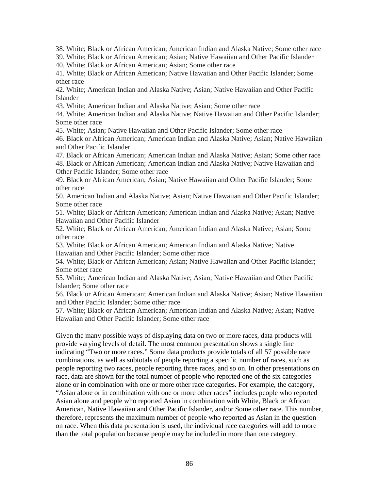38. White; Black or African American; American Indian and Alaska Native; Some other race

39. White; Black or African American; Asian; Native Hawaiian and Other Pacific Islander

40. White; Black or African American; Asian; Some other race

41. White; Black or African American; Native Hawaiian and Other Pacific Islander; Some other race

42. White; American Indian and Alaska Native; Asian; Native Hawaiian and Other Pacific Islander

43. White; American Indian and Alaska Native; Asian; Some other race

44. White; American Indian and Alaska Native; Native Hawaiian and Other Pacific Islander; Some other race

45. White; Asian; Native Hawaiian and Other Pacific Islander; Some other race

46. Black or African American; American Indian and Alaska Native; Asian; Native Hawaiian and Other Pacific Islander

47. Black or African American; American Indian and Alaska Native; Asian; Some other race 48. Black or African American; American Indian and Alaska Native; Native Hawaiian and Other Pacific Islander; Some other race

49. Black or African American; Asian; Native Hawaiian and Other Pacific Islander; Some other race

50. American Indian and Alaska Native; Asian; Native Hawaiian and Other Pacific Islander; Some other race

51. White; Black or African American; American Indian and Alaska Native; Asian; Native Hawaiian and Other Pacific Islander

52. White; Black or African American; American Indian and Alaska Native; Asian; Some other race

53. White; Black or African American; American Indian and Alaska Native; Native Hawaiian and Other Pacific Islander; Some other race

54. White; Black or African American; Asian; Native Hawaiian and Other Pacific Islander; Some other race

55. White; American Indian and Alaska Native; Asian; Native Hawaiian and Other Pacific Islander; Some other race

56. Black or African American; American Indian and Alaska Native; Asian; Native Hawaiian and Other Pacific Islander; Some other race

57. White; Black or African American; American Indian and Alaska Native; Asian; Native Hawaiian and Other Pacific Islander; Some other race

Given the many possible ways of displaying data on two or more races, data products will provide varying levels of detail. The most common presentation shows a single line indicating "Two or more races." Some data products provide totals of all 57 possible race combinations, as well as subtotals of people reporting a specific number of races, such as people reporting two races, people reporting three races, and so on. In other presentations on race, data are shown for the total number of people who reported one of the six categories alone or in combination with one or more other race categories. For example, the category, "Asian alone or in combination with one or more other races" includes people who reported Asian alone and people who reported Asian in combination with White, Black or African American, Native Hawaiian and Other Pacific Islander, and/or Some other race. This number, therefore, represents the maximum number of people who reported as Asian in the question on race. When this data presentation is used, the individual race categories will add to more than the total population because people may be included in more than one category.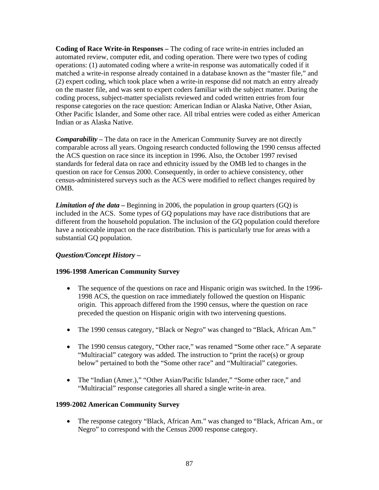**Coding of Race Write-in Responses –** The coding of race write-in entries included an automated review, computer edit, and coding operation. There were two types of coding operations: (1) automated coding where a write-in response was automatically coded if it matched a write-in response already contained in a database known as the "master file," and (2) expert coding, which took place when a write-in response did not match an entry already on the master file, and was sent to expert coders familiar with the subject matter. During the coding process, subject-matter specialists reviewed and coded written entries from four response categories on the race question: American Indian or Alaska Native, Other Asian, Other Pacific Islander, and Some other race. All tribal entries were coded as either American Indian or as Alaska Native.

*Comparability –* The data on race in the American Community Survey are not directly comparable across all years. Ongoing research conducted following the 1990 census affected the ACS question on race since its inception in 1996. Also, the October 1997 revised standards for federal data on race and ethnicity issued by the OMB led to changes in the question on race for Census 2000. Consequently, in order to achieve consistency, other census-administered surveys such as the ACS were modified to reflect changes required by OMB.

*Limitation of the data –* Beginning in 2006, the population in group quarters (GQ) is included in the ACS. Some types of GQ populations may have race distributions that are different from the household population. The inclusion of the GQ population could therefore have a noticeable impact on the race distribution. This is particularly true for areas with a substantial GQ population.

### *Question/Concept History –*

### **1996-1998 American Community Survey**

- The sequence of the questions on race and Hispanic origin was switched. In the 1996-1998 ACS, the question on race immediately followed the question on Hispanic origin. This approach differed from the 1990 census, where the question on race preceded the question on Hispanic origin with two intervening questions.
- The 1990 census category, "Black or Negro" was changed to "Black, African Am."
- The 1990 census category, "Other race," was renamed "Some other race." A separate "Multiracial" category was added. The instruction to "print the race(s) or group below" pertained to both the "Some other race" and "Multiracial" categories.
- The "Indian (Amer.)," "Other Asian/Pacific Islander," "Some other race," and "Multiracial" response categories all shared a single write-in area.

#### **1999-2002 American Community Survey**

• The response category "Black, African Am." was changed to "Black, African Am., or Negro" to correspond with the Census 2000 response category.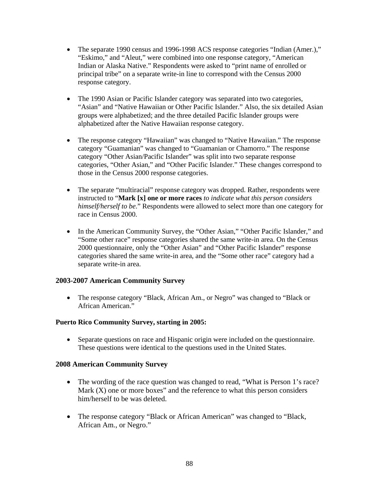- The separate 1990 census and 1996-1998 ACS response categories "Indian (Amer.)," "Eskimo," and "Aleut," were combined into one response category, "American Indian or Alaska Native." Respondents were asked to "print name of enrolled or principal tribe" on a separate write-in line to correspond with the Census 2000 response category.
- The 1990 Asian or Pacific Islander category was separated into two categories, "Asian" and "Native Hawaiian or Other Pacific Islander." Also, the six detailed Asian groups were alphabetized; and the three detailed Pacific Islander groups were alphabetized after the Native Hawaiian response category.
- The response category "Hawaiian" was changed to "Native Hawaiian." The response category "Guamanian" was changed to "Guamanian or Chamorro." The response category "Other Asian/Pacific Islander" was split into two separate response categories, "Other Asian," and "Other Pacific Islander." These changes correspond to those in the Census 2000 response categories.
- The separate "multiracial" response category was dropped. Rather, respondents were instructed to "**Mark [x] one or more races** *to indicate what this person considers himself/herself to be*." Respondents were allowed to select more than one category for race in Census 2000.
- In the American Community Survey, the "Other Asian," "Other Pacific Islander," and "Some other race" response categories shared the same write-in area. On the Census 2000 questionnaire, only the "Other Asian" and "Other Pacific Islander" response categories shared the same write-in area, and the "Some other race" category had a separate write-in area.

### **2003-2007 American Community Survey**

• The response category "Black, African Am., or Negro" was changed to "Black or African American."

### **Puerto Rico Community Survey, starting in 2005:**

• Separate questions on race and Hispanic origin were included on the questionnaire. These questions were identical to the questions used in the United States.

### **2008 American Community Survey**

- The wording of the race question was changed to read, "What is Person 1's race? Mark  $(X)$  one or more boxes" and the reference to what this person considers him/herself to be was deleted.
- The response category "Black or African American" was changed to "Black, African Am., or Negro."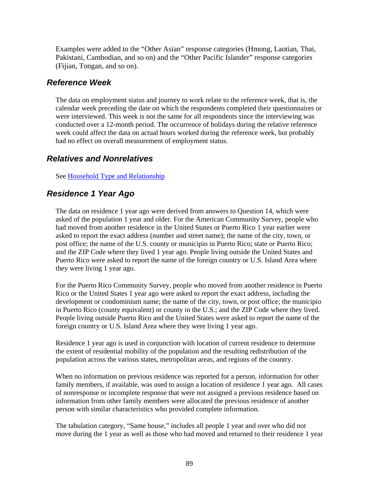Examples were added to the "Other Asian" response categories (Hmong, Laotian, Thai, Pakistani, Cambodian, and so on) and the "Other Pacific Islander" response categories (Fijian, Tongan, and so on).

### *Reference Week*

The data on employment status and journey to work relate to the reference week, that is, the calendar week preceding the date on which the respondents completed their questionnaires or were interviewed. This week is not the same for all respondents since the interviewing was conducted over a 12-month period. The occurrence of holidays during the relative reference week could affect the data on actual hours worked during the reference week, but probably had no effect on overall measurement of employment status.

## *Relatives and Nonrelatives*

See Household Type and Relationship

## *Residence 1 Year Ago*

The data on residence 1 year ago were derived from answers to Question 14, which were asked of the population 1 year and older. For the American Community Survey, people who had moved from another residence in the United States or Puerto Rico 1 year earlier were asked to report the exact address (number and street name); the name of the city, town, or post office; the name of the U.S. county or municipio in Puerto Rico; state or Puerto Rico; and the ZIP Code where they lived 1 year ago. People living outside the United States and Puerto Rico were asked to report the name of the foreign country or U.S. Island Area where they were living 1 year ago.

For the Puerto Rico Community Survey, people who moved from another residence in Puerto Rico or the United States 1 year ago were asked to report the exact address, including the development or condominium name; the name of the city, town, or post office; the municipio in Puerto Rico (county equivalent) or county in the U.S.; and the ZIP Code where they lived. People living outside Puerto Rico and the United States were asked to report the name of the foreign country or U.S. Island Area where they were living 1 year ago.

Residence 1 year ago is used in conjunction with location of current residence to determine the extent of residential mobility of the population and the resulting redistribution of the population across the various states, metropolitan areas, and regions of the country.

When no information on previous residence was reported for a person, information for other family members, if available, was used to assign a location of residence 1 year ago. All cases of nonresponse or incomplete response that were not assigned a previous residence based on information from other family members were allocated the previous residence of another person with similar characteristics who provided complete information.

The tabulation category, "Same house," includes all people 1 year and over who did not move during the 1 year as well as those who had moved and returned to their residence 1 year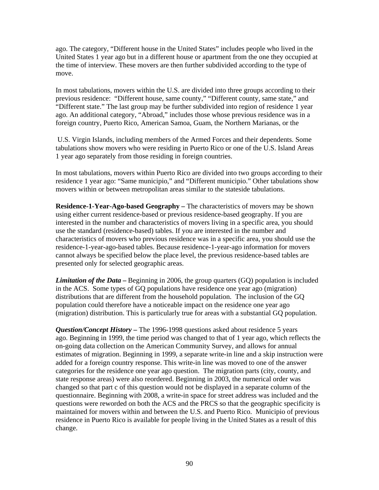ago. The category, "Different house in the United States" includes people who lived in the United States 1 year ago but in a different house or apartment from the one they occupied at the time of interview. These movers are then further subdivided according to the type of move.

In most tabulations, movers within the U.S. are divided into three groups according to their previous residence: "Different house, same county," "Different county, same state," and "Different state." The last group may be further subdivided into region of residence 1 year ago. An additional category, "Abroad," includes those whose previous residence was in a foreign country, Puerto Rico, American Samoa, Guam, the Northern Marianas, or the

 U.S. Virgin Islands, including members of the Armed Forces and their dependents. Some tabulations show movers who were residing in Puerto Rico or one of the U.S. Island Areas 1 year ago separately from those residing in foreign countries.

In most tabulations, movers within Puerto Rico are divided into two groups according to their residence 1 year ago: "Same municipio," and "Different municipio." Other tabulations show movers within or between metropolitan areas similar to the stateside tabulations.

**Residence-1-Year-Ago-based Geography –** The characteristics of movers may be shown using either current residence-based or previous residence-based geography. If you are interested in the number and characteristics of movers living in a specific area, you should use the standard (residence-based) tables. If you are interested in the number and characteristics of movers who previous residence was in a specific area, you should use the residence-1-year-ago-based tables. Because residence-1-year-ago information for movers cannot always be specified below the place level, the previous residence-based tables are presented only for selected geographic areas.

*Limitation of the Data* – Beginning in 2006, the group quarters (GQ) population is included in the ACS. Some types of GQ populations have residence one year ago (migration) distributions that are different from the household population. The inclusion of the GQ population could therefore have a noticeable impact on the residence one year ago (migration) distribution. This is particularly true for areas with a substantial GQ population.

*Question/Concept History –* The 1996-1998 questions asked about residence 5 years ago. Beginning in 1999, the time period was changed to that of 1 year ago, which reflects the on-going data collection on the American Community Survey, and allows for annual estimates of migration. Beginning in 1999, a separate write-in line and a skip instruction were added for a foreign country response. This write-in line was moved to one of the answer categories for the residence one year ago question. The migration parts (city, county, and state response areas) were also reordered. Beginning in 2003, the numerical order was changed so that part c of this question would not be displayed in a separate column of the questionnaire. Beginning with 2008, a write-in space for street address was included and the questions were reworded on both the ACS and the PRCS so that the geographic specificity is maintained for movers within and between the U.S. and Puerto Rico. Municipio of previous residence in Puerto Rico is available for people living in the United States as a result of this change.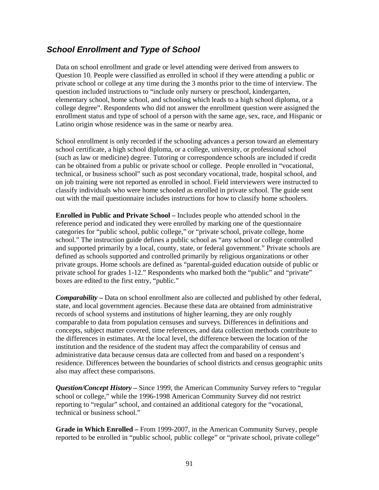## *School Enrollment and Type of School*

Data on school enrollment and grade or level attending were derived from answers to Question 10. People were classified as enrolled in school if they were attending a public or private school or college at any time during the 3 months prior to the time of interview. The question included instructions to "include only nursery or preschool, kindergarten, elementary school, home school, and schooling which leads to a high school diploma, or a college degree". Respondents who did not answer the enrollment question were assigned the enrollment status and type of school of a person with the same age, sex, race, and Hispanic or Latino origin whose residence was in the same or nearby area.

School enrollment is only recorded if the schooling advances a person toward an elementary school certificate, a high school diploma, or a college, university, or professional school (such as law or medicine) degree. Tutoring or correspondence schools are included if credit can be obtained from a public or private school or college. People enrolled in "vocational, technical, or business school" such as post secondary vocational, trade, hospital school, and on job training were not reported as enrolled in school. Field interviewers were instructed to classify individuals who were home schooled as enrolled in private school. The guide sent out with the mail questionnaire includes instructions for how to classify home schoolers.

**Enrolled in Public and Private School –** Includes people who attended school in the reference period and indicated they were enrolled by marking one of the questionnaire categories for "public school, public college," or "private school, private college, home school." The instruction guide defines a public school as "any school or college controlled and supported primarily by a local, county, state, or federal government." Private schools are defined as schools supported and controlled primarily by religious organizations or other private groups. Home schools are defined as "parental-guided education outside of public or private school for grades 1-12." Respondents who marked both the "public" and "private" boxes are edited to the first entry, "public."

*Comparability* **–** Data on school enrollment also are collected and published by other federal, state, and local government agencies. Because these data are obtained from administrative records of school systems and institutions of higher learning, they are only roughly comparable to data from population censuses and surveys. Differences in definitions and concepts, subject matter covered, time references, and data collection methods contribute to the differences in estimates. At the local level, the difference between the location of the institution and the residence of the student may affect the comparability of census and administrative data because census data are collected from and based on a respondent's residence. Differences between the boundaries of school districts and census geographic units also may affect these comparisons.

*Question/Concept History –* Since 1999, the American Community Survey refers to "regular school or college," while the 1996-1998 American Community Survey did not restrict reporting to "regular" school, and contained an additional category for the "vocational, technical or business school."

**Grade in Which Enrolled –** From 1999-2007, in the American Community Survey, people reported to be enrolled in "public school, public college" or "private school, private college"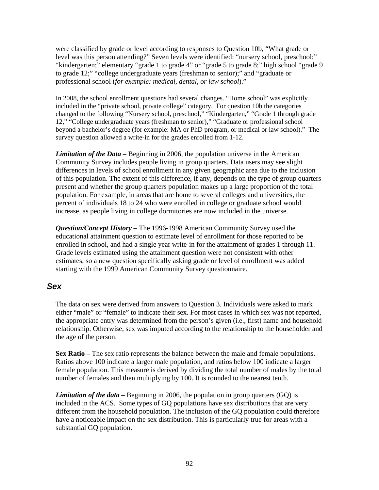were classified by grade or level according to responses to Question 10b, "What grade or level was this person attending?" Seven levels were identified: "nursery school, preschool;" "kindergarten;" elementary "grade 1 to grade 4" or "grade 5 to grade 8;" high school "grade 9 to grade 12;" "college undergraduate years (freshman to senior);" and "graduate or professional school (*for example: medical, dental, or law school*)."

In 2008, the school enrollment questions had several changes. "Home school" was explicitly included in the "private school, private college" category. For question 10b the categories changed to the following "Nursery school, preschool," "Kindergarten," "Grade 1 through grade 12," "College undergraduate years (freshman to senior)," "Graduate or professional school beyond a bachelor's degree (for example: MA or PhD program, or medical or law school)." The survey question allowed a write-in for the grades enrolled from 1-12.

*Limitation of the Data –* Beginning in 2006, the population universe in the American Community Survey includes people living in group quarters. Data users may see slight differences in levels of school enrollment in any given geographic area due to the inclusion of this population. The extent of this difference, if any, depends on the type of group quarters present and whether the group quarters population makes up a large proportion of the total population. For example, in areas that are home to several colleges and universities, the percent of individuals 18 to 24 who were enrolled in college or graduate school would increase, as people living in college dormitories are now included in the universe.

*Question/Concept History –* The 1996-1998 American Community Survey used the educational attainment question to estimate level of enrollment for those reported to be enrolled in school, and had a single year write-in for the attainment of grades 1 through 11. Grade levels estimated using the attainment question were not consistent with other estimates, so a new question specifically asking grade or level of enrollment was added starting with the 1999 American Community Survey questionnaire.

## *Sex*

The data on sex were derived from answers to Question 3. Individuals were asked to mark either "male" or "female" to indicate their sex. For most cases in which sex was not reported, the appropriate entry was determined from the person's given (i.e., first) name and household relationship. Otherwise, sex was imputed according to the relationship to the householder and the age of the person.

**Sex Ratio** – The sex ratio represents the balance between the male and female populations. Ratios above 100 indicate a larger male population, and ratios below 100 indicate a larger female population. This measure is derived by dividing the total number of males by the total number of females and then multiplying by 100. It is rounded to the nearest tenth.

*Limitation of the data –* Beginning in 2006, the population in group quarters (GQ) is included in the ACS. Some types of GQ populations have sex distributions that are very different from the household population. The inclusion of the GQ population could therefore have a noticeable impact on the sex distribution. This is particularly true for areas with a substantial GQ population.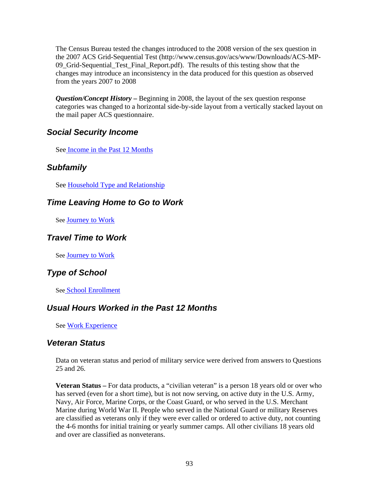The Census Bureau tested the changes introduced to the 2008 version of the sex question in the 2007 ACS Grid-Sequential Test (http://www.census.gov/acs/www/Downloads/ACS-MP-09\_Grid-Sequential\_Test\_Final\_Report.pdf). The results of this testing show that the changes may introduce an inconsistency in the data produced for this question as observed from the years 2007 to 2008

*Question/Concept History –* Beginning in 2008, the layout of the sex question response categories was changed to a horizontal side-by-side layout from a vertically stacked layout on the mail paper ACS questionnaire.

## *Social Security Income*

See Income in the Past 12 Months

## *Subfamily*

See Household Type and Relationship

## *Time Leaving Home to Go to Work*

See Journey to Work

## *Travel Time to Work*

See Journey to Work

## *Type of School*

See School Enrollment

## *Usual Hours Worked in the Past 12 Months*

See Work Experience

### *Veteran Status*

Data on veteran status and period of military service were derived from answers to Questions 25 and 26.

**Veteran Status –** For data products, a "civilian veteran" is a person 18 years old or over who has served (even for a short time), but is not now serving, on active duty in the U.S. Army, Navy, Air Force, Marine Corps, or the Coast Guard, or who served in the U.S. Merchant Marine during World War II. People who served in the National Guard or military Reserves are classified as veterans only if they were ever called or ordered to active duty, not counting the 4-6 months for initial training or yearly summer camps. All other civilians 18 years old and over are classified as nonveterans.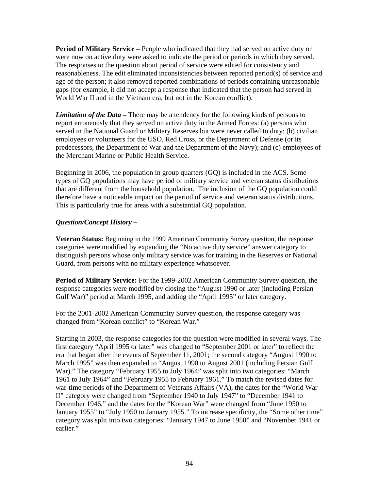**Period of Military Service –** People who indicated that they had served on active duty or were now on active duty were asked to indicate the period or periods in which they served. The responses to the question about period of service were edited for consistency and reasonableness. The edit eliminated inconsistencies between reported period(s) of service and age of the person; it also removed reported combinations of periods containing unreasonable gaps (for example, it did not accept a response that indicated that the person had served in World War II and in the Vietnam era, but not in the Korean conflict).

*Limitation of the Data* – There may be a tendency for the following kinds of persons to report erroneously that they served on active duty in the Armed Forces: (a) persons who served in the National Guard or Military Reserves but were never called to duty; (b) civilian employees or volunteers for the USO, Red Cross, or the Department of Defense (or its predecessors, the Department of War and the Department of the Navy); and (c) employees of the Merchant Marine or Public Health Service.

Beginning in 2006, the population in group quarters (GQ) is included in the ACS. Some types of GQ populations may have period of military service and veteran status distributions that are different from the household population. The inclusion of the GQ population could therefore have a noticeable impact on the period of service and veteran status distributions. This is particularly true for areas with a substantial GQ population.

### *Question/Concept History –*

**Veteran Status:** Beginning in the 1999 American Community Survey question, the response categories were modified by expanding the "No active duty service" answer category to distinguish persons whose only military service was for training in the Reserves or National Guard, from persons with no military experience whatsoever.

**Period of Military Service:** For the 1999-2002 American Community Survey question, the response categories were modified by closing the "August 1990 or later (including Persian Gulf War)" period at March 1995, and adding the "April 1995" or later category.

For the 2001-2002 American Community Survey question, the response category was changed from "Korean conflict" to "Korean War."

Starting in 2003, the response categories for the question were modified in several ways. The first category "April 1995 or later" was changed to "September 2001 or later" to reflect the era that began after the events of September 11, 2001; the second category "August 1990 to March 1995" was then expanded to "August 1990 to August 2001 (including Persian Gulf War)." The category "February 1955 to July 1964" was split into two categories: "March 1961 to July 1964" and "February 1955 to February 1961." To match the revised dates for war-time periods of the Department of Veterans Affairs (VA), the dates for the "World War II" category were changed from "September 1940 to July 1947" to "December 1941 to December 1946," and the dates for the "Korean War" were changed from "June 1950 to January 1955" to "July 1950 to January 1955." To increase specificity, the "Some other time" category was split into two categories: "January 1947 to June 1950" and "November 1941 or earlier."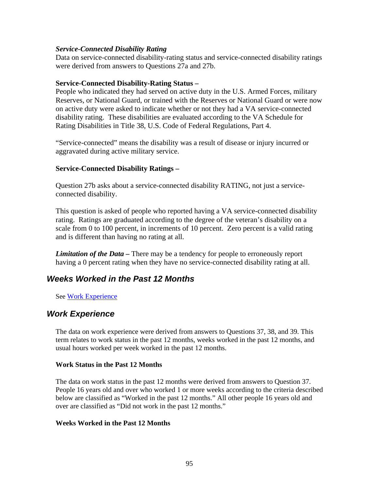### *Service-Connected Disability Rating*

Data on service-connected disability-rating status and service-connected disability ratings were derived from answers to Questions 27a and 27b.

### **Service-Connected Disability-Rating Status –**

People who indicated they had served on active duty in the U.S. Armed Forces, military Reserves, or National Guard, or trained with the Reserves or National Guard or were now on active duty were asked to indicate whether or not they had a VA service-connected disability rating. These disabilities are evaluated according to the VA Schedule for Rating Disabilities in Title 38, U.S. Code of Federal Regulations, Part 4.

"Service-connected" means the disability was a result of disease or injury incurred or aggravated during active military service.

### **Service-Connected Disability Ratings –**

Question 27b asks about a service-connected disability RATING, not just a serviceconnected disability.

This question is asked of people who reported having a VA service-connected disability rating. Ratings are graduated according to the degree of the veteran's disability on a scale from 0 to 100 percent, in increments of 10 percent. Zero percent is a valid rating and is different than having no rating at all.

*Limitation of the Data –* There may be a tendency for people to erroneously report having a 0 percent rating when they have no service-connected disability rating at all.

## *Weeks Worked in the Past 12 Months*

See Work Experience

## *Work Experience*

The data on work experience were derived from answers to Questions 37, 38, and 39. This term relates to work status in the past 12 months, weeks worked in the past 12 months, and usual hours worked per week worked in the past 12 months.

### **Work Status in the Past 12 Months**

The data on work status in the past 12 months were derived from answers to Question 37. People 16 years old and over who worked 1 or more weeks according to the criteria described below are classified as "Worked in the past 12 months." All other people 16 years old and over are classified as "Did not work in the past 12 months."

#### **Weeks Worked in the Past 12 Months**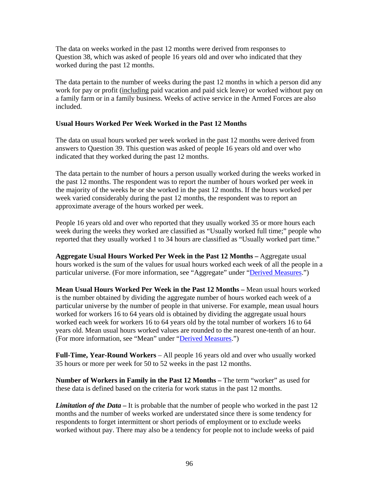The data on weeks worked in the past 12 months were derived from responses to Question 38, which was asked of people 16 years old and over who indicated that they worked during the past 12 months.

The data pertain to the number of weeks during the past 12 months in which a person did any work for pay or profit (including paid vacation and paid sick leave) or worked without pay on a family farm or in a family business. Weeks of active service in the Armed Forces are also included.

### **Usual Hours Worked Per Week Worked in the Past 12 Months**

The data on usual hours worked per week worked in the past 12 months were derived from answers to Question 39. This question was asked of people 16 years old and over who indicated that they worked during the past 12 months.

The data pertain to the number of hours a person usually worked during the weeks worked in the past 12 months. The respondent was to report the number of hours worked per week in the majority of the weeks he or she worked in the past 12 months. If the hours worked per week varied considerably during the past 12 months, the respondent was to report an approximate average of the hours worked per week.

People 16 years old and over who reported that they usually worked 35 or more hours each week during the weeks they worked are classified as "Usually worked full time;" people who reported that they usually worked 1 to 34 hours are classified as "Usually worked part time."

**Aggregate Usual Hours Worked Per Week in the Past 12 Months –** Aggregate usual hours worked is the sum of the values for usual hours worked each week of all the people in a particular universe. (For more information, see "Aggregate" under "Derived Measures.")

**Mean Usual Hours Worked Per Week in the Past 12 Months –** Mean usual hours worked is the number obtained by dividing the aggregate number of hours worked each week of a particular universe by the number of people in that universe. For example, mean usual hours worked for workers 16 to 64 years old is obtained by dividing the aggregate usual hours worked each week for workers 16 to 64 years old by the total number of workers 16 to 64 years old. Mean usual hours worked values are rounded to the nearest one-tenth of an hour. (For more information, see "Mean" under "Derived Measures.")

**Full-Time, Year-Round Workers** – All people 16 years old and over who usually worked 35 hours or more per week for 50 to 52 weeks in the past 12 months.

**Number of Workers in Family in the Past 12 Months – The term "worker" as used for** these data is defined based on the criteria for work status in the past 12 months.

*Limitation of the Data* – It is probable that the number of people who worked in the past 12 months and the number of weeks worked are understated since there is some tendency for respondents to forget intermittent or short periods of employment or to exclude weeks worked without pay. There may also be a tendency for people not to include weeks of paid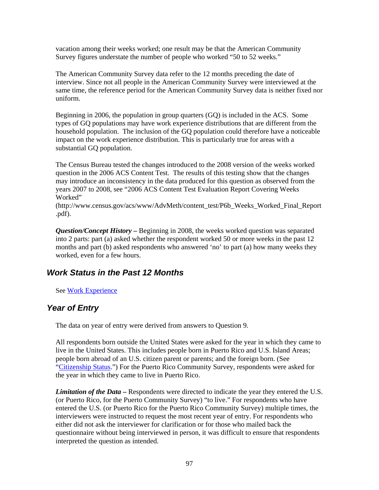vacation among their weeks worked; one result may be that the American Community Survey figures understate the number of people who worked "50 to 52 weeks."

The American Community Survey data refer to the 12 months preceding the date of interview. Since not all people in the American Community Survey were interviewed at the same time, the reference period for the American Community Survey data is neither fixed nor uniform.

Beginning in 2006, the population in group quarters (GQ) is included in the ACS. Some types of GQ populations may have work experience distributions that are different from the household population. The inclusion of the GQ population could therefore have a noticeable impact on the work experience distribution. This is particularly true for areas with a substantial GQ population.

The Census Bureau tested the changes introduced to the 2008 version of the weeks worked question in the 2006 ACS Content Test. The results of this testing show that the changes may introduce an inconsistency in the data produced for this question as observed from the years 2007 to 2008, see "2006 ACS Content Test Evaluation Report Covering Weeks Worked"

(http://www.census.gov/acs/www/AdvMeth/content\_test/P6b\_Weeks\_Worked\_Final\_Report .pdf).

*Question/Concept History –* Beginning in 2008, the weeks worked question was separated into 2 parts: part (a) asked whether the respondent worked 50 or more weeks in the past 12 months and part (b) asked respondents who answered 'no' to part (a) how many weeks they worked, even for a few hours.

## *Work Status in the Past 12 Months*

### See Work Experience

## *Year of Entry*

The data on year of entry were derived from answers to Question 9.

All respondents born outside the United States were asked for the year in which they came to live in the United States. This includes people born in Puerto Rico and U.S. Island Areas; people born abroad of an U.S. citizen parent or parents; and the foreign born. (See "Citizenship Status.") For the Puerto Rico Community Survey, respondents were asked for the year in which they came to live in Puerto Rico.

*Limitation of the Data* – Respondents were directed to indicate the year they entered the U.S. (or Puerto Rico, for the Puerto Community Survey) "to live." For respondents who have entered the U.S. (or Puerto Rico for the Puerto Rico Community Survey) multiple times, the interviewers were instructed to request the most recent year of entry. For respondents who either did not ask the interviewer for clarification or for those who mailed back the questionnaire without being interviewed in person, it was difficult to ensure that respondents interpreted the question as intended.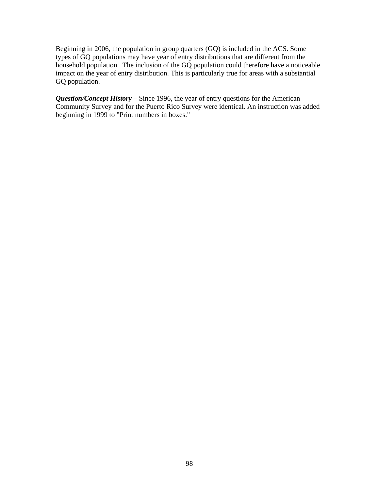Beginning in 2006, the population in group quarters (GQ) is included in the ACS. Some types of GQ populations may have year of entry distributions that are different from the household population. The inclusion of the GQ population could therefore have a noticeable impact on the year of entry distribution. This is particularly true for areas with a substantial GQ population.

*Question/Concept History –* Since 1996, the year of entry questions for the American Community Survey and for the Puerto Rico Survey were identical. An instruction was added beginning in 1999 to "Print numbers in boxes."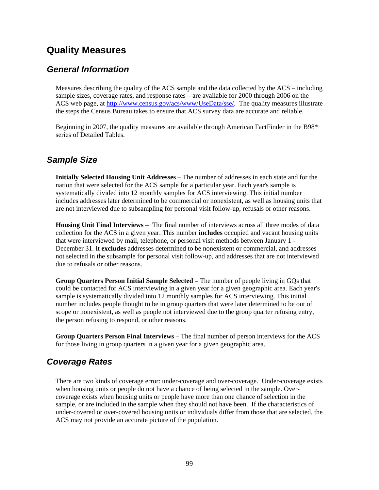# **Quality Measures**

## *General Information*

Measures describing the quality of the ACS sample and the data collected by the ACS – including sample sizes, coverage rates, and response rates – are available for 2000 through 2006 on the ACS web page, at http://www.census.gov/acs/www/UseData/sse/. The quality measures illustrate the steps the Census Bureau takes to ensure that ACS survey data are accurate and reliable.

Beginning in 2007, the quality measures are available through American FactFinder in the B98\* series of Detailed Tables.

## *Sample Size*

**Initially Selected Housing Unit Addresses** – The number of addresses in each state and for the nation that were selected for the ACS sample for a particular year. Each year's sample is systematically divided into 12 monthly samples for ACS interviewing. This initial number includes addresses later determined to be commercial or nonexistent, as well as housing units that are not interviewed due to subsampling for personal visit follow-up, refusals or other reasons.

**Housing Unit Final Interviews** – The final number of interviews across all three modes of data collection for the ACS in a given year. This number **includes** occupied and vacant housing units that were interviewed by mail, telephone, or personal visit methods between January 1 - December 31. It **excludes** addresses determined to be nonexistent or commercial, and addresses not selected in the subsample for personal visit follow-up, and addresses that are not interviewed due to refusals or other reasons.

**Group Quarters Person Initial Sample Selected** – The number of people living in GQs that could be contacted for ACS interviewing in a given year for a given geographic area. Each year's sample is systematically divided into 12 monthly samples for ACS interviewing. This initial number includes people thought to be in group quarters that were later determined to be out of scope or nonexistent, as well as people not interviewed due to the group quarter refusing entry, the person refusing to respond, or other reasons.

**Group Quarters Person Final Interviews** – The final number of person interviews for the ACS for those living in group quarters in a given year for a given geographic area.

## *Coverage Rates*

There are two kinds of coverage error: under-coverage and over-coverage. Under-coverage exists when housing units or people do not have a chance of being selected in the sample. Overcoverage exists when housing units or people have more than one chance of selection in the sample, or are included in the sample when they should not have been. If the characteristics of under-covered or over-covered housing units or individuals differ from those that are selected, the ACS may not provide an accurate picture of the population.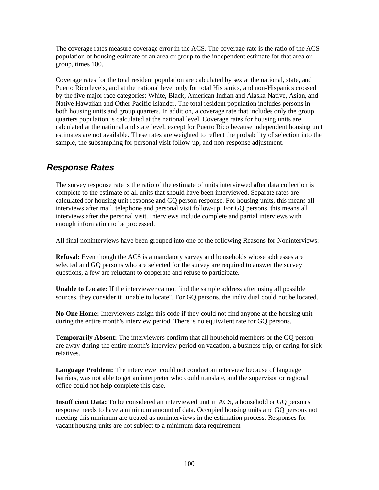The coverage rates measure coverage error in the ACS. The coverage rate is the ratio of the ACS population or housing estimate of an area or group to the independent estimate for that area or group, times 100.

Coverage rates for the total resident population are calculated by sex at the national, state, and Puerto Rico levels, and at the national level only for total Hispanics, and non-Hispanics crossed by the five major race categories: White, Black, American Indian and Alaska Native, Asian, and Native Hawaiian and Other Pacific Islander. The total resident population includes persons in both housing units and group quarters. In addition, a coverage rate that includes only the group quarters population is calculated at the national level. Coverage rates for housing units are calculated at the national and state level, except for Puerto Rico because independent housing unit estimates are not available. These rates are weighted to reflect the probability of selection into the sample, the subsampling for personal visit follow-up, and non-response adjustment.

## *Response Rates*

The survey response rate is the ratio of the estimate of units interviewed after data collection is complete to the estimate of all units that should have been interviewed. Separate rates are calculated for housing unit response and GQ person response. For housing units, this means all interviews after mail, telephone and personal visit follow-up. For GQ persons, this means all interviews after the personal visit. Interviews include complete and partial interviews with enough information to be processed.

All final noninterviews have been grouped into one of the following Reasons for Noninterviews:

**Refusal:** Even though the ACS is a mandatory survey and households whose addresses are selected and GQ persons who are selected for the survey are required to answer the survey questions, a few are reluctant to cooperate and refuse to participate.

**Unable to Locate:** If the interviewer cannot find the sample address after using all possible sources, they consider it "unable to locate". For GQ persons, the individual could not be located.

**No One Home:** Interviewers assign this code if they could not find anyone at the housing unit during the entire month's interview period. There is no equivalent rate for GQ persons.

**Temporarily Absent:** The interviewers confirm that all household members or the GQ person are away during the entire month's interview period on vacation, a business trip, or caring for sick relatives.

**Language Problem:** The interviewer could not conduct an interview because of language barriers, was not able to get an interpreter who could translate, and the supervisor or regional office could not help complete this case.

**Insufficient Data:** To be considered an interviewed unit in ACS, a household or GQ person's response needs to have a minimum amount of data. Occupied housing units and GQ persons not meeting this minimum are treated as noninterviews in the estimation process. Responses for vacant housing units are not subject to a minimum data requirement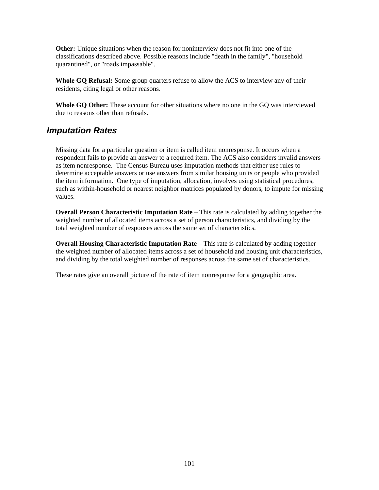**Other:** Unique situations when the reason for noninterview does not fit into one of the classifications described above. Possible reasons include "death in the family", "household quarantined", or "roads impassable".

**Whole GQ Refusal:** Some group quarters refuse to allow the ACS to interview any of their residents, citing legal or other reasons.

**Whole GQ Other:** These account for other situations where no one in the GQ was interviewed due to reasons other than refusals.

## *Imputation Rates*

Missing data for a particular question or item is called item nonresponse. It occurs when a respondent fails to provide an answer to a required item. The ACS also considers invalid answers as item nonresponse. The Census Bureau uses imputation methods that either use rules to determine acceptable answers or use answers from similar housing units or people who provided the item information. One type of imputation, allocation, involves using statistical procedures, such as within-household or nearest neighbor matrices populated by donors, to impute for missing values.

**Overall Person Characteristic Imputation Rate** – This rate is calculated by adding together the weighted number of allocated items across a set of person characteristics, and dividing by the total weighted number of responses across the same set of characteristics.

**Overall Housing Characteristic Imputation Rate** – This rate is calculated by adding together the weighted number of allocated items across a set of household and housing unit characteristics, and dividing by the total weighted number of responses across the same set of characteristics.

These rates give an overall picture of the rate of item nonresponse for a geographic area.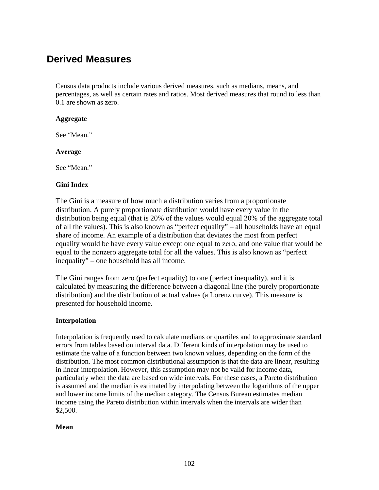# **Derived Measures**

Census data products include various derived measures, such as medians, means, and percentages, as well as certain rates and ratios. Most derived measures that round to less than 0.1 are shown as zero.

### **Aggregate**

See "Mean."

### **Average**

See "Mean."

### **Gini Index**

The Gini is a measure of how much a distribution varies from a proportionate distribution. A purely proportionate distribution would have every value in the distribution being equal (that is 20% of the values would equal 20% of the aggregate total of all the values). This is also known as "perfect equality" – all households have an equal share of income. An example of a distribution that deviates the most from perfect equality would be have every value except one equal to zero, and one value that would be equal to the nonzero aggregate total for all the values. This is also known as "perfect inequality" – one household has all income.

The Gini ranges from zero (perfect equality) to one (perfect inequality), and it is calculated by measuring the difference between a diagonal line (the purely proportionate distribution) and the distribution of actual values (a Lorenz curve). This measure is presented for household income.

### **Interpolation**

Interpolation is frequently used to calculate medians or quartiles and to approximate standard errors from tables based on interval data. Different kinds of interpolation may be used to estimate the value of a function between two known values, depending on the form of the distribution. The most common distributional assumption is that the data are linear, resulting in linear interpolation. However, this assumption may not be valid for income data, particularly when the data are based on wide intervals. For these cases, a Pareto distribution is assumed and the median is estimated by interpolating between the logarithms of the upper and lower income limits of the median category. The Census Bureau estimates median income using the Pareto distribution within intervals when the intervals are wider than \$2,500.

### **Mean**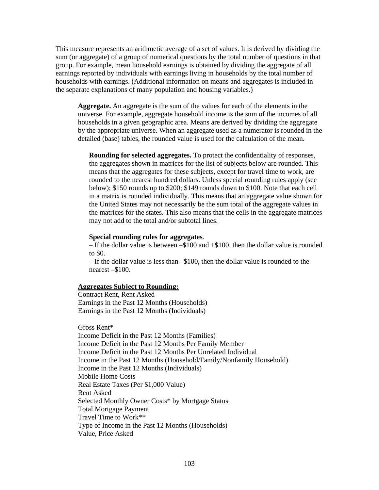This measure represents an arithmetic average of a set of values. It is derived by dividing the sum (or aggregate) of a group of numerical questions by the total number of questions in that group. For example, mean household earnings is obtained by dividing the aggregate of all earnings reported by individuals with earnings living in households by the total number of households with earnings. (Additional information on means and aggregates is included in the separate explanations of many population and housing variables.)

**Aggregate.** An aggregate is the sum of the values for each of the elements in the universe. For example, aggregate household income is the sum of the incomes of all households in a given geographic area. Means are derived by dividing the aggregate by the appropriate universe. When an aggregate used as a numerator is rounded in the detailed (base) tables, the rounded value is used for the calculation of the mean.

**Rounding for selected aggregates.** To protect the confidentiality of responses, the aggregates shown in matrices for the list of subjects below are rounded. This means that the aggregates for these subjects, except for travel time to work, are rounded to the nearest hundred dollars. Unless special rounding rules apply (see below); \$150 rounds up to \$200; \$149 rounds down to \$100. Note that each cell in a matrix is rounded individually. This means that an aggregate value shown for the United States may not necessarily be the sum total of the aggregate values in the matrices for the states. This also means that the cells in the aggregate matrices may not add to the total and/or subtotal lines.

#### **Special rounding rules for aggregates**.

– If the dollar value is between –\$100 and +\$100, then the dollar value is rounded to \$0.

 – If the dollar value is less than –\$100, then the dollar value is rounded to the nearest –\$100.

### **Aggregates Subject to Rounding:**

Contract Rent, Rent Asked Earnings in the Past 12 Months (Households) Earnings in the Past 12 Months (Individuals)

 Gross Rent\* Income Deficit in the Past 12 Months (Families) Income Deficit in the Past 12 Months Per Family Member Income Deficit in the Past 12 Months Per Unrelated Individual Income in the Past 12 Months (Household/Family/Nonfamily Household) Income in the Past 12 Months (Individuals) Mobile Home Costs Real Estate Taxes (Per \$1,000 Value) Rent Asked Selected Monthly Owner Costs\* by Mortgage Status Total Mortgage Payment Travel Time to Work\*\* Type of Income in the Past 12 Months (Households) Value, Price Asked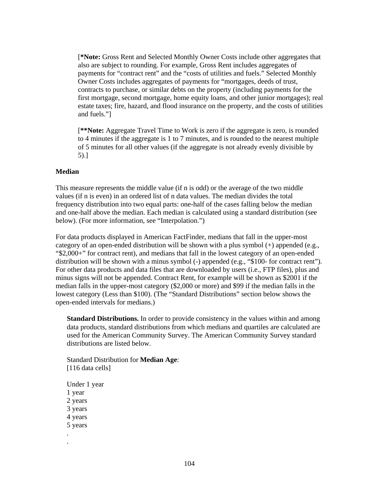[**\*Note:** Gross Rent and Selected Monthly Owner Costs include other aggregates that also are subject to rounding. For example, Gross Rent includes aggregates of payments for "contract rent" and the "costs of utilities and fuels." Selected Monthly Owner Costs includes aggregates of payments for "mortgages, deeds of trust, contracts to purchase, or similar debts on the property (including payments for the first mortgage, second mortgage, home equity loans, and other junior mortgages); real estate taxes; fire, hazard, and flood insurance on the property, and the costs of utilities and fuels."]

[**\*\*Note:** Aggregate Travel Time to Work is zero if the aggregate is zero, is rounded to 4 minutes if the aggregate is 1 to 7 minutes, and is rounded to the nearest multiple of 5 minutes for all other values (if the aggregate is not already evenly divisible by 5).]

#### **Median**

This measure represents the middle value (if n is odd) or the average of the two middle values (if n is even) in an ordered list of n data values. The median divides the total frequency distribution into two equal parts: one-half of the cases falling below the median and one-half above the median. Each median is calculated using a standard distribution (see below). (For more information, see "Interpolation.")

For data products displayed in American FactFinder, medians that fall in the upper-most category of an open-ended distribution will be shown with a plus symbol (+) appended (e.g., "\$2,000+" for contract rent), and medians that fall in the lowest category of an open-ended distribution will be shown with a minus symbol (-) appended (e.g., "\$100- for contract rent"). For other data products and data files that are downloaded by users (i.e., FTP files), plus and minus signs will not be appended. Contract Rent, for example will be shown as \$2001 if the median falls in the upper-most category (\$2,000 or more) and \$99 if the median falls in the lowest category (Less than \$100). (The "Standard Distributions" section below shows the open-ended intervals for medians.)

**Standard Distributions.** In order to provide consistency in the values within and among data products, standard distributions from which medians and quartiles are calculated are used for the American Community Survey. The American Community Survey standard distributions are listed below.

Standard Distribution for **Median Age**: [116 data cells]

Under 1 year 1 year 2 years 3 years 4 years 5 years .

.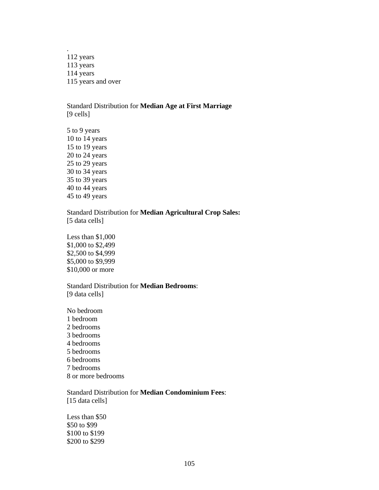. 112 years 113 years 114 years 115 years and over

Standard Distribution for **Median Age at First Marriage** [9 cells]

5 to 9 years 10 to 14 years 15 to 19 years 20 to 24 years 25 to 29 years 30 to 34 years 35 to 39 years 40 to 44 years 45 to 49 years

Standard Distribution for **Median Agricultural Crop Sales:** [5 data cells]

Less than \$1,000 \$1,000 to \$2,499 \$2,500 to \$4,999 \$5,000 to \$9,999 \$10,000 or more

Standard Distribution for **Median Bedrooms**: [9 data cells]

No bedroom 1 bedroom 2 bedrooms 3 bedrooms 4 bedrooms 5 bedrooms 6 bedrooms 7 bedrooms 8 or more bedrooms

Standard Distribution for **Median Condominium Fees**: [15 data cells]

Less than \$50 \$50 to \$99 \$100 to \$199 \$200 to \$299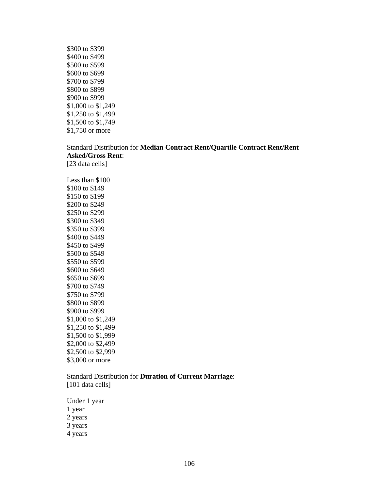\$300 to \$399 \$400 to \$499 \$500 to \$599 \$600 to \$699 \$700 to \$799 \$800 to \$899 \$900 to \$999 \$1,000 to \$1,249 \$1,250 to \$1,499 \$1,500 to \$1,749 \$1,750 or more

### Standard Distribution for **Median Contract Rent/Quartile Contract Rent/Rent Asked/Gross Rent**:

[23 data cells]

Less than \$100 \$100 to \$149 \$150 to \$199 \$200 to \$249 \$250 to \$299 \$300 to \$349 \$350 to \$399 \$400 to \$449 \$450 to \$499 \$500 to \$549 \$550 to \$599 \$600 to \$649 \$650 to \$699 \$700 to \$749 \$750 to \$799 \$800 to \$899 \$900 to \$999 \$1,000 to \$1,249 \$1,250 to \$1,499 \$1,500 to \$1,999 \$2,000 to \$2,499 \$2,500 to \$2,999 \$3,000 or more

Standard Distribution for **Duration of Current Marriage**: [101 data cells]

Under 1 year 1 year 2 years 3 years 4 years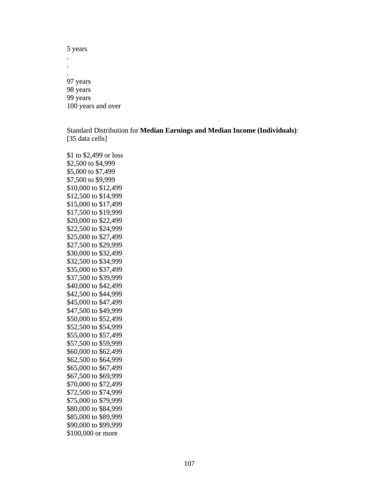5 years . . . 97 years 98 years 99 years 100 years and over

### Standard Distribution for **Median Earnings and Median Income (Individuals)**: [35 data cells]

\$1 to \$2,499 or loss \$2,500 to \$4,999 \$5,000 to \$7,499 \$7,500 to \$9,999 \$10,000 to \$12,499 \$12,500 to \$14,999 \$15,000 to \$17,499 \$17,500 to \$19,999 \$20,000 to \$22,499 \$22,500 to \$24,999 \$25,000 to \$27,499 \$27,500 to \$29,999 \$30,000 to \$32,499 \$32,500 to \$34,999 \$35,000 to \$37,499 \$37,500 to \$39,999 \$40,000 to \$42,499 \$42,500 to \$44,999 \$45,000 to \$47,499 \$47,500 to \$49,999 \$50,000 to \$52,499 \$52,500 to \$54,999 \$55,000 to \$57,499 \$57,500 to \$59,999 \$60,000 to \$62,499 \$62,500 to \$64,999 \$65,000 to \$67,499 \$67,500 to \$69,999 \$70,000 to \$72,499 \$72,500 to \$74,999 \$75,000 to \$79,999 \$80,000 to \$84,999 \$85,000 to \$89,999 \$90,000 to \$99,999 \$100,000 or more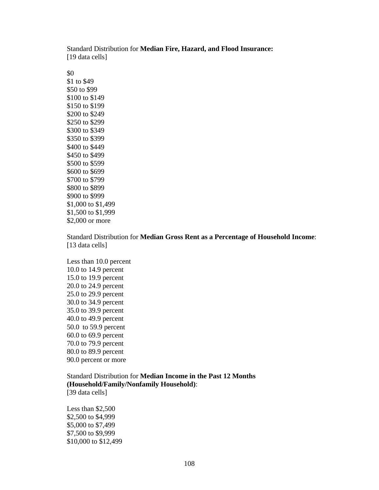Standard Distribution for **Median Fire, Hazard, and Flood Insurance:**  [19 data cells]

\$0 \$1 to \$49 \$50 to \$99 \$100 to \$149 \$150 to \$199 \$200 to \$249 \$250 to \$299 \$300 to \$349 \$350 to \$399 \$400 to \$449

 \$450 to \$499 \$500 to \$599 \$600 to \$699 \$700 to \$799 \$800 to \$899 \$900 to \$999 \$1,000 to \$1,499 \$1,500 to \$1,999

\$2,000 or more

Standard Distribution for **Median Gross Rent as a Percentage of Household Income**: [13 data cells]

Less than 10.0 percent 10.0 to 14.9 percent 15.0 to 19.9 percent 20.0 to 24.9 percent 25.0 to 29.9 percent 30.0 to 34.9 percent 35.0 to 39.9 percent 40.0 to 49.9 percent 50.0 to 59.9 percent 60.0 to 69.9 percent 70.0 to 79.9 percent 80.0 to 89.9 percent 90.0 percent or more

Standard Distribution for **Median Income in the Past 12 Months (Household/Family/Nonfamily Household)**: [39 data cells]

Less than \$2,500 \$2,500 to \$4,999 \$5,000 to \$7,499 \$7,500 to \$9,999 \$10,000 to \$12,499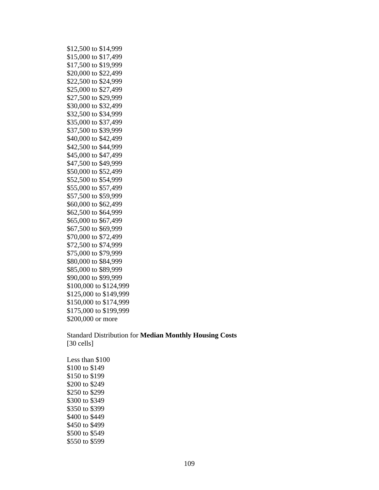\$12,500 to \$14,999 \$15,000 to \$17,499 \$17,500 to \$19,999 \$20,000 to \$22,499 \$22,500 to \$24,999 \$25,000 to \$27,499 \$27,500 to \$29,999 \$30,000 to \$32,499 \$32,500 to \$34,999 \$35,000 to \$37,499 \$37,500 to \$39,999 \$40,000 to \$42,499 \$42,500 to \$44,999 \$45,000 to \$47,499 \$47,500 to \$49,999 \$50,000 to \$52,499 \$52,500 to \$54,999 \$55,000 to \$57,499 \$57,500 to \$59,999 \$60,000 to \$62,499 \$62,500 to \$64,999 \$65,000 to \$67,499 \$67,500 to \$69,999 \$70,000 to \$72,499 \$72,500 to \$74,999 \$75,000 to \$79,999 \$80,000 to \$84,999 \$85,000 to \$89,999 \$90,000 to \$99,999 \$100,000 to \$124,999 \$125,000 to \$149,999 \$150,000 to \$174,999 \$175,000 to \$199,999 \$200,000 or more

#### Standard Distribution for **Median Monthly Housing Costs**  [30 cells]

Less than \$100 \$100 to \$149 \$150 to \$199 \$200 to \$249 \$250 to \$299 \$300 to \$349 \$350 to \$399 \$400 to \$449 \$450 to \$499 \$500 to \$549 \$550 to \$599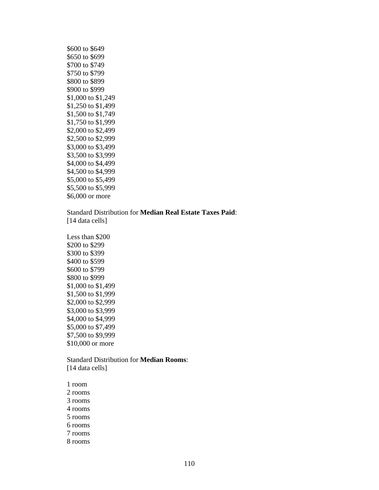| \$600 to \$649     |
|--------------------|
| \$650 to \$699     |
| \$700 to \$749     |
| \$750 to \$799     |
| \$800 to \$899     |
| \$900 to \$999     |
| \$1,000 to \$1,249 |
| \$1,250 to \$1,499 |
| \$1,500 to \$1,749 |
| \$1,750 to \$1,999 |
| \$2,000 to \$2,499 |
| \$2,500 to \$2,999 |
| \$3,000 to \$3,499 |
| \$3,500 to \$3,999 |
| \$4,000 to \$4,499 |
| \$4,500 to \$4,999 |
| \$5,000 to \$5,499 |
| \$5,500 to \$5,999 |
| \$6,000 or more    |

Standard Distribution for **Median Real Estate Taxes Paid**: [14 data cells]

Less than \$200 \$200 to \$299 \$300 to \$399 \$400 to \$599 \$600 to \$799 \$800 to \$999 \$1,000 to \$1,499 \$1,500 to \$1,999 \$2,000 to \$2,999 \$3,000 to \$3,999 \$4,000 to \$4,999 \$5,000 to \$7,499 \$7,500 to \$9,999 \$10,000 or more

Standard Distribution for **Median Rooms**: [14 data cells]

1 room 2 rooms 3 rooms 4 rooms 5 rooms 6 rooms 7 rooms 8 rooms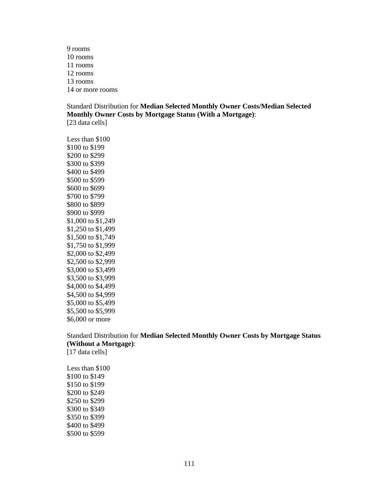9 rooms 10 rooms 11 rooms 12 rooms 13 rooms 14 or more rooms

## Standard Distribution for **Median Selected Monthly Owner Costs/Median Selected Monthly Owner Costs by Mortgage Status (With a Mortgage)**:

[23 data cells]

Less than \$100 \$100 to \$199 \$200 to \$299 \$300 to \$399 \$400 to \$499 \$500 to \$599 \$600 to \$699 \$700 to \$799 \$800 to \$899 \$900 to \$999 \$1,000 to \$1,249 \$1,250 to \$1,499 \$1,500 to \$1,749 \$1,750 to \$1,999 \$2,000 to \$2,499 \$2,500 to \$2,999 \$3,000 to \$3,499 \$3,500 to \$3,999 \$4,000 to \$4,499 \$4,500 to \$4,999 \$5,000 to \$5,499 \$5,500 to \$5,999 \$6,000 or more

# Standard Distribution for **Median Selected Monthly Owner Costs by Mortgage Status (Without a Mortgage)**:

[17 data cells]

Less than \$100 \$100 to \$149 \$150 to \$199 \$200 to \$249 \$250 to \$299 \$300 to \$349 \$350 to \$399 \$400 to \$499 \$500 to \$599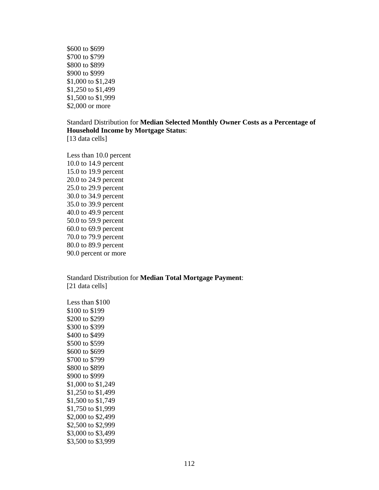\$600 to \$699 \$700 to \$799 \$800 to \$899 \$900 to \$999 \$1,000 to \$1,249 \$1,250 to \$1,499 \$1,500 to \$1,999 \$2,000 or more

# Standard Distribution for **Median Selected Monthly Owner Costs as a Percentage of Household Income by Mortgage Status**:

[13 data cells]

Less than 10.0 percent 10.0 to 14.9 percent 15.0 to 19.9 percent 20.0 to 24.9 percent 25.0 to 29.9 percent 30.0 to 34.9 percent 35.0 to 39.9 percent 40.0 to 49.9 percent 50.0 to 59.9 percent 60.0 to 69.9 percent 70.0 to 79.9 percent 80.0 to 89.9 percent 90.0 percent or more

Standard Distribution for **Median Total Mortgage Payment**: [21 data cells]

Less than \$100 \$100 to \$199 \$200 to \$299 \$300 to \$399 \$400 to \$499 \$500 to \$599 \$600 to \$699 \$700 to \$799 \$800 to \$899 \$900 to \$999 \$1,000 to \$1,249 \$1,250 to \$1,499 \$1,500 to \$1,749 \$1,750 to \$1,999 \$2,000 to \$2,499 \$2,500 to \$2,999 \$3,000 to \$3,499 \$3,500 to \$3,999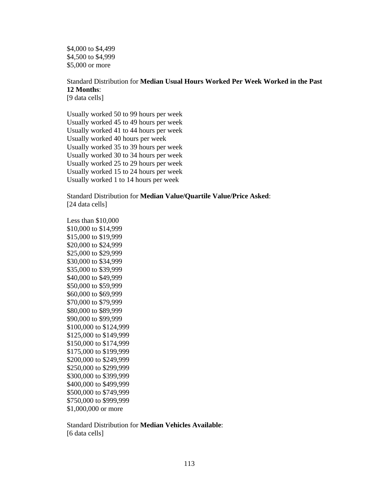\$4,000 to \$4,499 \$4,500 to \$4,999 \$5,000 or more

## Standard Distribution for **Median Usual Hours Worked Per Week Worked in the Past 12 Months**:

[9 data cells]

Usually worked 50 to 99 hours per week Usually worked 45 to 49 hours per week Usually worked 41 to 44 hours per week Usually worked 40 hours per week Usually worked 35 to 39 hours per week Usually worked 30 to 34 hours per week Usually worked 25 to 29 hours per week Usually worked 15 to 24 hours per week Usually worked 1 to 14 hours per week

Standard Distribution for **Median Value/Quartile Value/Price Asked**: [24 data cells]

Less than \$10,000 \$10,000 to \$14,999 \$15,000 to \$19,999 \$20,000 to \$24,999 \$25,000 to \$29,999 \$30,000 to \$34,999 \$35,000 to \$39,999 \$40,000 to \$49,999 \$50,000 to \$59,999 \$60,000 to \$69,999 \$70,000 to \$79,999 \$80,000 to \$89,999 \$90,000 to \$99,999 \$100,000 to \$124,999 \$125,000 to \$149,999 \$150,000 to \$174,999 \$175,000 to \$199,999 \$200,000 to \$249,999 \$250,000 to \$299,999 \$300,000 to \$399,999 \$400,000 to \$499,999 \$500,000 to \$749,999 \$750,000 to \$999,999 \$1,000,000 or more

Standard Distribution for **Median Vehicles Available**: [6 data cells]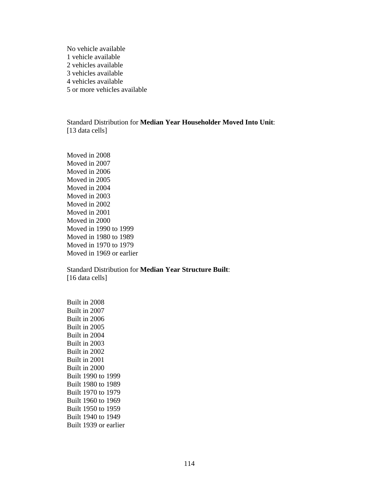No vehicle available 1 vehicle available 2 vehicles available 3 vehicles available 4 vehicles available 5 or more vehicles available

Standard Distribution for **Median Year Householder Moved Into Unit**: [13 data cells]

Moved in 2008 Moved in 2007 Moved in 2006 Moved in 2005 Moved in 2004 Moved in 2003 Moved in 2002 Moved in 2001 Moved in 2000 Moved in 1990 to 1999 Moved in 1980 to 1989 Moved in 1970 to 1979 Moved in 1969 or earlier

Standard Distribution for **Median Year Structure Built**: [16 data cells]

Built in 2008 Built in 2007 Built in 2006 Built in 2005 Built in 2004 Built in 2003 Built in 2002 Built in 2001 Built in 2000 Built 1990 to 1999 Built 1980 to 1989 Built 1970 to 1979 Built 1960 to 1969 Built 1950 to 1959 Built 1940 to 1949 Built 1939 or earlier